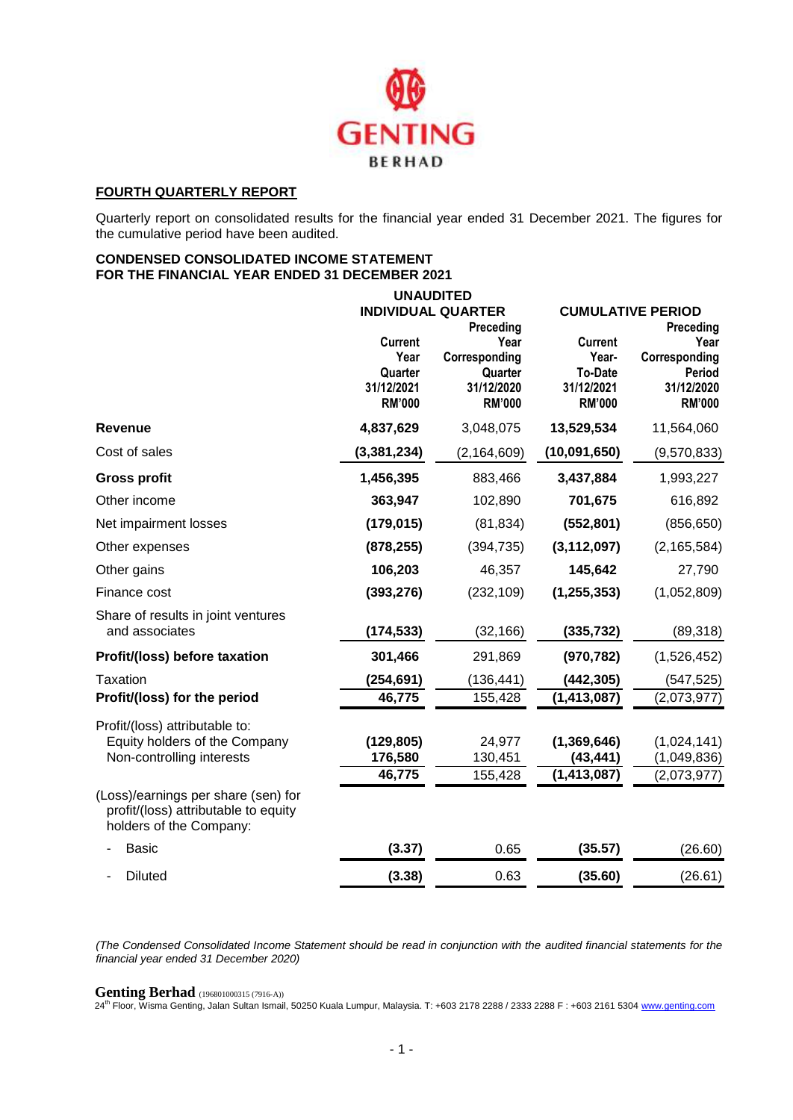

# **FOURTH QUARTERLY REPORT**

Quarterly report on consolidated results for the financial year ended 31 December 2021. The figures for the cumulative period have been audited.

### **CONDENSED CONSOLIDATED INCOME STATEMENT FOR THE FINANCIAL YEAR ENDED 31 DECEMBER 2021**

|                                                                                                        | <b>UNAUDITED</b> |                           |                |                          |  |  |  |  |  |
|--------------------------------------------------------------------------------------------------------|------------------|---------------------------|----------------|--------------------------|--|--|--|--|--|
|                                                                                                        |                  | <b>INDIVIDUAL QUARTER</b> |                | <b>CUMULATIVE PERIOD</b> |  |  |  |  |  |
|                                                                                                        |                  | Preceding                 |                | Preceding                |  |  |  |  |  |
|                                                                                                        | <b>Current</b>   | Year                      | <b>Current</b> | Year                     |  |  |  |  |  |
|                                                                                                        | Year             | Corresponding             | Year-          | Corresponding            |  |  |  |  |  |
|                                                                                                        | Quarter          | Quarter                   | <b>To-Date</b> | Period                   |  |  |  |  |  |
|                                                                                                        | 31/12/2021       | 31/12/2020                | 31/12/2021     | 31/12/2020               |  |  |  |  |  |
|                                                                                                        | <b>RM'000</b>    | <b>RM'000</b>             | <b>RM'000</b>  | <b>RM'000</b>            |  |  |  |  |  |
| <b>Revenue</b>                                                                                         | 4,837,629        | 3,048,075                 | 13,529,534     | 11,564,060               |  |  |  |  |  |
| Cost of sales                                                                                          | (3, 381, 234)    | (2, 164, 609)             | (10,091,650)   | (9,570,833)              |  |  |  |  |  |
| <b>Gross profit</b>                                                                                    | 1,456,395        | 883,466                   | 3,437,884      | 1,993,227                |  |  |  |  |  |
| Other income                                                                                           | 363,947          | 102,890                   | 701,675        | 616,892                  |  |  |  |  |  |
| Net impairment losses                                                                                  | (179, 015)       | (81, 834)                 | (552, 801)     | (856, 650)               |  |  |  |  |  |
| Other expenses                                                                                         | (878, 255)       | (394, 735)                | (3, 112, 097)  | (2, 165, 584)            |  |  |  |  |  |
| Other gains                                                                                            | 106,203          | 46,357                    | 145,642        | 27,790                   |  |  |  |  |  |
| Finance cost                                                                                           | (393, 276)       | (232, 109)                | (1, 255, 353)  | (1,052,809)              |  |  |  |  |  |
| Share of results in joint ventures                                                                     |                  |                           |                |                          |  |  |  |  |  |
| and associates                                                                                         | (174, 533)       | (32, 166)                 | (335, 732)     | (89, 318)                |  |  |  |  |  |
| Profit/(loss) before taxation                                                                          | 301,466          | 291,869                   | (970, 782)     | (1,526,452)              |  |  |  |  |  |
| Taxation                                                                                               | (254, 691)       | (136, 441)                | (442, 305)     | (547, 525)               |  |  |  |  |  |
| Profit/(loss) for the period                                                                           | 46,775           | 155,428                   | (1, 413, 087)  | (2,073,977)              |  |  |  |  |  |
| Profit/(loss) attributable to:                                                                         |                  |                           |                |                          |  |  |  |  |  |
| Equity holders of the Company                                                                          | (129, 805)       | 24,977                    | (1, 369, 646)  | (1,024,141)              |  |  |  |  |  |
| Non-controlling interests                                                                              | 176,580          | 130,451                   | (43, 441)      | (1,049,836)              |  |  |  |  |  |
|                                                                                                        | 46,775           | 155,428                   | (1, 413, 087)  | (2,073,977)              |  |  |  |  |  |
| (Loss)/earnings per share (sen) for<br>profit/(loss) attributable to equity<br>holders of the Company: |                  |                           |                |                          |  |  |  |  |  |
| Basic                                                                                                  | (3.37)           | 0.65                      | (35.57)        | (26.60)                  |  |  |  |  |  |
| <b>Diluted</b>                                                                                         | (3.38)           | 0.63                      | (35.60)        | (26.61)                  |  |  |  |  |  |

*(The Condensed Consolidated Income Statement should be read in conjunction with the audited financial statements for the financial year ended 31 December 2020)*

#### **Genting Berhad** (196801000315 (7916-A))

24th Floor, Wisma Genting, Jalan Sultan Ismail, 50250 Kuala Lumpur, Malaysia. T: +603 2178 2288 / 2333 2288 F : +603 2161 5304 [www.genting.com](http://www.genting.com/)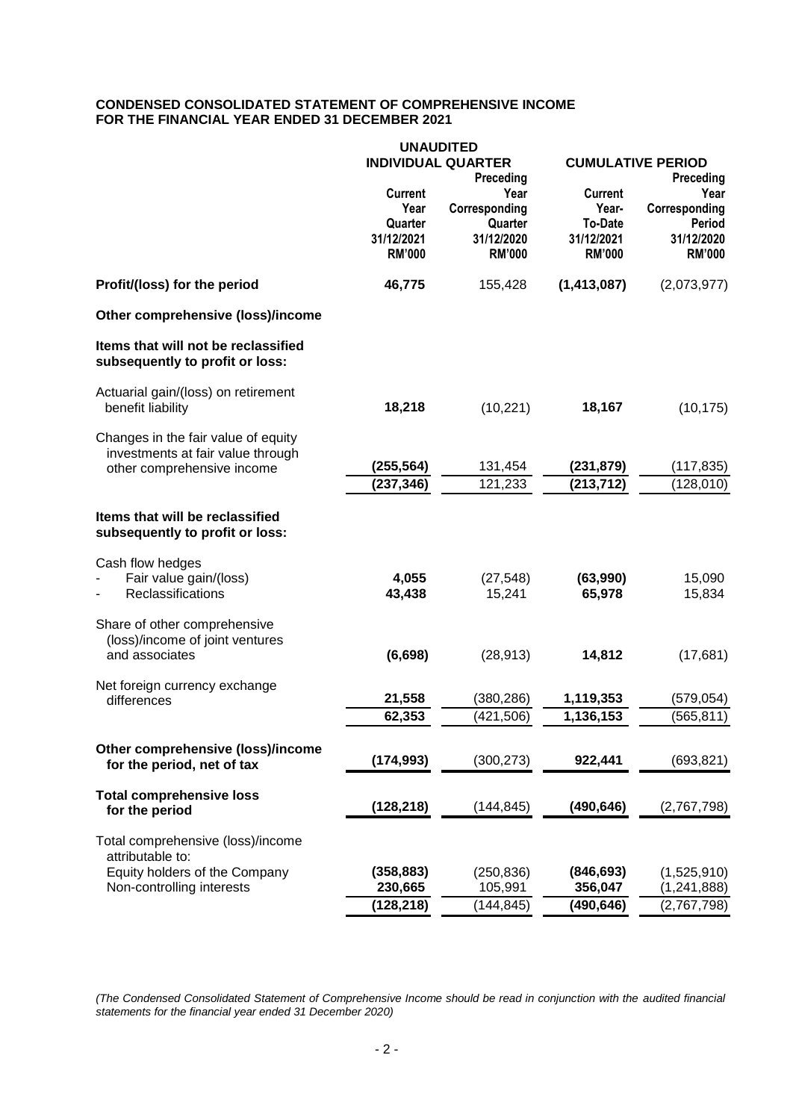# **CONDENSED CONSOLIDATED STATEMENT OF COMPREHENSIVE INCOME FOR THE FINANCIAL YEAR ENDED 31 DECEMBER 2021**

|                                                                        | <b>UNAUDITED</b>       |                           |                          |                         |  |  |
|------------------------------------------------------------------------|------------------------|---------------------------|--------------------------|-------------------------|--|--|
|                                                                        |                        | <b>INDIVIDUAL QUARTER</b> | <b>CUMULATIVE PERIOD</b> |                         |  |  |
|                                                                        |                        | Preceding                 |                          | Preceding               |  |  |
|                                                                        | <b>Current</b><br>Year | Year                      | <b>Current</b>           | Year                    |  |  |
|                                                                        | Quarter                | Corresponding<br>Quarter  | Year-<br><b>To-Date</b>  | Corresponding<br>Period |  |  |
|                                                                        | 31/12/2021             | 31/12/2020                | 31/12/2021               | 31/12/2020              |  |  |
|                                                                        | <b>RM'000</b>          | <b>RM'000</b>             | <b>RM'000</b>            | <b>RM'000</b>           |  |  |
| Profit/(loss) for the period                                           | 46,775                 | 155,428                   | (1, 413, 087)            | (2,073,977)             |  |  |
| Other comprehensive (loss)/income                                      |                        |                           |                          |                         |  |  |
| Items that will not be reclassified<br>subsequently to profit or loss: |                        |                           |                          |                         |  |  |
| Actuarial gain/(loss) on retirement                                    |                        |                           |                          |                         |  |  |
| benefit liability                                                      | 18,218                 | (10, 221)                 | 18,167                   | (10, 175)               |  |  |
| Changes in the fair value of equity                                    |                        |                           |                          |                         |  |  |
| investments at fair value through<br>other comprehensive income        | (255, 564)             | 131,454                   | (231, 879)               | (117, 835)              |  |  |
|                                                                        | (237, 346)             | 121,233                   | (213, 712)               | (128, 010)              |  |  |
|                                                                        |                        |                           |                          |                         |  |  |
| Items that will be reclassified<br>subsequently to profit or loss:     |                        |                           |                          |                         |  |  |
| Cash flow hedges                                                       |                        |                           |                          |                         |  |  |
| Fair value gain/(loss)                                                 | 4,055                  | (27, 548)                 | (63,990)                 | 15,090                  |  |  |
| Reclassifications                                                      | 43,438                 | 15,241                    | 65,978                   | 15,834                  |  |  |
| Share of other comprehensive                                           |                        |                           |                          |                         |  |  |
| (loss)/income of joint ventures                                        |                        |                           |                          |                         |  |  |
| and associates                                                         | (6,698)                | (28, 913)                 | 14,812                   | (17,681)                |  |  |
| Net foreign currency exchange                                          | 21,558                 | (380, 286)                | 1,119,353                | (579, 054)              |  |  |
| differences                                                            | 62,353                 |                           | 1,136,153                |                         |  |  |
|                                                                        |                        | (421, 506)                |                          | (565, 811)              |  |  |
| Other comprehensive (loss)/income                                      |                        |                           |                          |                         |  |  |
| for the period, net of tax                                             | (174,993)              | (300, 273)                | 922,441                  | (693, 821)              |  |  |
| <b>Total comprehensive loss</b>                                        |                        |                           |                          |                         |  |  |
| for the period                                                         | (128, 218)             | (144, 845)                | (490, 646)               | (2,767,798)             |  |  |
| Total comprehensive (loss)/income<br>attributable to:                  |                        |                           |                          |                         |  |  |
| Equity holders of the Company                                          | (358, 883)             | (250, 836)                | (846, 693)               | (1,525,910)             |  |  |
| Non-controlling interests                                              | 230,665                | 105,991                   | 356,047                  | (1, 241, 888)           |  |  |
|                                                                        | (128, 218)             | (144, 845)                | (490, 646)               | (2,767,798)             |  |  |

*(The Condensed Consolidated Statement of Comprehensive Income should be read in conjunction with the audited financial statements for the financial year ended 31 December 2020)*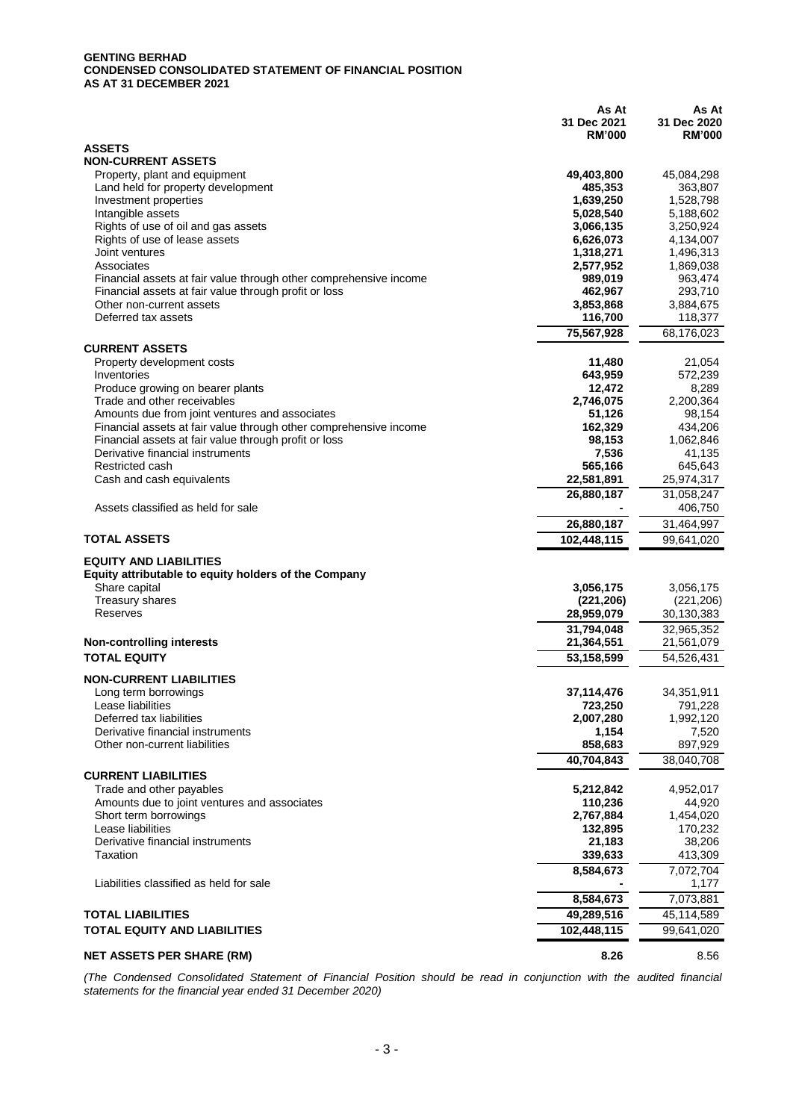#### **GENTING BERHAD CONDENSED CONSOLIDATED STATEMENT OF FINANCIAL POSITION AS AT 31 DECEMBER 2021**

|                                                                               | As At<br>31 Dec 2021<br><b>RM'000</b> | As At<br>31 Dec 2020<br><b>RM'000</b> |
|-------------------------------------------------------------------------------|---------------------------------------|---------------------------------------|
| <b>ASSETS</b>                                                                 |                                       |                                       |
| <b>NON-CURRENT ASSETS</b>                                                     |                                       |                                       |
| Property, plant and equipment                                                 | 49,403,800                            | 45,084,298                            |
| Land held for property development                                            | 485,353                               | 363,807<br>1,528,798                  |
| Investment properties<br>Intangible assets                                    | 1,639,250<br>5,028,540                | 5,188,602                             |
| Rights of use of oil and gas assets                                           | 3,066,135                             | 3,250,924                             |
| Rights of use of lease assets                                                 | 6,626,073                             | 4,134,007                             |
| Joint ventures                                                                | 1,318,271                             | 1,496,313                             |
| Associates                                                                    | 2,577,952                             | 1,869,038                             |
| Financial assets at fair value through other comprehensive income             | 989,019                               | 963,474                               |
| Financial assets at fair value through profit or loss                         | 462,967                               | 293,710                               |
| Other non-current assets<br>Deferred tax assets                               | 3,853,868<br>116,700                  | 3,884,675<br>118,377                  |
|                                                                               | 75,567,928                            | 68,176,023                            |
| <b>CURRENT ASSETS</b>                                                         |                                       |                                       |
| Property development costs                                                    | 11,480                                | 21,054                                |
| Inventories                                                                   | 643,959                               | 572,239                               |
| Produce growing on bearer plants                                              | 12,472                                | 8,289                                 |
| Trade and other receivables<br>Amounts due from joint ventures and associates | 2,746,075<br>51,126                   | 2,200,364<br>98,154                   |
| Financial assets at fair value through other comprehensive income             | 162,329                               | 434,206                               |
| Financial assets at fair value through profit or loss                         | 98,153                                | 1,062,846                             |
| Derivative financial instruments                                              | 7,536                                 | 41,135                                |
| Restricted cash                                                               | 565,166                               | 645,643                               |
| Cash and cash equivalents                                                     | 22,581,891                            | 25,974,317                            |
| Assets classified as held for sale                                            | 26,880,187                            | 31,058,247<br>406,750                 |
|                                                                               | 26,880,187                            | 31,464,997                            |
| <b>TOTAL ASSETS</b>                                                           | 102,448,115                           | 99,641,020                            |
| <b>EQUITY AND LIABILITIES</b>                                                 |                                       |                                       |
| Equity attributable to equity holders of the Company                          |                                       |                                       |
| Share capital                                                                 | 3,056,175                             | 3,056,175                             |
| <b>Treasury shares</b>                                                        | (221, 206)                            | (221, 206)                            |
| Reserves                                                                      | 28,959,079                            | 30,130,383                            |
|                                                                               | 31,794,048                            | 32,965,352                            |
| <b>Non-controlling interests</b><br><b>TOTAL EQUITY</b>                       | 21,364,551<br>53,158,599              | 21,561,079<br>54,526,431              |
|                                                                               |                                       |                                       |
| <b>NON-CURRENT LIABILITIES</b>                                                |                                       |                                       |
| Long term borrowings<br>Lease liabilities                                     | 37,114,476<br>723,250                 | 34,351,911<br>791,228                 |
| Deferred tax liabilities                                                      | 2,007,280                             | 1,992,120                             |
| Derivative financial instruments                                              | 1,154                                 | 7,520                                 |
| Other non-current liabilities                                                 | 858,683                               | 897,929                               |
|                                                                               | 40,704,843                            | 38,040,708                            |
| <b>CURRENT LIABILITIES</b>                                                    |                                       |                                       |
| Trade and other payables                                                      | 5,212,842                             | 4,952,017                             |
| Amounts due to joint ventures and associates<br>Short term borrowings         | 110,236<br>2,767,884                  | 44,920                                |
| Lease liabilities                                                             | 132,895                               | 1,454,020<br>170,232                  |
| Derivative financial instruments                                              | 21,183                                | 38,206                                |
| Taxation                                                                      | 339,633                               | 413,309                               |
|                                                                               | 8,584,673                             | 7,072,704                             |
| Liabilities classified as held for sale                                       |                                       | 1,177                                 |
|                                                                               | 8,584,673                             | 7,073,881                             |
| <b>TOTAL LIABILITIES</b>                                                      | 49,289,516                            | 45,114,589                            |
| <b>TOTAL EQUITY AND LIABILITIES</b>                                           | 102,448,115                           | 99,641,020                            |
| <b>NET ASSETS PER SHARE (RM)</b>                                              | 8.26                                  | 8.56                                  |

*(The Condensed Consolidated Statement of Financial Position should be read in conjunction with the audited financial statements for the financial year ended 31 December 2020)*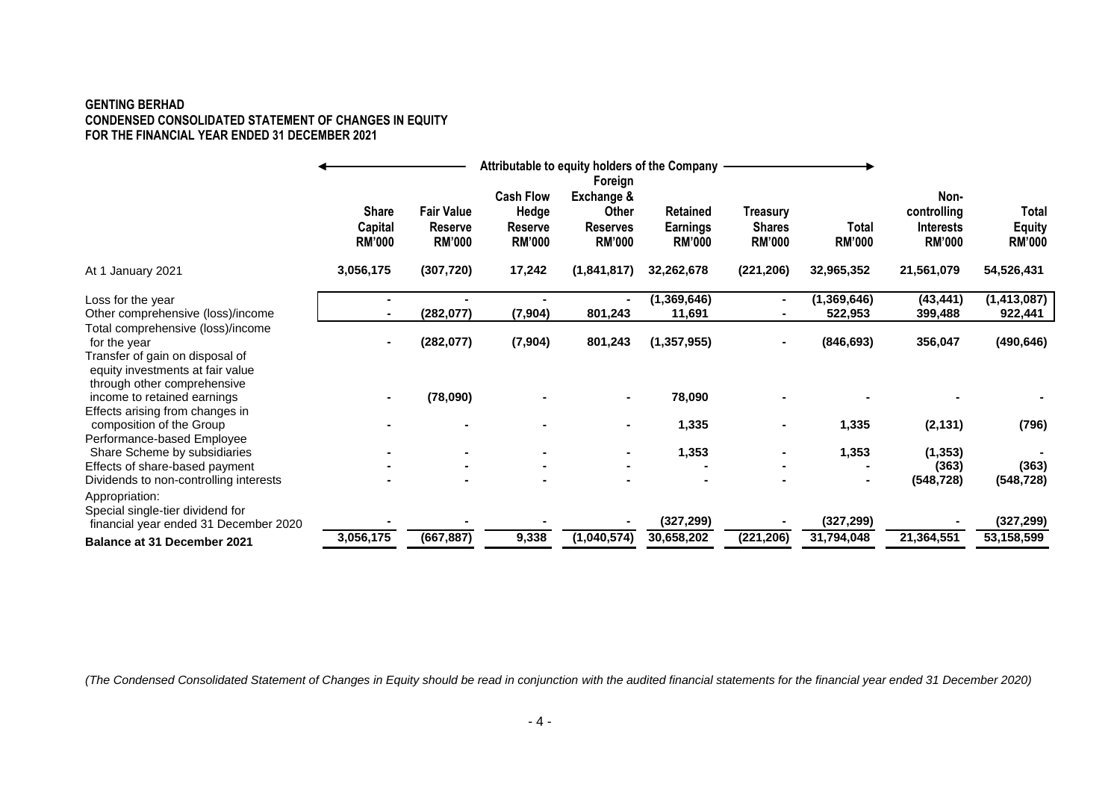#### **GENTING BERHAD CONDENSED CONSOLIDATED STATEMENT OF CHANGES IN EQUITY FOR THE FINANCIAL YEAR ENDED 31 DECEMBER 2021**

|                                                                                                                          | <b>Share</b><br>Capital<br><b>RM'000</b> | <b>Fair Value</b><br>Reserve<br><b>RM'000</b> | <b>Cash Flow</b><br>Hedge<br>Reserve<br><b>RM'000</b> | Foreign<br>Exchange &<br>Other<br><b>Reserves</b><br><b>RM'000</b> | <b>Retained</b><br><b>Earnings</b><br><b>RM'000</b> | Treasury<br><b>Shares</b><br><b>RM'000</b> | <b>Total</b><br><b>RM'000</b> | Non-<br>controlling<br><b>Interests</b><br><b>RM'000</b> | Total<br><b>Equity</b><br><b>RM'000</b> |
|--------------------------------------------------------------------------------------------------------------------------|------------------------------------------|-----------------------------------------------|-------------------------------------------------------|--------------------------------------------------------------------|-----------------------------------------------------|--------------------------------------------|-------------------------------|----------------------------------------------------------|-----------------------------------------|
| At 1 January 2021                                                                                                        | 3,056,175                                | (307, 720)                                    | 17,242                                                | (1,841,817)                                                        | 32,262,678                                          | (221, 206)                                 | 32,965,352                    | 21,561,079                                               | 54,526,431                              |
| Loss for the year<br>Other comprehensive (loss)/income                                                                   |                                          | (282, 077)                                    | (7, 904)                                              | 801,243                                                            | (1,369,646)<br>11,691                               |                                            | (1, 369, 646)<br>522,953      | (43, 441)<br>399,488                                     | (1, 413, 087)<br>922,441                |
| Total comprehensive (loss)/income<br>for the year<br>Transfer of gain on disposal of<br>equity investments at fair value |                                          | (282, 077)                                    | (7, 904)                                              | 801,243                                                            | (1, 357, 955)                                       |                                            | (846, 693)                    | 356,047                                                  | (490, 646)                              |
| through other comprehensive<br>income to retained earnings<br>Effects arising from changes in                            |                                          | (78,090)                                      |                                                       |                                                                    | 78,090                                              |                                            |                               |                                                          |                                         |
| composition of the Group<br>Performance-based Employee                                                                   |                                          |                                               |                                                       |                                                                    | 1,335                                               |                                            | 1,335                         | (2, 131)                                                 | (796)                                   |
| Share Scheme by subsidiaries<br>Effects of share-based payment<br>Dividends to non-controlling interests                 |                                          |                                               |                                                       |                                                                    | 1,353                                               |                                            | 1,353<br>$\blacksquare$       | (1, 353)<br>(363)<br>(548, 728)                          | (363)<br>(548, 728)                     |
| Appropriation:<br>Special single-tier dividend for<br>financial year ended 31 December 2020                              |                                          |                                               |                                                       |                                                                    | (327, 299)                                          |                                            | (327, 299)                    |                                                          | (327, 299)                              |
| Balance at 31 December 2021                                                                                              | 3,056,175                                | (667, 887)                                    | 9,338                                                 | (1,040,574)                                                        | 30,658,202                                          | (221, 206)                                 | 31,794,048                    | 21,364,551                                               | 53,158,599                              |

*(The Condensed Consolidated Statement of Changes in Equity should be read in conjunction with the audited financial statements for the financial year ended 31 December 2020)*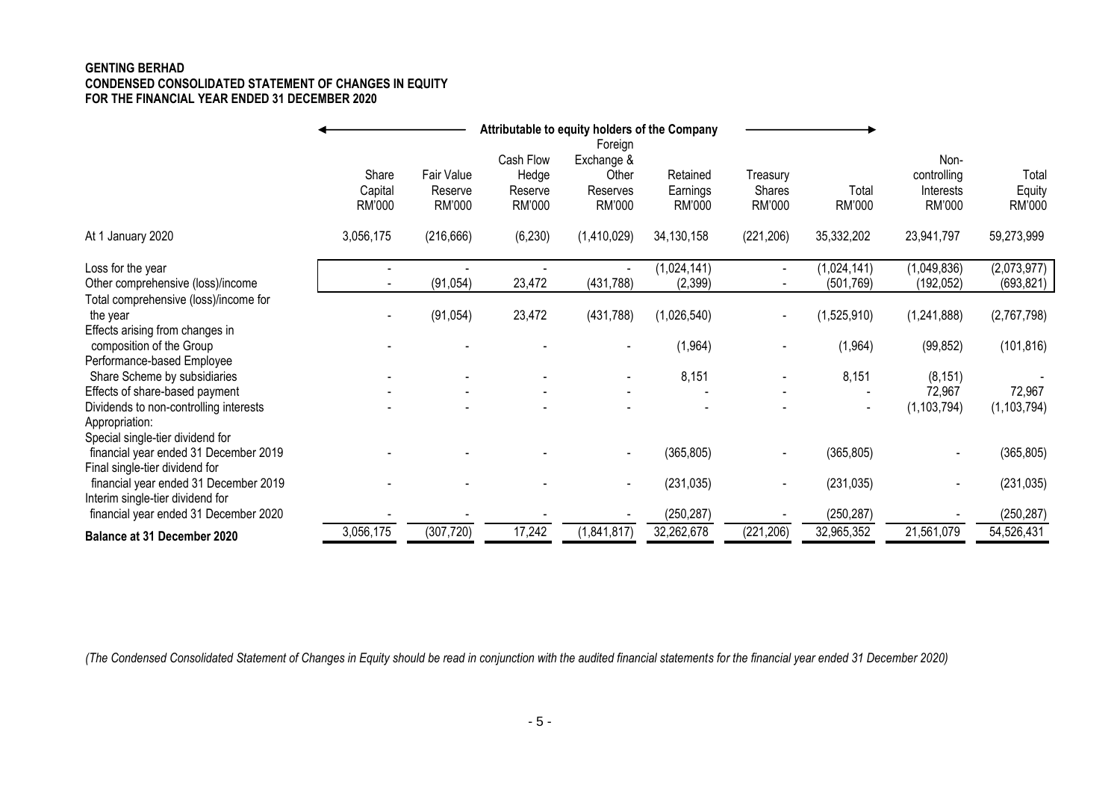### **GENTING BERHAD CONDENSED CONSOLIDATED STATEMENT OF CHANGES IN EQUITY FOR THE FINANCIAL YEAR ENDED 31 DECEMBER 2020**

|                                                                         |                            |                                 |                                         | Attributable to equity holders of the Company        |                                |                              |                 |                                            |                           |
|-------------------------------------------------------------------------|----------------------------|---------------------------------|-----------------------------------------|------------------------------------------------------|--------------------------------|------------------------------|-----------------|--------------------------------------------|---------------------------|
|                                                                         | Share<br>Capital<br>RM'000 | Fair Value<br>Reserve<br>RM'000 | Cash Flow<br>Hedge<br>Reserve<br>RM'000 | Foreign<br>Exchange &<br>Other<br>Reserves<br>RM'000 | Retained<br>Earnings<br>RM'000 | Treasury<br>Shares<br>RM'000 | Total<br>RM'000 | Non-<br>controlling<br>Interests<br>RM'000 | Total<br>Equity<br>RM'000 |
| At 1 January 2020                                                       | 3,056,175                  | (216, 666)                      | (6, 230)                                | (1,410,029)                                          | 34,130,158                     | (221, 206)                   | 35,332,202      | 23,941,797                                 | 59,273,999                |
| Loss for the year                                                       |                            |                                 |                                         |                                                      | (1,024,141)                    | $\blacksquare$               | (1,024,141)     | (1,049,836)                                | (2,073,977)               |
| Other comprehensive (loss)/income                                       |                            | (91, 054)                       | 23,472                                  | (431, 788)                                           | (2, 399)                       |                              | (501, 769)      | (192, 052)                                 | (693, 821)                |
| Total comprehensive (loss)/income for                                   |                            |                                 |                                         |                                                      |                                |                              |                 |                                            |                           |
| the year                                                                |                            | (91, 054)                       | 23,472                                  | (431, 788)                                           | (1,026,540)                    | $\blacksquare$               | (1,525,910)     | (1,241,888)                                | (2,767,798)               |
| Effects arising from changes in<br>composition of the Group             |                            |                                 |                                         |                                                      | (1, 964)                       |                              | (1, 964)        | (99, 852)                                  | (101, 816)                |
| Performance-based Employee                                              |                            |                                 |                                         |                                                      |                                |                              |                 |                                            |                           |
| Share Scheme by subsidiaries                                            |                            |                                 |                                         |                                                      | 8,151                          |                              | 8,151           | (8, 151)                                   |                           |
| Effects of share-based payment                                          |                            |                                 |                                         |                                                      |                                |                              |                 | 72,967                                     | 72,967                    |
| Dividends to non-controlling interests                                  |                            |                                 |                                         |                                                      |                                |                              |                 | (1, 103, 794)                              | (1, 103, 794)             |
| Appropriation:                                                          |                            |                                 |                                         |                                                      |                                |                              |                 |                                            |                           |
| Special single-tier dividend for                                        |                            |                                 |                                         |                                                      |                                |                              |                 |                                            |                           |
| financial year ended 31 December 2019                                   |                            |                                 |                                         |                                                      | (365, 805)                     |                              | (365, 805)      |                                            | (365, 805)                |
| Final single-tier dividend for<br>financial year ended 31 December 2019 |                            |                                 |                                         |                                                      | (231, 035)                     |                              | (231, 035)      |                                            | (231, 035)                |
| Interim single-tier dividend for                                        |                            |                                 |                                         |                                                      |                                |                              |                 |                                            |                           |
| financial year ended 31 December 2020                                   |                            |                                 |                                         |                                                      | (250, 287)                     |                              | (250, 287)      |                                            | (250, 287)                |
| Balance at 31 December 2020                                             | 3,056,175                  | (307, 720)                      | 17,242                                  | (1,841,817)                                          | 32,262,678                     | (221, 206)                   | 32,965,352      | 21,561,079                                 | 54,526,431                |

*(The Condensed Consolidated Statement of Changes in Equity should be read in conjunction with the audited financial statements for the financial year ended 31 December 2020)*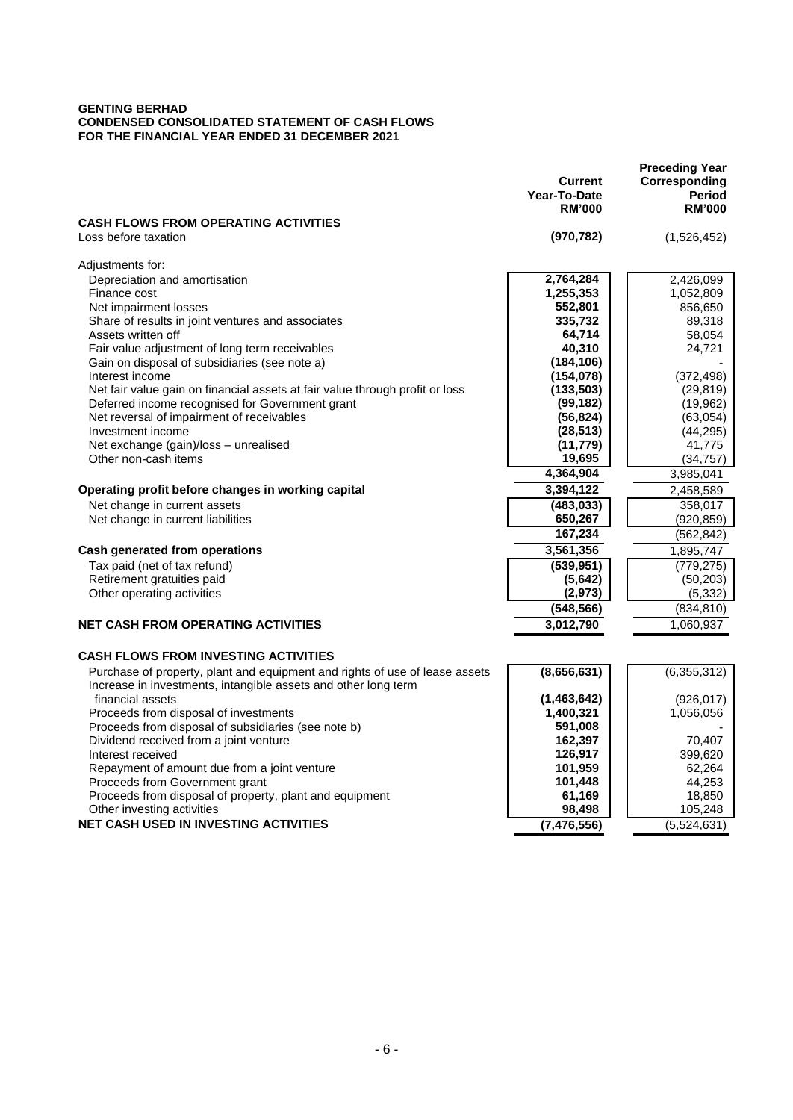#### **GENTING BERHAD CONDENSED CONSOLIDATED STATEMENT OF CASH FLOWS FOR THE FINANCIAL YEAR ENDED 31 DECEMBER 2021**

|                                                                                                                                               | <b>Current</b><br>Year-To-Date<br><b>RM'000</b> | <b>Preceding Year</b><br>Corresponding<br>Period<br><b>RM'000</b> |
|-----------------------------------------------------------------------------------------------------------------------------------------------|-------------------------------------------------|-------------------------------------------------------------------|
| <b>CASH FLOWS FROM OPERATING ACTIVITIES</b><br>Loss before taxation                                                                           | (970, 782)                                      | (1,526,452)                                                       |
| Adjustments for:                                                                                                                              |                                                 |                                                                   |
| Depreciation and amortisation                                                                                                                 | 2,764,284                                       | 2,426,099                                                         |
| Finance cost                                                                                                                                  | 1,255,353                                       | 1,052,809                                                         |
| Net impairment losses                                                                                                                         | 552,801                                         | 856,650                                                           |
| Share of results in joint ventures and associates                                                                                             | 335,732                                         | 89,318                                                            |
| Assets written off                                                                                                                            | 64,714                                          | 58,054                                                            |
| Fair value adjustment of long term receivables                                                                                                | 40,310                                          | 24,721                                                            |
| Gain on disposal of subsidiaries (see note a)                                                                                                 | (184, 106)                                      |                                                                   |
| Interest income                                                                                                                               | (154, 078)                                      | (372, 498)                                                        |
| Net fair value gain on financial assets at fair value through profit or loss<br>Deferred income recognised for Government grant               | (133, 503)<br>(99, 182)                         | (29, 819)<br>(19, 962)                                            |
| Net reversal of impairment of receivables                                                                                                     | (56, 824)                                       | (63,054)                                                          |
| Investment income                                                                                                                             | (28, 513)                                       | (44, 295)                                                         |
| Net exchange (gain)/loss - unrealised                                                                                                         | (11, 779)                                       | 41,775                                                            |
| Other non-cash items                                                                                                                          | 19,695                                          | (34, 757)                                                         |
|                                                                                                                                               | 4,364,904                                       | 3,985,041                                                         |
| Operating profit before changes in working capital                                                                                            | 3,394,122                                       | 2,458,589                                                         |
| Net change in current assets                                                                                                                  | (483, 033)                                      | 358,017                                                           |
| Net change in current liabilities                                                                                                             | 650,267                                         | (920, 859)                                                        |
|                                                                                                                                               | 167,234                                         | (562, 842)                                                        |
| <b>Cash generated from operations</b>                                                                                                         | 3,561,356                                       | 1,895,747                                                         |
| Tax paid (net of tax refund)                                                                                                                  | (539, 951)                                      | (779, 275)                                                        |
| Retirement gratuities paid                                                                                                                    | (5,642)                                         | (50, 203)                                                         |
| Other operating activities                                                                                                                    | (2,973)                                         | (5, 332)                                                          |
|                                                                                                                                               | (548, 566)                                      | (834, 810)                                                        |
| <b>NET CASH FROM OPERATING ACTIVITIES</b>                                                                                                     | 3,012,790                                       | 1,060,937                                                         |
|                                                                                                                                               |                                                 |                                                                   |
| <b>CASH FLOWS FROM INVESTING ACTIVITIES</b>                                                                                                   |                                                 |                                                                   |
| Purchase of property, plant and equipment and rights of use of lease assets<br>Increase in investments, intangible assets and other long term | (8,656,631)                                     | (6,355,312)                                                       |
| financial assets                                                                                                                              | (1,463,642)                                     | (926, 017)                                                        |
| Proceeds from disposal of investments                                                                                                         | 1,400,321                                       | 1,056,056                                                         |
| Proceeds from disposal of subsidiaries (see note b)                                                                                           | 591,008                                         |                                                                   |
| Dividend received from a joint venture                                                                                                        | 162,397                                         | 70,407                                                            |
| Interest received                                                                                                                             | 126,917                                         | 399,620                                                           |
| Repayment of amount due from a joint venture<br>Proceeds from Government grant                                                                | 101,959<br>101,448                              | 62,264<br>44,253                                                  |
| Proceeds from disposal of property, plant and equipment                                                                                       | 61,169                                          | 18,850                                                            |
| Other investing activities                                                                                                                    | 98,498                                          | 105,248                                                           |
| <b>NET CASH USED IN INVESTING ACTIVITIES</b>                                                                                                  | (7, 476, 556)                                   | (5,524,631)                                                       |
|                                                                                                                                               |                                                 |                                                                   |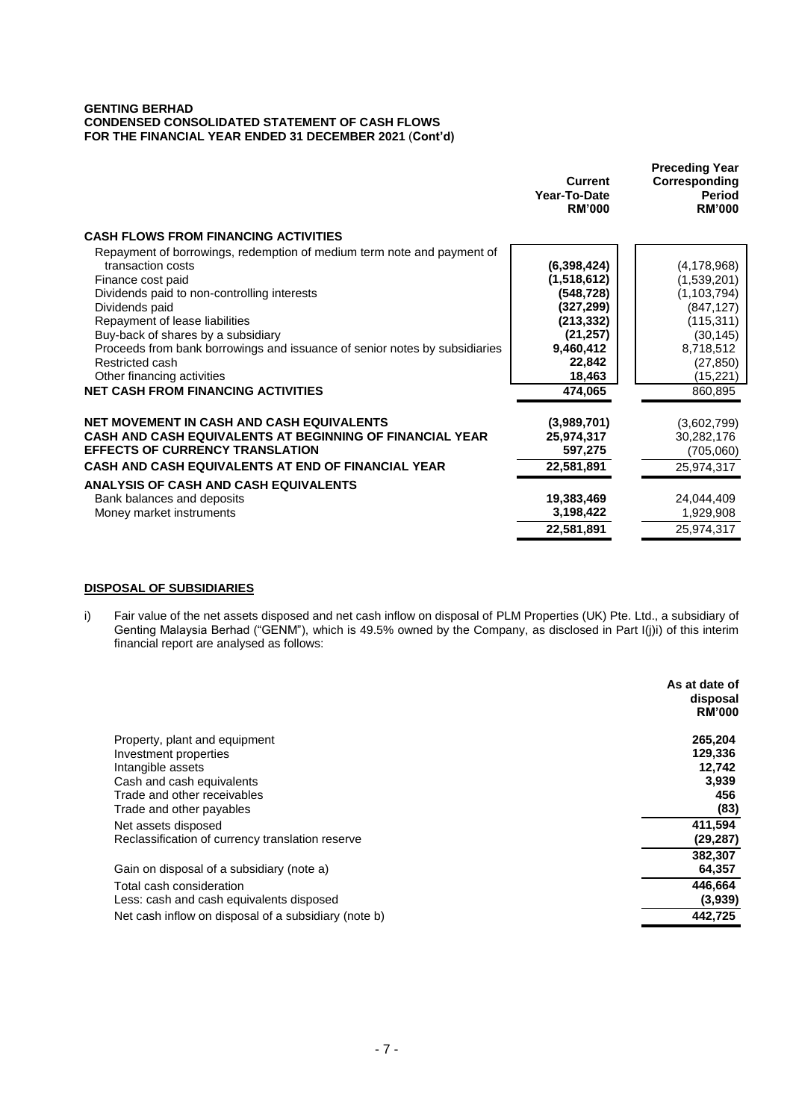#### **GENTING BERHAD CONDENSED CONSOLIDATED STATEMENT OF CASH FLOWS FOR THE FINANCIAL YEAR ENDED 31 DECEMBER 2021** (**Cont'd)**

|                                                                                                                                                                                                                                                                                                                                                                                                                                       | Current<br>Year-To-Date<br><b>RM'000</b>                                                                                      | <b>Preceding Year</b><br>Corresponding<br><b>Period</b><br><b>RM'000</b>                                                                 |
|---------------------------------------------------------------------------------------------------------------------------------------------------------------------------------------------------------------------------------------------------------------------------------------------------------------------------------------------------------------------------------------------------------------------------------------|-------------------------------------------------------------------------------------------------------------------------------|------------------------------------------------------------------------------------------------------------------------------------------|
| <b>CASH FLOWS FROM FINANCING ACTIVITIES</b>                                                                                                                                                                                                                                                                                                                                                                                           |                                                                                                                               |                                                                                                                                          |
| Repayment of borrowings, redemption of medium term note and payment of<br>transaction costs<br>Finance cost paid<br>Dividends paid to non-controlling interests<br>Dividends paid<br>Repayment of lease liabilities<br>Buy-back of shares by a subsidiary<br>Proceeds from bank borrowings and issuance of senior notes by subsidiaries<br>Restricted cash<br>Other financing activities<br><b>NET CASH FROM FINANCING ACTIVITIES</b> | (6,398,424)<br>(1,518,612)<br>(548, 728)<br>(327, 299)<br>(213, 332)<br>(21, 257)<br>9,460,412<br>22,842<br>18,463<br>474,065 | (4, 178, 968)<br>(1,539,201)<br>(1, 103, 794)<br>(847, 127)<br>(115, 311)<br>(30, 145)<br>8,718,512<br>(27, 850)<br>(15, 221)<br>860,895 |
| <b>NET MOVEMENT IN CASH AND CASH EQUIVALENTS</b><br>CASH AND CASH EQUIVALENTS AT BEGINNING OF FINANCIAL YEAR<br><b>EFFECTS OF CURRENCY TRANSLATION</b><br><b>CASH AND CASH EQUIVALENTS AT END OF FINANCIAL YEAR</b>                                                                                                                                                                                                                   | (3,989,701)<br>25,974,317<br>597,275<br>22,581,891                                                                            | (3,602,799)<br>30,282,176<br>(705,060)<br>25,974,317                                                                                     |
| <b>ANALYSIS OF CASH AND CASH EQUIVALENTS</b><br>Bank balances and deposits<br>Money market instruments                                                                                                                                                                                                                                                                                                                                | 19,383,469<br>3,198,422<br>22,581,891                                                                                         | 24,044,409<br>1,929,908<br>25,974,317                                                                                                    |

### **DISPOSAL OF SUBSIDIARIES**

i) Fair value of the net assets disposed and net cash inflow on disposal of PLM Properties (UK) Pte. Ltd., a subsidiary of Genting Malaysia Berhad ("GENM"), which is 49.5% owned by the Company, as disclosed in Part I(j)i) of this interim financial report are analysed as follows:

|                                                      | As at date of<br>disposal<br><b>RM'000</b> |
|------------------------------------------------------|--------------------------------------------|
| Property, plant and equipment                        | 265,204                                    |
| Investment properties                                | 129,336                                    |
| Intangible assets                                    | 12,742                                     |
| Cash and cash equivalents                            | 3,939                                      |
| Trade and other receivables                          | 456                                        |
| Trade and other payables                             | (83)                                       |
| Net assets disposed                                  | 411,594                                    |
| Reclassification of currency translation reserve     | (29, 287)                                  |
|                                                      | 382,307                                    |
| Gain on disposal of a subsidiary (note a)            | 64,357                                     |
| Total cash consideration                             | 446.664                                    |
| Less: cash and cash equivalents disposed             | (3,939)                                    |
| Net cash inflow on disposal of a subsidiary (note b) | 442.725                                    |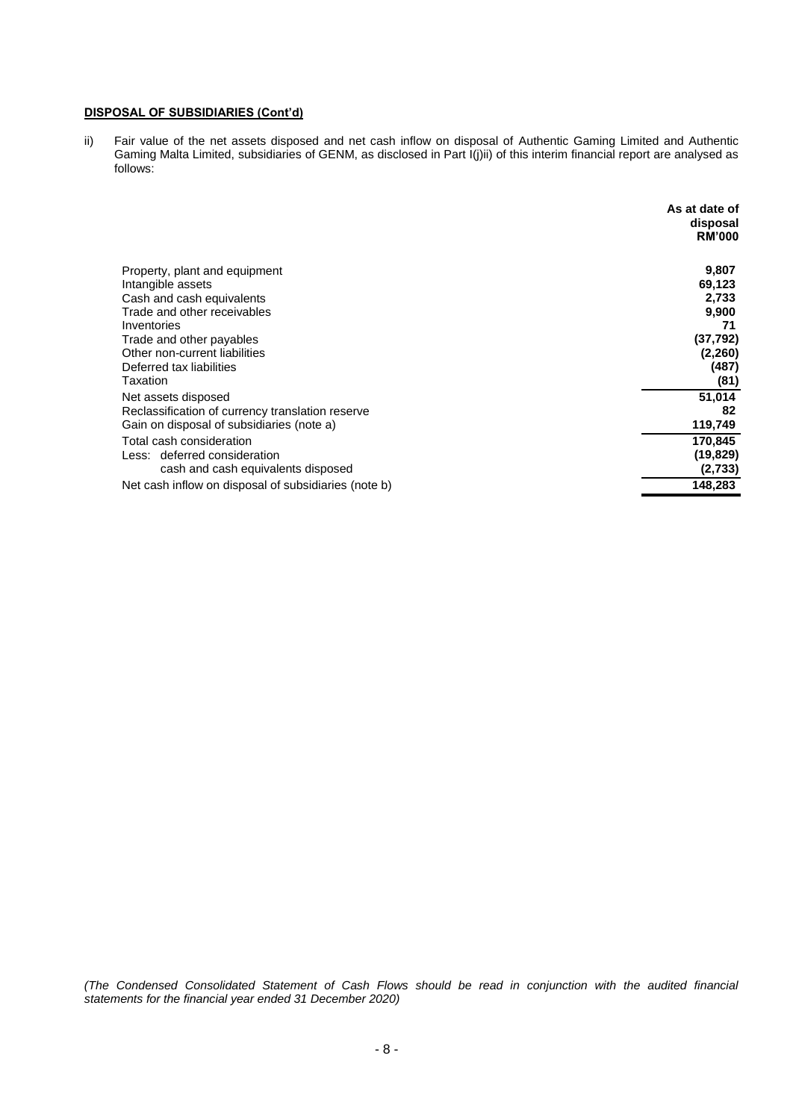### **DISPOSAL OF SUBSIDIARIES (Cont'd)**

ii) Fair value of the net assets disposed and net cash inflow on disposal of Authentic Gaming Limited and Authentic Gaming Malta Limited, subsidiaries of GENM, as disclosed in Part I(j)ii) of this interim financial report are analysed as follows:

|                                                      | As at date of<br>disposal<br><b>RM'000</b> |
|------------------------------------------------------|--------------------------------------------|
| Property, plant and equipment                        | 9,807                                      |
| Intangible assets                                    | 69,123                                     |
| Cash and cash equivalents                            | 2,733                                      |
| Trade and other receivables                          | 9,900                                      |
| Inventories                                          | 71                                         |
| Trade and other payables                             | (37, 792)                                  |
| Other non-current liabilities                        | (2, 260)                                   |
| Deferred tax liabilities                             | (487)                                      |
| Taxation                                             | (81)                                       |
| Net assets disposed                                  | 51,014                                     |
| Reclassification of currency translation reserve     | 82                                         |
| Gain on disposal of subsidiaries (note a)            | 119,749                                    |
| Total cash consideration                             | 170,845                                    |
| Less: deferred consideration                         | (19, 829)                                  |
| cash and cash equivalents disposed                   | (2,733)                                    |
| Net cash inflow on disposal of subsidiaries (note b) | 148,283                                    |

*(The Condensed Consolidated Statement of Cash Flows should be read in conjunction with the audited financial statements for the financial year ended 31 December 2020)*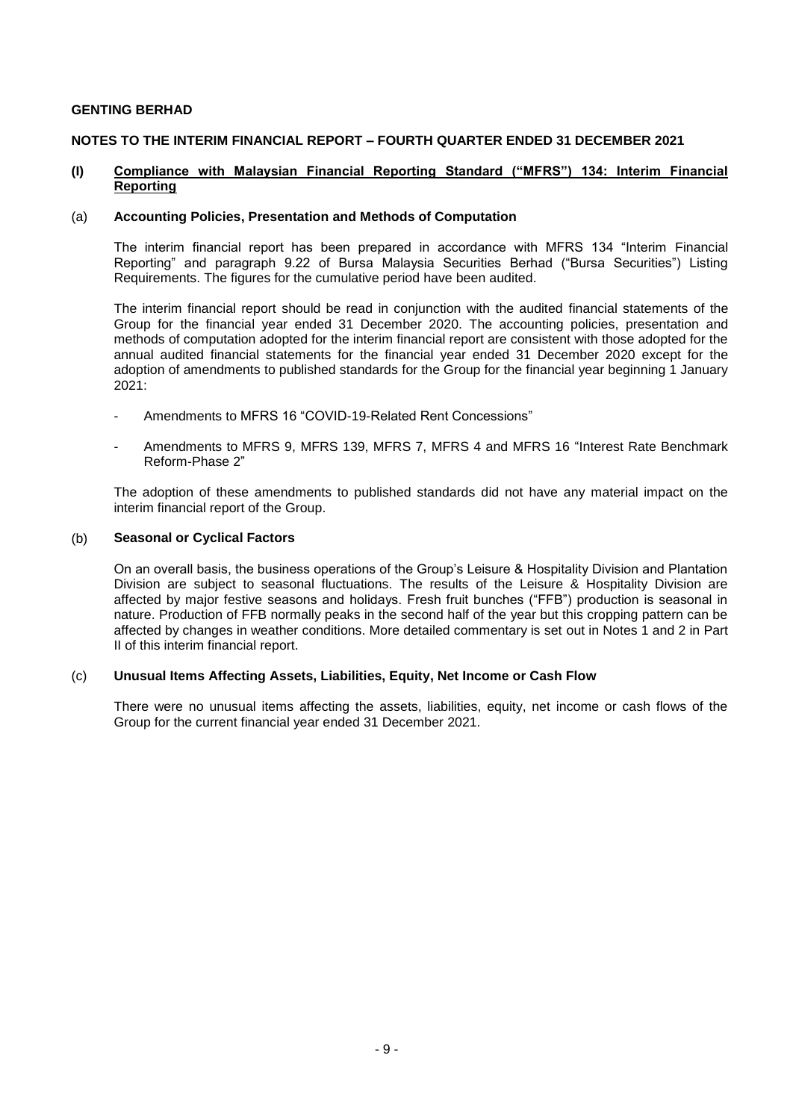#### **GENTING BERHAD**

# **NOTES TO THE INTERIM FINANCIAL REPORT – FOURTH QUARTER ENDED 31 DECEMBER 2021**

#### **(I) Compliance with Malaysian Financial Reporting Standard ("MFRS") 134: Interim Financial Reporting**

#### (a) **Accounting Policies, Presentation and Methods of Computation**

The interim financial report has been prepared in accordance with MFRS 134 "Interim Financial Reporting" and paragraph 9.22 of Bursa Malaysia Securities Berhad ("Bursa Securities") Listing Requirements. The figures for the cumulative period have been audited.

The interim financial report should be read in conjunction with the audited financial statements of the Group for the financial year ended 31 December 2020. The accounting policies, presentation and methods of computation adopted for the interim financial report are consistent with those adopted for the annual audited financial statements for the financial year ended 31 December 2020 except for the adoption of amendments to published standards for the Group for the financial year beginning 1 January 2021:

- Amendments to MFRS 16 "COVID-19-Related Rent Concessions"
- Amendments to MFRS 9, MFRS 139, MFRS 7, MFRS 4 and MFRS 16 "Interest Rate Benchmark Reform-Phase 2"

The adoption of these amendments to published standards did not have any material impact on the interim financial report of the Group.

#### (b) **Seasonal or Cyclical Factors**

On an overall basis, the business operations of the Group's Leisure & Hospitality Division and Plantation Division are subject to seasonal fluctuations. The results of the Leisure & Hospitality Division are affected by major festive seasons and holidays. Fresh fruit bunches ("FFB") production is seasonal in nature. Production of FFB normally peaks in the second half of the year but this cropping pattern can be affected by changes in weather conditions. More detailed commentary is set out in Notes 1 and 2 in Part II of this interim financial report.

# (c) **Unusual Items Affecting Assets, Liabilities, Equity, Net Income or Cash Flow**

There were no unusual items affecting the assets, liabilities, equity, net income or cash flows of the Group for the current financial year ended 31 December 2021.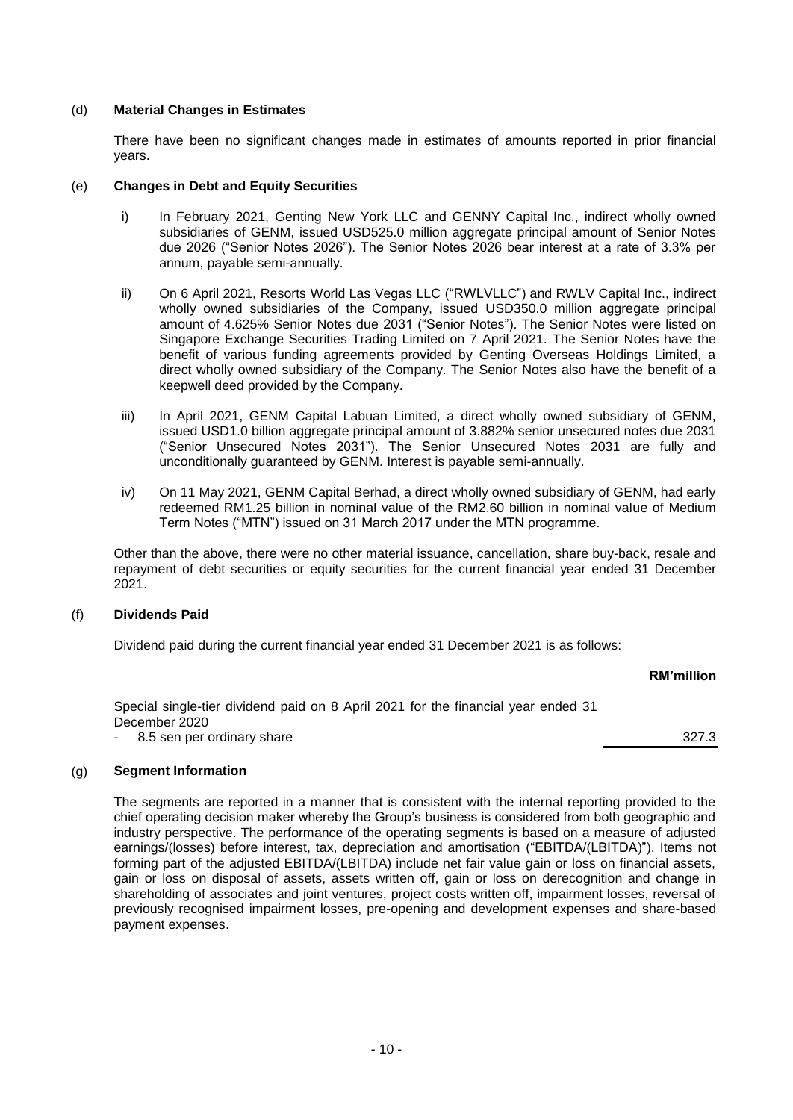### (d) **Material Changes in Estimates**

There have been no significant changes made in estimates of amounts reported in prior financial years.

#### (e) **Changes in Debt and Equity Securities**

- i) In February 2021, Genting New York LLC and GENNY Capital Inc., indirect wholly owned subsidiaries of GENM, issued USD525.0 million aggregate principal amount of Senior Notes due 2026 ("Senior Notes 2026"). The Senior Notes 2026 bear interest at a rate of 3.3% per annum, payable semi-annually.
- ii) On 6 April 2021, Resorts World Las Vegas LLC ("RWLVLLC") and RWLV Capital Inc., indirect wholly owned subsidiaries of the Company, issued USD350.0 million aggregate principal amount of 4.625% Senior Notes due 2031 ("Senior Notes"). The Senior Notes were listed on Singapore Exchange Securities Trading Limited on 7 April 2021. The Senior Notes have the benefit of various funding agreements provided by Genting Overseas Holdings Limited, a direct wholly owned subsidiary of the Company. The Senior Notes also have the benefit of a keepwell deed provided by the Company.
- iii) In April 2021, GENM Capital Labuan Limited, a direct wholly owned subsidiary of GENM, issued USD1.0 billion aggregate principal amount of 3.882% senior unsecured notes due 2031 ("Senior Unsecured Notes 2031"). The Senior Unsecured Notes 2031 are fully and unconditionally guaranteed by GENM. Interest is payable semi-annually.
- iv) On 11 May 2021, GENM Capital Berhad, a direct wholly owned subsidiary of GENM, had early redeemed RM1.25 billion in nominal value of the RM2.60 billion in nominal value of Medium Term Notes ("MTN") issued on 31 March 2017 under the MTN programme.

Other than the above, there were no other material issuance, cancellation, share buy-back, resale and repayment of debt securities or equity securities for the current financial year ended 31 December 2021.

# (f) **Dividends Paid**

Dividend paid during the current financial year ended 31 December 2021 is as follows:

# **RM'million**

Special single-tier dividend paid on 8 April 2021 for the financial year ended 31 December 2020 8.5 sen per ordinary share 327.3

# (g) **Segment Information**

The segments are reported in a manner that is consistent with the internal reporting provided to the chief operating decision maker whereby the Group's business is considered from both geographic and industry perspective. The performance of the operating segments is based on a measure of adjusted earnings/(losses) before interest, tax, depreciation and amortisation ("EBITDA/(LBITDA)"). Items not forming part of the adjusted EBITDA/(LBITDA) include net fair value gain or loss on financial assets, gain or loss on disposal of assets, assets written off, gain or loss on derecognition and change in shareholding of associates and joint ventures, project costs written off, impairment losses, reversal of previously recognised impairment losses, pre-opening and development expenses and share-based payment expenses.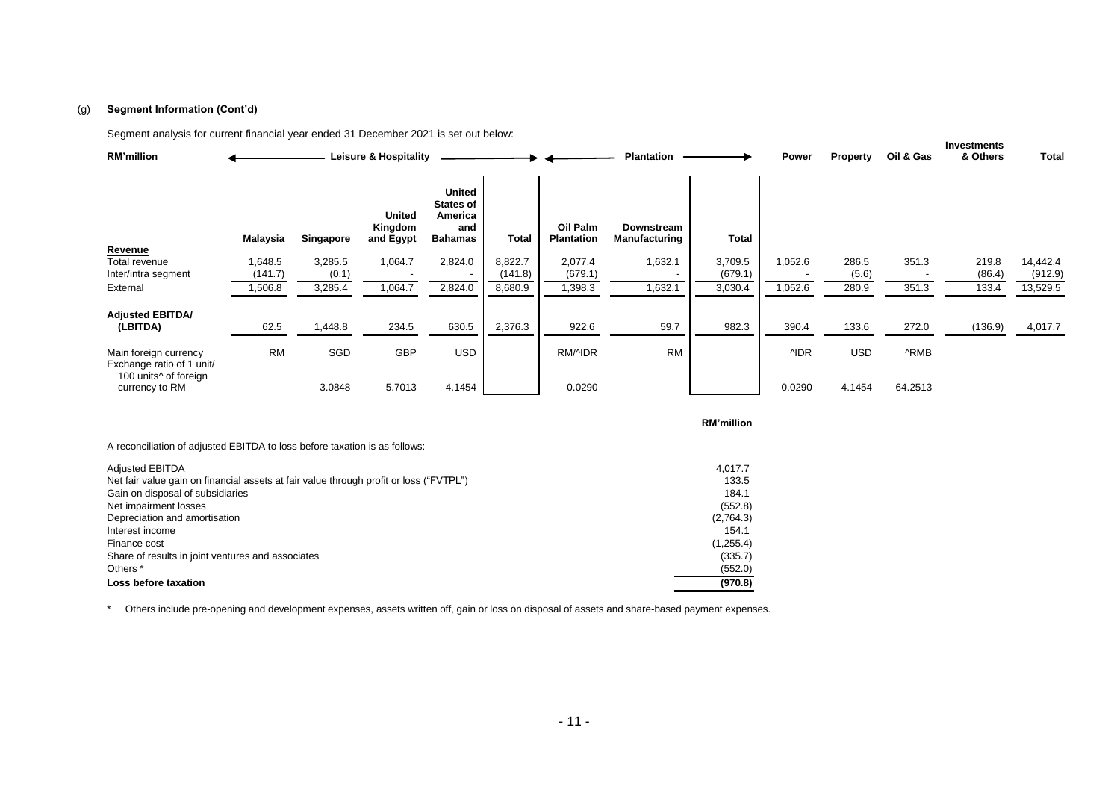#### (g) **Segment Information (Cont'd)**

Segment analysis for current financial year ended 31 December 2021 is set out below:

| <b>RM'million</b>                                   |                    |                  | <b>Leisure &amp; Hospitality</b>      |                                                                       | <b>Power</b>       | <b>Property</b>               | Oil & Gas                                 | Investments<br>& Others | Total      |                |         |                 |                     |
|-----------------------------------------------------|--------------------|------------------|---------------------------------------|-----------------------------------------------------------------------|--------------------|-------------------------------|-------------------------------------------|-------------------------|------------|----------------|---------|-----------------|---------------------|
|                                                     | Malaysia           | Singapore        | <b>United</b><br>Kingdom<br>and Egypt | <b>United</b><br><b>States of</b><br>America<br>and<br><b>Bahamas</b> | <b>Total</b>       | Oil Palm<br><b>Plantation</b> | <b>Downstream</b><br><b>Manufacturing</b> | <b>Total</b>            |            |                |         |                 |                     |
| Revenue                                             |                    |                  |                                       |                                                                       |                    |                               |                                           |                         |            |                |         |                 |                     |
| Total revenue<br>Inter/intra segment                | 1,648.5<br>(141.7) | 3,285.5<br>(0.1) | 1,064.7                               | 2,824.0                                                               | 8,822.7<br>(141.8) | 2,077.4<br>(679.1)            | 1,632.1                                   | 3,709.5<br>(679.1)      | 1,052.6    | 286.5<br>(5.6) | 351.3   | 219.8<br>(86.4) | 14,442.4<br>(912.9) |
| External                                            | 1,506.8            | 3,285.4          | 1,064.7                               | 2,824.0                                                               | 8,680.9            | 1,398.3                       | 1,632.1                                   | 3,030.4                 | 1,052.6    | 280.9          | 351.3   | 133.4           | 13,529.5            |
| <b>Adjusted EBITDA/</b><br>(LBITDA)                 | 62.5               | 1,448.8          | 234.5                                 | 630.5                                                                 | 2,376.3            | 922.6                         | 59.7                                      | 982.3                   | 390.4      | 133.6          | 272.0   | (136.9)         | 4,017.7             |
| Main foreign currency<br>Exchange ratio of 1 unit/  | <b>RM</b>          | SGD              | GBP                                   | <b>USD</b>                                                            |                    | RM/4DR                        | <b>RM</b>                                 |                         | <b>NDR</b> | <b>USD</b>     | ^RMB    |                 |                     |
| 100 units <sup>^</sup> of foreign<br>currency to RM |                    | 3.0848           | 5.7013                                | 4.1454                                                                |                    | 0.0290                        |                                           |                         | 0.0290     | 4.1454         | 64.2513 |                 |                     |

**RM'million**

A reconciliation of adjusted EBITDA to loss before taxation is as follows:

| <b>Adjusted EBITDA</b>                                                                 | 4.017.7   |
|----------------------------------------------------------------------------------------|-----------|
| Net fair value gain on financial assets at fair value through profit or loss ("FVTPL") | 133.5     |
| Gain on disposal of subsidiaries                                                       | 184.1     |
| Net impairment losses                                                                  | (552.8)   |
| Depreciation and amortisation                                                          | (2,764.3) |
| Interest income                                                                        | 154.1     |
| Finance cost                                                                           | (1,255.4) |
| Share of results in joint ventures and associates                                      | (335.7)   |
| Others <sup>*</sup>                                                                    | (552.0)   |
| Loss before taxation                                                                   | (970.8)   |

\* Others include pre-opening and development expenses, assets written off, gain or loss on disposal of assets and share-based payment expenses.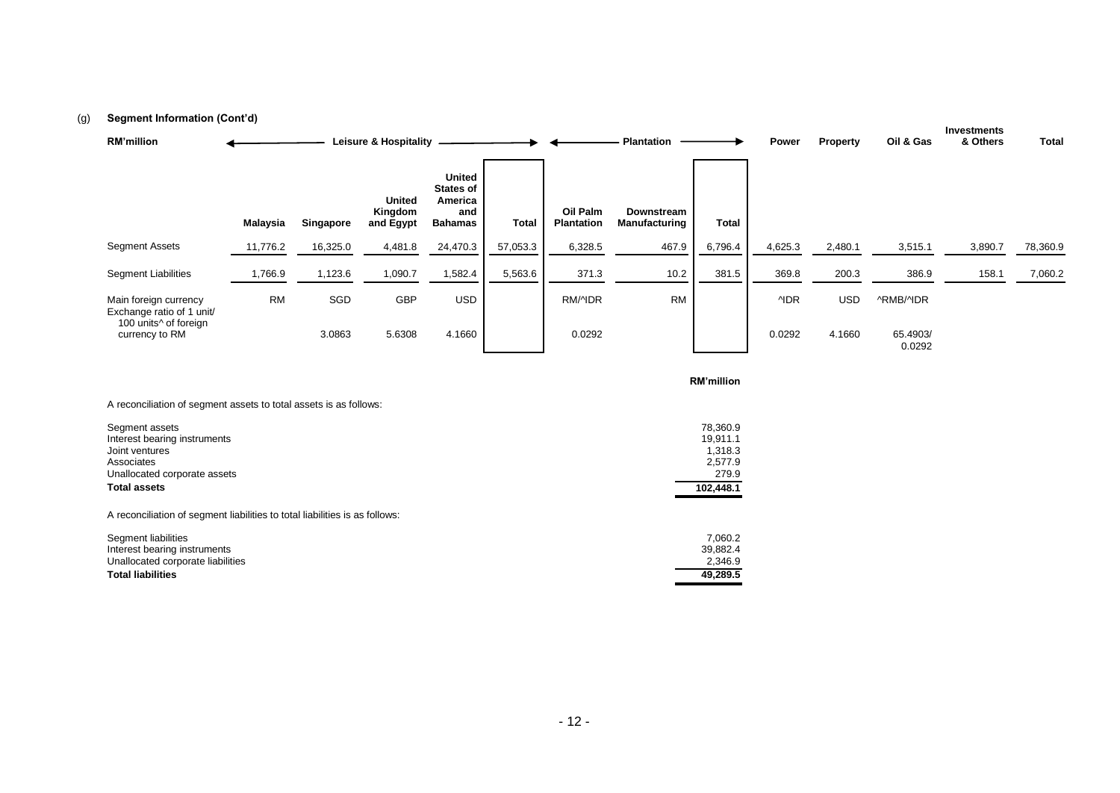### (g) **Segment Information (Cont'd)**

| <b>Programmation</b>                                |           |           |                                       |                                                                       |              |                               |                             |              |            |                 |                    | Investments |          |
|-----------------------------------------------------|-----------|-----------|---------------------------------------|-----------------------------------------------------------------------|--------------|-------------------------------|-----------------------------|--------------|------------|-----------------|--------------------|-------------|----------|
| <b>RM'million</b>                                   |           |           | <b>Leisure &amp; Hospitality</b>      |                                                                       |              |                               | <b>Plantation</b>           |              | Power      | <b>Property</b> | Oil & Gas          | & Others    | Total    |
|                                                     | Malaysia  | Singapore | <b>United</b><br>Kingdom<br>and Egypt | <b>United</b><br><b>States of</b><br>America<br>and<br><b>Bahamas</b> | <b>Total</b> | Oil Palm<br><b>Plantation</b> | Downstream<br>Manufacturing | <b>Total</b> |            |                 |                    |             |          |
| <b>Segment Assets</b>                               | 11,776.2  | 16,325.0  | 4,481.8                               | 24,470.3                                                              | 57,053.3     | 6,328.5                       | 467.9                       | 6,796.4      | 4,625.3    | 2,480.1         | 3,515.1            | 3,890.7     | 78,360.9 |
| <b>Segment Liabilities</b>                          | 1,766.9   | 1,123.6   | 1,090.7                               | 1,582.4                                                               | 5,563.6      | 371.3                         | 10.2                        | 381.5        | 369.8      | 200.3           | 386.9              | 158.1       | 7,060.2  |
| Main foreign currency<br>Exchange ratio of 1 unit/  | <b>RM</b> | SGD       | GBP                                   | <b>USD</b>                                                            |              | RM/4DR                        | <b>RM</b>                   |              | <b>NDR</b> | <b>USD</b>      | ^RMB/^IDR          |             |          |
| 100 units <sup>^</sup> of foreign<br>currency to RM |           | 3.0863    | 5.6308                                | 4.1660                                                                |              | 0.0292                        |                             |              | 0.0292     | 4.1660          | 65.4903/<br>0.0292 |             |          |

**RM'million**

| A reconciliation of segment assets to total assets is as follows: |  |
|-------------------------------------------------------------------|--|
|                                                                   |  |

| Segment assets               | 78.360.9  |
|------------------------------|-----------|
| Interest bearing instruments | 19.911.1  |
| Joint ventures               | 1.318.3   |
| Associates                   | 2.577.9   |
| Unallocated corporate assets | 279.9     |
| <b>Total assets</b>          | 102.448.1 |

A reconciliation of segment liabilities to total liabilities is as follows:

| Segment liabilities               | 7.060.2  |
|-----------------------------------|----------|
| Interest bearing instruments      | 39.882.4 |
| Unallocated corporate liabilities | 2.346.9  |
| <b>Total liabilities</b>          | 49.289.5 |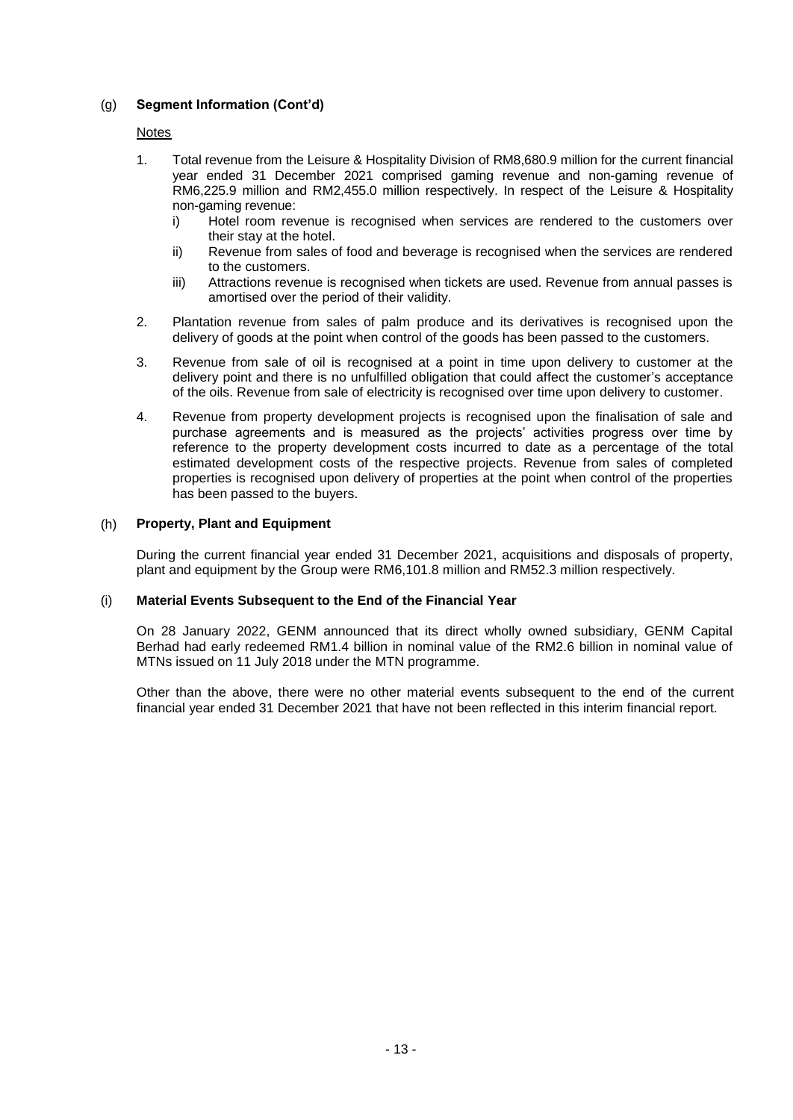# (g) **Segment Information (Cont'd)**

# Notes

- 1. Total revenue from the Leisure & Hospitality Division of RM8,680.9 million for the current financial year ended 31 December 2021 comprised gaming revenue and non-gaming revenue of RM6,225.9 million and RM2,455.0 million respectively. In respect of the Leisure & Hospitality non-gaming revenue:
	- i) Hotel room revenue is recognised when services are rendered to the customers over their stay at the hotel.
	- ii) Revenue from sales of food and beverage is recognised when the services are rendered to the customers.
	- iii) Attractions revenue is recognised when tickets are used. Revenue from annual passes is amortised over the period of their validity.
- 2. Plantation revenue from sales of palm produce and its derivatives is recognised upon the delivery of goods at the point when control of the goods has been passed to the customers.
- 3. Revenue from sale of oil is recognised at a point in time upon delivery to customer at the delivery point and there is no unfulfilled obligation that could affect the customer's acceptance of the oils. Revenue from sale of electricity is recognised over time upon delivery to customer.
- 4. Revenue from property development projects is recognised upon the finalisation of sale and purchase agreements and is measured as the projects' activities progress over time by reference to the property development costs incurred to date as a percentage of the total estimated development costs of the respective projects. Revenue from sales of completed properties is recognised upon delivery of properties at the point when control of the properties has been passed to the buyers.

# (h) **Property, Plant and Equipment**

During the current financial year ended 31 December 2021, acquisitions and disposals of property, plant and equipment by the Group were RM6,101.8 million and RM52.3 million respectively.

# (i) **Material Events Subsequent to the End of the Financial Year**

On 28 January 2022, GENM announced that its direct wholly owned subsidiary, GENM Capital Berhad had early redeemed RM1.4 billion in nominal value of the RM2.6 billion in nominal value of MTNs issued on 11 July 2018 under the MTN programme.

Other than the above, there were no other material events subsequent to the end of the current financial year ended 31 December 2021 that have not been reflected in this interim financial report.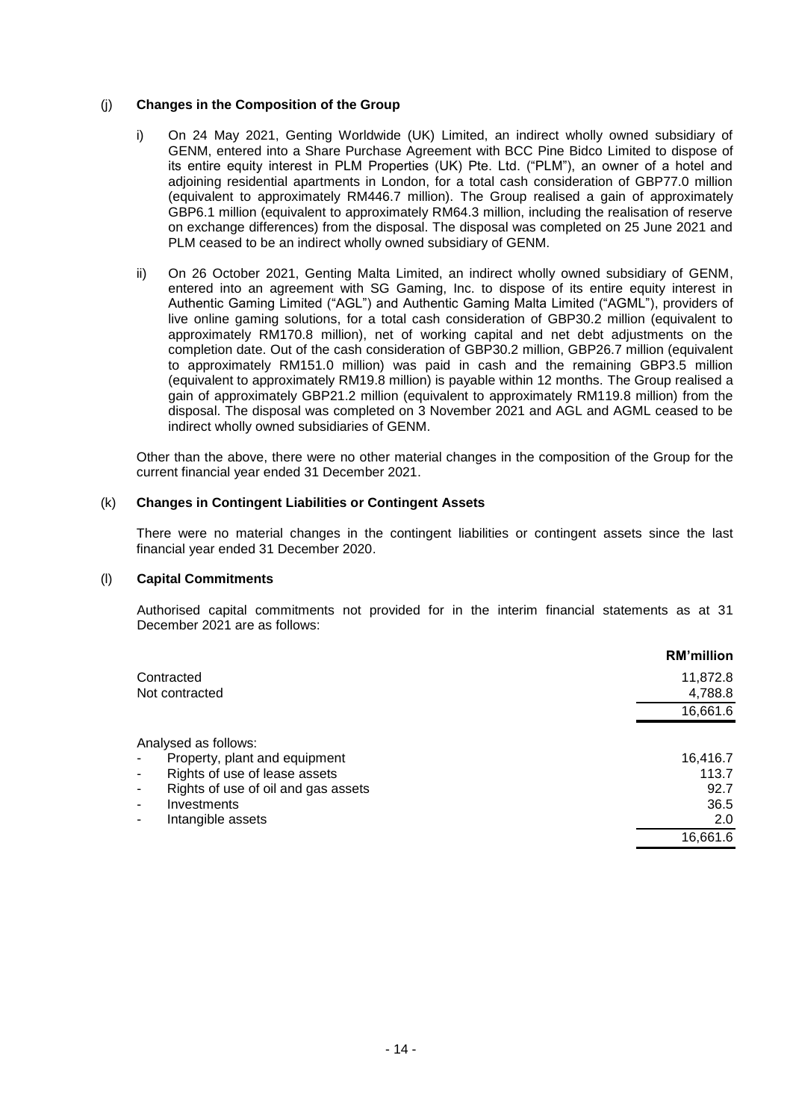### (j) **Changes in the Composition of the Group**

- i) On 24 May 2021, Genting Worldwide (UK) Limited, an indirect wholly owned subsidiary of GENM, entered into a Share Purchase Agreement with BCC Pine Bidco Limited to dispose of its entire equity interest in PLM Properties (UK) Pte. Ltd. ("PLM"), an owner of a hotel and adjoining residential apartments in London, for a total cash consideration of GBP77.0 million (equivalent to approximately RM446.7 million). The Group realised a gain of approximately GBP6.1 million (equivalent to approximately RM64.3 million, including the realisation of reserve on exchange differences) from the disposal. The disposal was completed on 25 June 2021 and PLM ceased to be an indirect wholly owned subsidiary of GENM.
- ii) On 26 October 2021, Genting Malta Limited, an indirect wholly owned subsidiary of GENM, entered into an agreement with SG Gaming, Inc. to dispose of its entire equity interest in Authentic Gaming Limited ("AGL") and Authentic Gaming Malta Limited ("AGML"), providers of live online gaming solutions, for a total cash consideration of GBP30.2 million (equivalent to approximately RM170.8 million), net of working capital and net debt adjustments on the completion date. Out of the cash consideration of GBP30.2 million, GBP26.7 million (equivalent to approximately RM151.0 million) was paid in cash and the remaining GBP3.5 million (equivalent to approximately RM19.8 million) is payable within 12 months. The Group realised a gain of approximately GBP21.2 million (equivalent to approximately RM119.8 million) from the disposal. The disposal was completed on 3 November 2021 and AGL and AGML ceased to be indirect wholly owned subsidiaries of GENM.

Other than the above, there were no other material changes in the composition of the Group for the current financial year ended 31 December 2021.

#### (k) **Changes in Contingent Liabilities or Contingent Assets**

There were no material changes in the contingent liabilities or contingent assets since the last financial year ended 31 December 2020.

#### (l) **Capital Commitments**

Authorised capital commitments not provided for in the interim financial statements as at 31 December 2021 are as follows:

|                                                                     | <b>RM'million</b> |
|---------------------------------------------------------------------|-------------------|
| Contracted                                                          | 11,872.8          |
| Not contracted                                                      | 4,788.8           |
|                                                                     | 16,661.6          |
| Analysed as follows:                                                |                   |
| Property, plant and equipment<br>-                                  | 16,416.7          |
| Rights of use of lease assets<br>-                                  | 113.7             |
| Rights of use of oil and gas assets<br>$\qquad \qquad \blacksquare$ | 92.7              |
| Investments<br>۰                                                    | 36.5              |
| Intangible assets<br>۰                                              | 2.0               |
|                                                                     | 16,661.6          |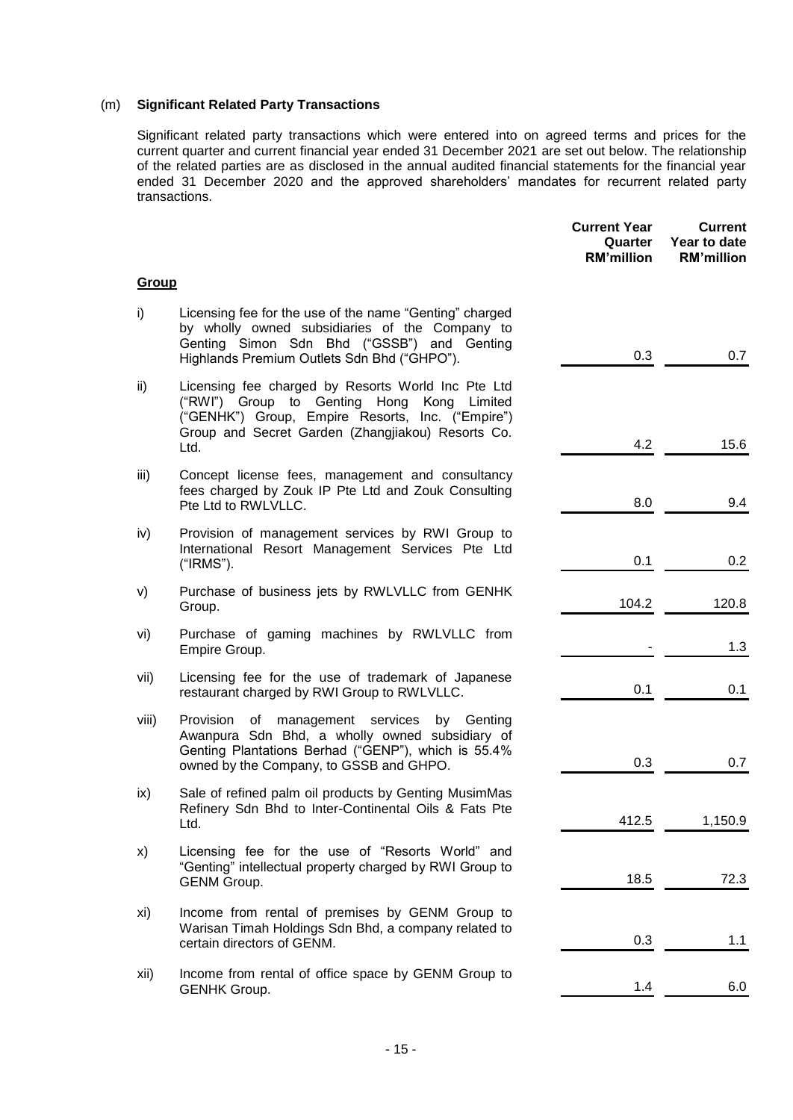### (m) **Significant Related Party Transactions**

Significant related party transactions which were entered into on agreed terms and prices for the current quarter and current financial year ended 31 December 2021 are set out below. The relationship of the related parties are as disclosed in the annual audited financial statements for the financial year ended 31 December 2020 and the approved shareholders' mandates for recurrent related party transactions.

|              |                                                                                                                                                                                                                      | <b>Current Year</b><br>Quarter<br><b>RM'million</b> | <b>Current</b><br>Year to date<br><b>RM'million</b> |
|--------------|----------------------------------------------------------------------------------------------------------------------------------------------------------------------------------------------------------------------|-----------------------------------------------------|-----------------------------------------------------|
| <u>Group</u> |                                                                                                                                                                                                                      |                                                     |                                                     |
| i)           | Licensing fee for the use of the name "Genting" charged<br>by wholly owned subsidiaries of the Company to<br>Genting Simon Sdn Bhd ("GSSB") and Genting<br>Highlands Premium Outlets Sdn Bhd ("GHPO").               | 0.3                                                 | 0.7                                                 |
| ii)          | Licensing fee charged by Resorts World Inc Pte Ltd<br>("RWI") Group to Genting Hong<br>Kong Limited<br>("GENHK") Group, Empire Resorts, Inc. ("Empire")<br>Group and Secret Garden (Zhangjiakou) Resorts Co.<br>Ltd. | 4.2                                                 | 15.6                                                |
| iii)         | Concept license fees, management and consultancy<br>fees charged by Zouk IP Pte Ltd and Zouk Consulting<br>Pte Ltd to RWLVLLC.                                                                                       | 8.0                                                 | 9.4                                                 |
| iv)          | Provision of management services by RWI Group to<br>International Resort Management Services Pte Ltd<br>("IRMS").                                                                                                    | 0.1                                                 | 0.2                                                 |
| v)           | Purchase of business jets by RWLVLLC from GENHK<br>Group.                                                                                                                                                            | 104.2                                               | 120.8                                               |
| vi)          | Purchase of gaming machines by RWLVLLC from<br>Empire Group.                                                                                                                                                         |                                                     | 1.3                                                 |
| vii)         | Licensing fee for the use of trademark of Japanese<br>restaurant charged by RWI Group to RWLVLLC.                                                                                                                    | 0.1                                                 | 0.1                                                 |
| viii)        | Provision<br>management services<br>οf<br>by Genting<br>Awanpura Sdn Bhd, a wholly owned subsidiary of<br>Genting Plantations Berhad ("GENP"), which is 55.4%<br>owned by the Company, to GSSB and GHPO.             | 0.3                                                 | 0.7                                                 |
| ix)          | Sale of refined palm oil products by Genting MusimMas<br>Refinery Sdn Bhd to Inter-Continental Oils & Fats Pte<br>Ltd.                                                                                               | 412.5                                               | 1,150.9                                             |
| x)           | Licensing fee for the use of "Resorts World" and<br>"Genting" intellectual property charged by RWI Group to<br><b>GENM Group.</b>                                                                                    | 18.5                                                | 72.3                                                |
| xi)          | Income from rental of premises by GENM Group to<br>Warisan Timah Holdings Sdn Bhd, a company related to<br>certain directors of GENM.                                                                                | 0.3                                                 | 1.1                                                 |
| xii)         | Income from rental of office space by GENM Group to<br><b>GENHK Group.</b>                                                                                                                                           | 1.4                                                 | 6.0                                                 |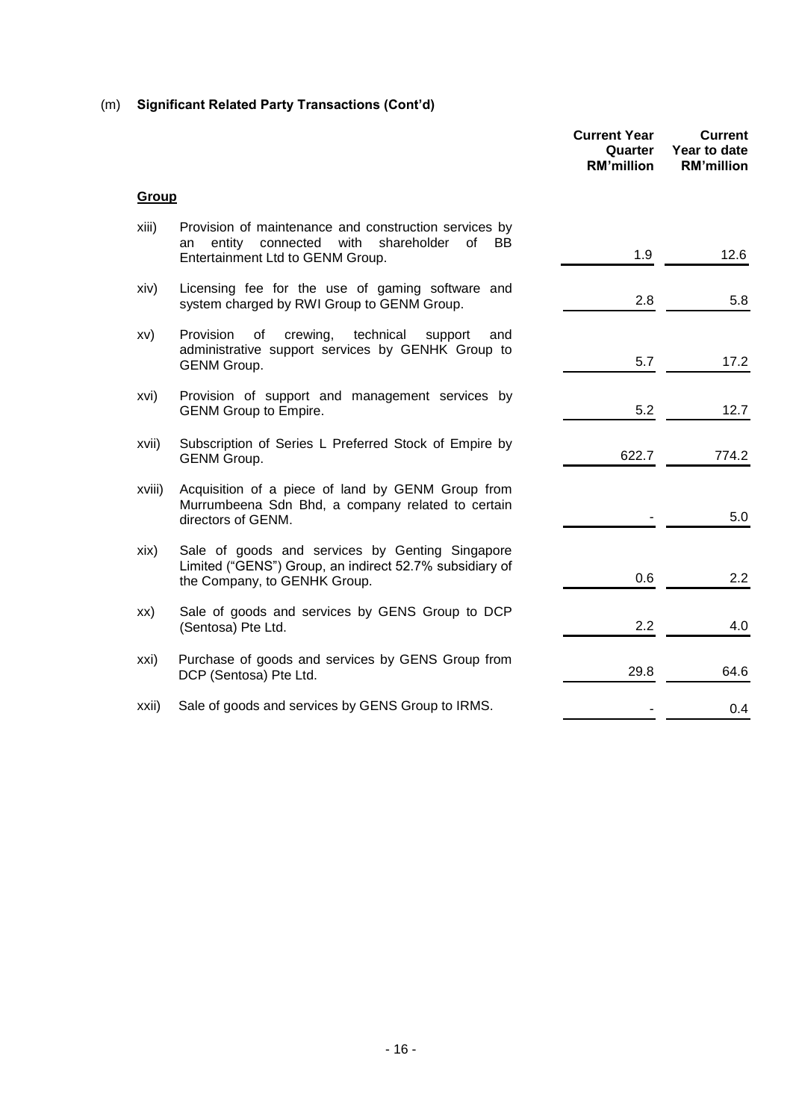# (m) **Significant Related Party Transactions (Cont'd)**

|              |                                                                                                                                                        | <b>Current Year</b><br>Quarter<br><b>RM'million</b> | <b>Current</b><br>Year to date<br><b>RM'million</b> |
|--------------|--------------------------------------------------------------------------------------------------------------------------------------------------------|-----------------------------------------------------|-----------------------------------------------------|
| <b>Group</b> |                                                                                                                                                        |                                                     |                                                     |
| xiii)        | Provision of maintenance and construction services by<br>with<br>entity<br>connected<br>shareholder<br>of BB<br>an<br>Entertainment Ltd to GENM Group. | 1.9                                                 | 12.6                                                |
| xiv)         | Licensing fee for the use of gaming software and<br>system charged by RWI Group to GENM Group.                                                         | 2.8                                                 | 5.8                                                 |
| xv)          | technical<br>Provision<br>οf<br>crewing,<br>support<br>and<br>administrative support services by GENHK Group to<br><b>GENM Group.</b>                  | 5.7                                                 | 17.2                                                |
| xvi)         | Provision of support and management services by<br><b>GENM Group to Empire.</b>                                                                        | 5.2                                                 | 12.7                                                |
| xvii)        | Subscription of Series L Preferred Stock of Empire by<br><b>GENM Group.</b>                                                                            | 622.7                                               | 774.2                                               |
| xviii)       | Acquisition of a piece of land by GENM Group from<br>Murrumbeena Sdn Bhd, a company related to certain<br>directors of GENM.                           |                                                     | 5.0                                                 |
| xix)         | Sale of goods and services by Genting Singapore<br>Limited ("GENS") Group, an indirect 52.7% subsidiary of<br>the Company, to GENHK Group.             | 0.6                                                 | 2.2                                                 |
| XX)          | Sale of goods and services by GENS Group to DCP<br>(Sentosa) Pte Ltd.                                                                                  | 2.2                                                 | 4.0                                                 |
| xxi)         | Purchase of goods and services by GENS Group from<br>DCP (Sentosa) Pte Ltd.                                                                            | 29.8                                                | 64.6                                                |
| xxii)        | Sale of goods and services by GENS Group to IRMS.                                                                                                      |                                                     | 0.4                                                 |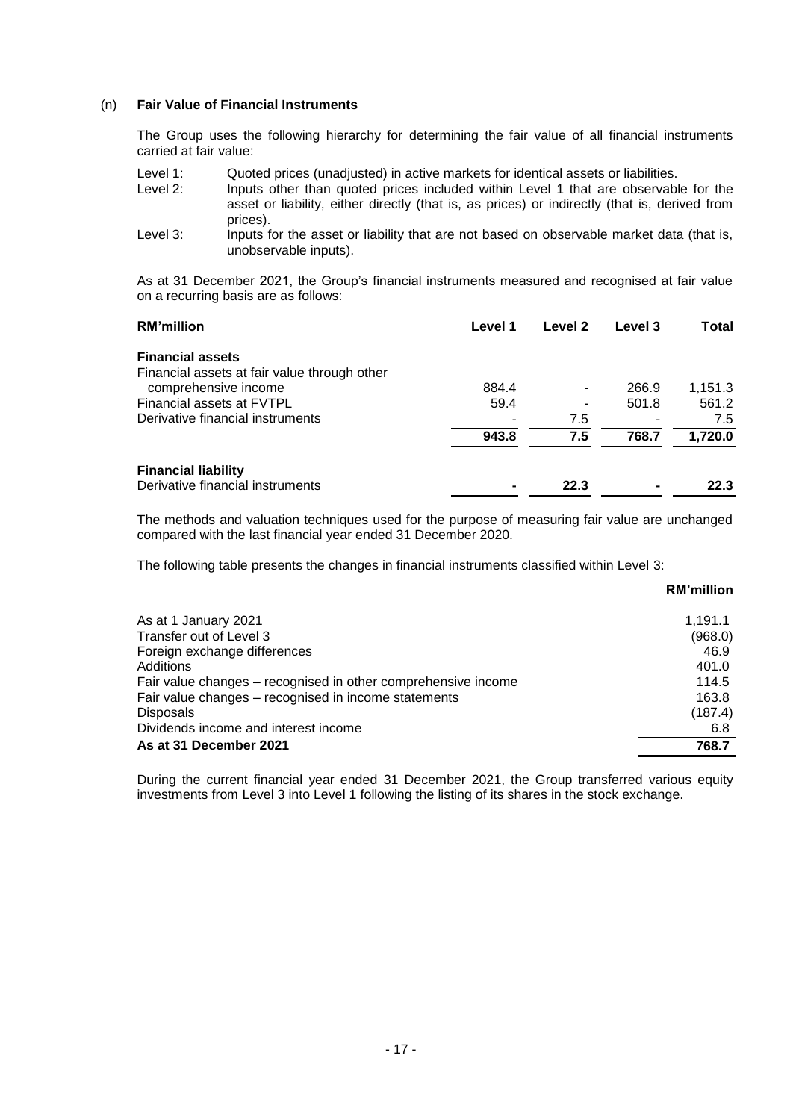#### (n) **Fair Value of Financial Instruments**

The Group uses the following hierarchy for determining the fair value of all financial instruments carried at fair value:

| Level 1: | Quoted prices (unadjusted) in active markets for identical assets or liabilities.                                                                                                                |
|----------|--------------------------------------------------------------------------------------------------------------------------------------------------------------------------------------------------|
| Level 2: | Inputs other than quoted prices included within Level 1 that are observable for the<br>asset or liability, either directly (that is, as prices) or indirectly (that is, derived from<br>prices). |
| Level 3: | Inputs for the asset or liability that are not based on observable market data (that is,<br>unobservable inputs).                                                                                |

As at 31 December 2021, the Group's financial instruments measured and recognised at fair value on a recurring basis are as follows:

| Level 1 | Level 2 | Level 3 | Total   |
|---------|---------|---------|---------|
|         |         |         |         |
|         |         |         |         |
| 884.4   |         | 266.9   | 1,151.3 |
| 59.4    |         | 501.8   | 561.2   |
|         | 7.5     |         | 7.5     |
| 943.8   | 7.5     | 768.7   | 1,720.0 |
|         |         |         |         |
|         | 22.3    |         | 22.3    |
|         |         |         |         |

The methods and valuation techniques used for the purpose of measuring fair value are unchanged compared with the last financial year ended 31 December 2020.

The following table presents the changes in financial instruments classified within Level 3:

|                                                               | <b>RM'million</b> |
|---------------------------------------------------------------|-------------------|
| As at 1 January 2021                                          | 1.191.1           |
| Transfer out of Level 3                                       | (968.0)           |
| Foreign exchange differences                                  | 46.9              |
| Additions                                                     | 401.0             |
| Fair value changes – recognised in other comprehensive income | 114.5             |
| Fair value changes - recognised in income statements          | 163.8             |
| <b>Disposals</b>                                              | (187.4)           |
| Dividends income and interest income                          | 6.8               |
| As at 31 December 2021                                        | 768.7             |

During the current financial year ended 31 December 2021, the Group transferred various equity investments from Level 3 into Level 1 following the listing of its shares in the stock exchange.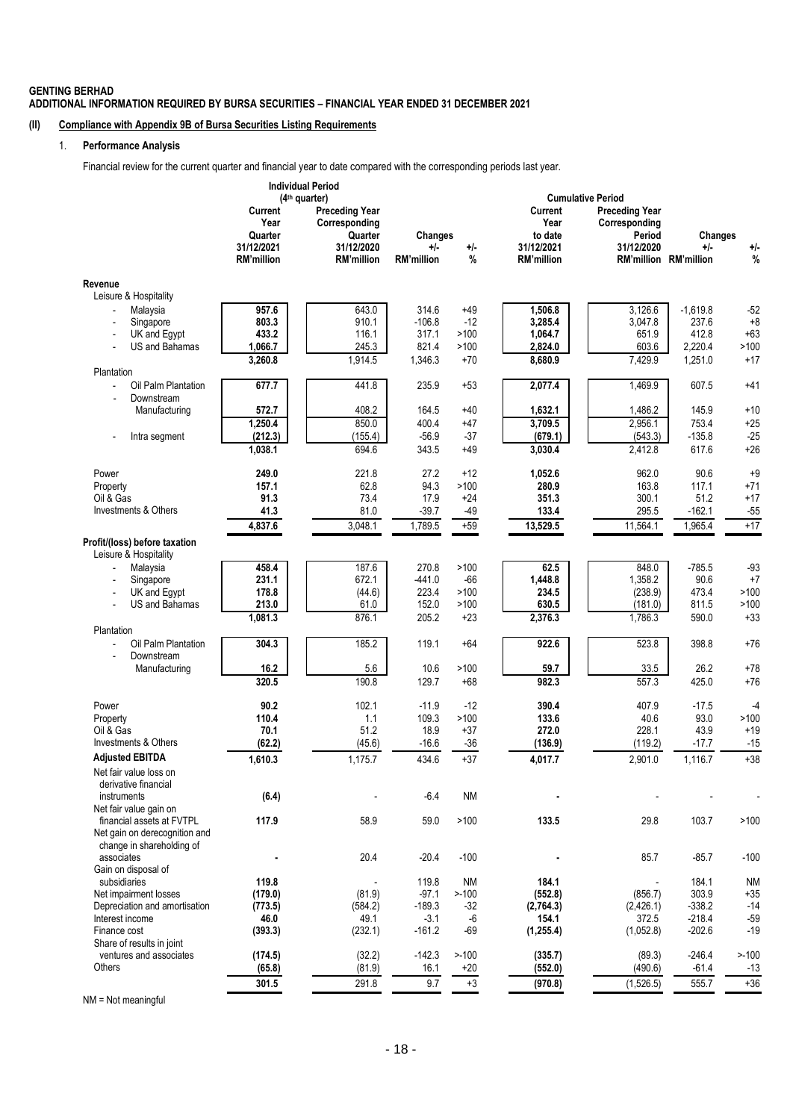#### **GENTING BERHAD ADDITIONAL INFORMATION REQUIRED BY BURSA SECURITIES – FINANCIAL YEAR ENDED 31 DECEMBER 2021**

### **(II) Compliance with Appendix 9B of Bursa Securities Listing Requirements**

#### 1. **Performance Analysis**

Financial review for the current quarter and financial year to date compared with the corresponding periods last year.

|                                                            | <b>Individual Period</b><br>(4 <sup>th</sup> quarter) |                                                   |                            |               | <b>Cumulative Period</b>        |                                                  |                                |                |
|------------------------------------------------------------|-------------------------------------------------------|---------------------------------------------------|----------------------------|---------------|---------------------------------|--------------------------------------------------|--------------------------------|----------------|
|                                                            | <b>Current</b><br>Year<br>Quarter                     | <b>Preceding Year</b><br>Corresponding<br>Quarter | <b>Changes</b>             |               | Current<br>Year<br>to date      | <b>Preceding Year</b><br>Corresponding<br>Period | Changes                        |                |
|                                                            | 31/12/2021<br><b>RM'million</b>                       | 31/12/2020<br><b>RM'million</b>                   | $+/-$<br><b>RM'million</b> | $+/-$<br>%    | 31/12/2021<br><b>RM'million</b> | 31/12/2020                                       | $+/-$<br>RM'million RM'million | $+/-$<br>%     |
| Revenue                                                    |                                                       |                                                   |                            |               |                                 |                                                  |                                |                |
| Leisure & Hospitality                                      |                                                       |                                                   |                            |               |                                 |                                                  |                                |                |
| Malaysia                                                   | 957.6                                                 | 643.0                                             | 314.6                      | $+49$         | 1,506.8                         | 3,126.6                                          | $-1,619.8$                     | $-52$          |
| Singapore                                                  | 803.3                                                 | 910.1                                             | $-106.8$                   | $-12$         | 3,285.4                         | 3,047.8                                          | 237.6                          | $+8$           |
| UK and Egypt                                               | 433.2                                                 | 116.1                                             | 317.1                      | >100          | 1,064.7                         | 651.9                                            | 412.8                          | $+63$          |
| US and Bahamas                                             | 1,066.7                                               | 245.3                                             | 821.4                      | >100          | 2,824.0                         | 603.6                                            | 2,220.4                        | >100           |
| Plantation                                                 | 3,260.8                                               | 1,914.5                                           | 1,346.3                    | $+70$         | 8,680.9                         | 7,429.9                                          | 1,251.0                        | $+17$          |
| Oil Palm Plantation<br>$\overline{a}$<br>Downstream        | 677.7                                                 | 441.8                                             | 235.9                      | $+53$         | 2,077.4                         | 1,469.9                                          | 607.5                          | $+41$          |
| Manufacturing                                              | 572.7                                                 | 408.2                                             | 164.5                      | $+40$         | 1,632.1                         | 1,486.2                                          | 145.9                          | $+10$          |
|                                                            | 1,250.4                                               | 850.0                                             | 400.4                      | $+47$         | 3,709.5                         | 2,956.1                                          | 753.4                          | $+25$          |
| Intra segment<br>$\overline{a}$                            | (212.3)                                               | (155.4)                                           | $-56.9$                    | $-37$         | (679.1)                         | (543.3)                                          | $-135.8$                       | $-25$          |
|                                                            | 1,038.1                                               | 694.6                                             | 343.5                      | $+49$         | 3,030.4                         | 2.412.8                                          | 617.6                          | $+26$          |
| Power                                                      | 249.0                                                 | 221.8                                             | 27.2                       | $+12$         | 1,052.6                         | 962.0                                            | 90.6                           | $+9$           |
| Property                                                   | 157.1                                                 | 62.8                                              | 94.3                       | >100          | 280.9                           | 163.8                                            | 117.1                          | +71            |
| Oil & Gas                                                  | 91.3                                                  | 73.4                                              | 17.9                       | $+24$         | 351.3                           | 300.1                                            | 51.2                           | $+17$          |
| Investments & Others                                       | 41.3                                                  | 81.0                                              | -39.7                      | -49           | 133.4                           | 295.5                                            | $-162.1$                       | $-55$          |
|                                                            | 4,837.6                                               | 3,048.1                                           | 1,789.5                    | $+59$         | 13,529.5                        | 11,564.1                                         | 1,965.4                        | $+17$          |
| Profit/(loss) before taxation<br>Leisure & Hospitality     |                                                       |                                                   |                            |               |                                 |                                                  |                                |                |
| Malaysia<br>$\blacksquare$                                 | 458.4                                                 | 187.6                                             | 270.8                      | >100          | 62.5                            | 848.0                                            | $-785.5$                       | $-93$          |
| Singapore                                                  | 231.1                                                 | 672.1                                             | $-441.0$                   | $-66$         | 1,448.8                         | 1,358.2                                          | 90.6                           | $+7$           |
| UK and Egypt                                               | 178.8                                                 | (44.6)                                            | 223.4                      | >100          | 234.5                           | (238.9)                                          | 473.4                          | >100           |
| US and Bahamas                                             | 213.0                                                 | 61.0                                              | 152.0                      | >100          | 630.5                           | (181.0)                                          | 811.5                          | >100           |
| Plantation                                                 | 1,081.3                                               | 876.1                                             | 205.2                      | $+23$         | 2,376.3                         | 1,786.3                                          | 590.0                          | $+33$          |
| Oil Palm Plantation                                        | 304.3                                                 | 185.2                                             | 119.1                      | +64           | 922.6                           | 523.8                                            | 398.8                          | $+76$          |
| Downstream                                                 |                                                       |                                                   |                            |               |                                 |                                                  |                                |                |
| Manufacturing                                              | 16.2<br>320.5                                         | 5.6<br>190.8                                      | 10.6<br>129.7              | >100<br>$+68$ | 59.7<br>982.3                   | 33.5<br>557.3                                    | 26.2<br>425.0                  | $+78$<br>$+76$ |
|                                                            |                                                       |                                                   |                            |               |                                 |                                                  |                                |                |
| Power                                                      | 90.2                                                  | 102.1                                             | $-11.9$                    | $-12$         | 390.4                           | 407.9                                            | $-17.5$                        | $-4$           |
| Property                                                   | 110.4                                                 | 1.1                                               | 109.3                      | >100          | 133.6                           | 40.6                                             | 93.0                           | >100           |
| Oil & Gas                                                  | 70.1                                                  | 51.2                                              | 18.9                       | $+37$         | 272.0                           | 228.1                                            | 43.9                           | $+19$          |
| Investments & Others                                       | (62.2)                                                | (45.6)                                            | $-16.6$                    | $-36$         | (136.9)                         | (119.2)                                          | $-17.7$                        | $-15$          |
| <b>Adjusted EBITDA</b>                                     | 1,610.3                                               | 1,175.7                                           | 434.6                      | $+37$         | 4,017.7                         | 2,901.0                                          | 1,116.7                        | $+38$          |
| Net fair value loss on<br>derivative financial             |                                                       |                                                   |                            |               |                                 |                                                  |                                |                |
| instruments                                                | (6.4)                                                 |                                                   | $-6.4$                     | <b>NM</b>     |                                 |                                                  |                                |                |
| Net fair value gain on<br>financial assets at FVTPL        | 117.9                                                 | 58.9                                              | 59.0                       | >100          | 133.5                           | 29.8                                             | 103.7                          | >100           |
| Net gain on derecognition and<br>change in shareholding of |                                                       |                                                   |                            |               |                                 |                                                  |                                |                |
| associates                                                 |                                                       | 20.4                                              | $-20.4$                    | $-100$        |                                 | 85.7                                             | $-85.7$                        | $-100$         |
| Gain on disposal of                                        |                                                       |                                                   |                            |               |                                 |                                                  |                                |                |
| subsidiaries                                               | 119.8                                                 |                                                   | 119.8                      | <b>NM</b>     | 184.1                           |                                                  | 184.1                          | <b>NM</b>      |
| Net impairment losses<br>Depreciation and amortisation     | (179.0)<br>(773.5)                                    | (81.9)                                            | $-97.1$<br>$-189.3$        | >100<br>$-32$ | (552.8)<br>(2,764.3)            | (856.7)<br>(2,426.1)                             | 303.9<br>$-338.2$              | $+35$<br>$-14$ |
| Interest income                                            | 46.0                                                  | (584.2)<br>49.1                                   | $-3.1$                     | -6            | 154.1                           | 372.5                                            | $-218.4$                       | $-59$          |
| Finance cost                                               | (393.3)                                               | (232.1)                                           | $-161.2$                   | $-69$         | (1, 255.4)                      | (1,052.8)                                        | $-202.6$                       | $-19$          |
| Share of results in joint                                  |                                                       |                                                   |                            |               |                                 |                                                  |                                |                |
| ventures and associates                                    | (174.5)                                               | (32.2)                                            | $-142.3$                   | $> -100$      | (335.7)                         | (89.3)                                           | $-246.4$                       | $> -100$       |
| Others                                                     | (65.8)                                                | (81.9)                                            | 16.1                       | $+20$         | (552.0)                         | (490.6)                                          | $-61.4$                        | $-13$          |
|                                                            | 301.5                                                 | 291.8                                             | 9.7                        | $+3$          | (970.8)                         | (1,526.5)                                        | 555.7                          | $+36$          |

NM = Not meaningful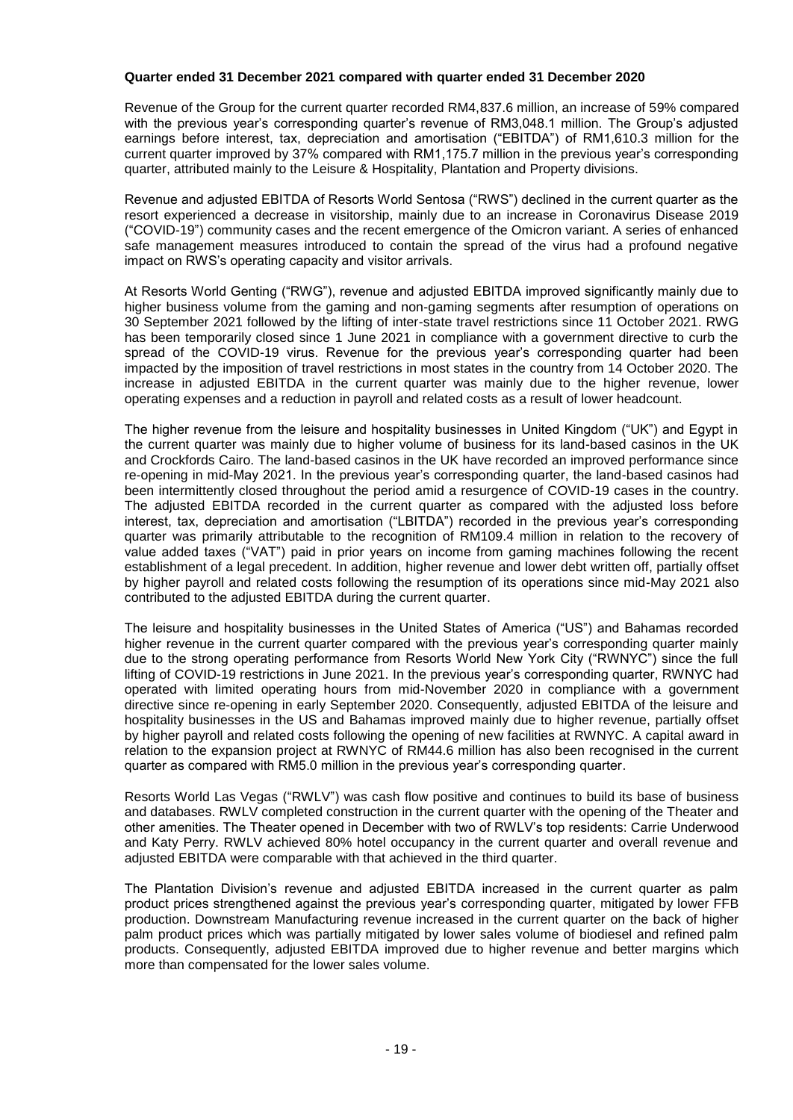#### **Quarter ended 31 December 2021 compared with quarter ended 31 December 2020**

Revenue of the Group for the current quarter recorded RM4,837.6 million, an increase of 59% compared with the previous year's corresponding quarter's revenue of RM3,048.1 million. The Group's adjusted earnings before interest, tax, depreciation and amortisation ("EBITDA") of RM1,610.3 million for the current quarter improved by 37% compared with RM1,175.7 million in the previous year's corresponding quarter, attributed mainly to the Leisure & Hospitality, Plantation and Property divisions.

Revenue and adjusted EBITDA of Resorts World Sentosa ("RWS") declined in the current quarter as the resort experienced a decrease in visitorship, mainly due to an increase in Coronavirus Disease 2019 ("COVID-19") community cases and the recent emergence of the Omicron variant. A series of enhanced safe management measures introduced to contain the spread of the virus had a profound negative impact on RWS's operating capacity and visitor arrivals.

At Resorts World Genting ("RWG"), revenue and adjusted EBITDA improved significantly mainly due to higher business volume from the gaming and non-gaming segments after resumption of operations on 30 September 2021 followed by the lifting of inter-state travel restrictions since 11 October 2021. RWG has been temporarily closed since 1 June 2021 in compliance with a government directive to curb the spread of the COVID-19 virus. Revenue for the previous year's corresponding quarter had been impacted by the imposition of travel restrictions in most states in the country from 14 October 2020. The increase in adjusted EBITDA in the current quarter was mainly due to the higher revenue, lower operating expenses and a reduction in payroll and related costs as a result of lower headcount.

The higher revenue from the leisure and hospitality businesses in United Kingdom ("UK") and Egypt in the current quarter was mainly due to higher volume of business for its land-based casinos in the UK and Crockfords Cairo. The land-based casinos in the UK have recorded an improved performance since re-opening in mid-May 2021. In the previous year's corresponding quarter, the land-based casinos had been intermittently closed throughout the period amid a resurgence of COVID-19 cases in the country. The adjusted EBITDA recorded in the current quarter as compared with the adjusted loss before interest, tax, depreciation and amortisation ("LBITDA") recorded in the previous year's corresponding quarter was primarily attributable to the recognition of RM109.4 million in relation to the recovery of value added taxes ("VAT") paid in prior years on income from gaming machines following the recent establishment of a legal precedent. In addition, higher revenue and lower debt written off, partially offset by higher payroll and related costs following the resumption of its operations since mid-May 2021 also contributed to the adjusted EBITDA during the current quarter.

The leisure and hospitality businesses in the United States of America ("US") and Bahamas recorded higher revenue in the current quarter compared with the previous year's corresponding quarter mainly due to the strong operating performance from Resorts World New York City ("RWNYC") since the full lifting of COVID-19 restrictions in June 2021. In the previous year's corresponding quarter, RWNYC had operated with limited operating hours from mid-November 2020 in compliance with a government directive since re-opening in early September 2020. Consequently, adjusted EBITDA of the leisure and hospitality businesses in the US and Bahamas improved mainly due to higher revenue, partially offset by higher payroll and related costs following the opening of new facilities at RWNYC. A capital award in relation to the expansion project at RWNYC of RM44.6 million has also been recognised in the current quarter as compared with RM5.0 million in the previous year's corresponding quarter.

Resorts World Las Vegas ("RWLV") was cash flow positive and continues to build its base of business and databases. RWLV completed construction in the current quarter with the opening of the Theater and other amenities. The Theater opened in December with two of RWLV's top residents: Carrie Underwood and Katy Perry. RWLV achieved 80% hotel occupancy in the current quarter and overall revenue and adjusted EBITDA were comparable with that achieved in the third quarter.

The Plantation Division's revenue and adjusted EBITDA increased in the current quarter as palm product prices strengthened against the previous year's corresponding quarter, mitigated by lower FFB production. Downstream Manufacturing revenue increased in the current quarter on the back of higher palm product prices which was partially mitigated by lower sales volume of biodiesel and refined palm products. Consequently, adjusted EBITDA improved due to higher revenue and better margins which more than compensated for the lower sales volume.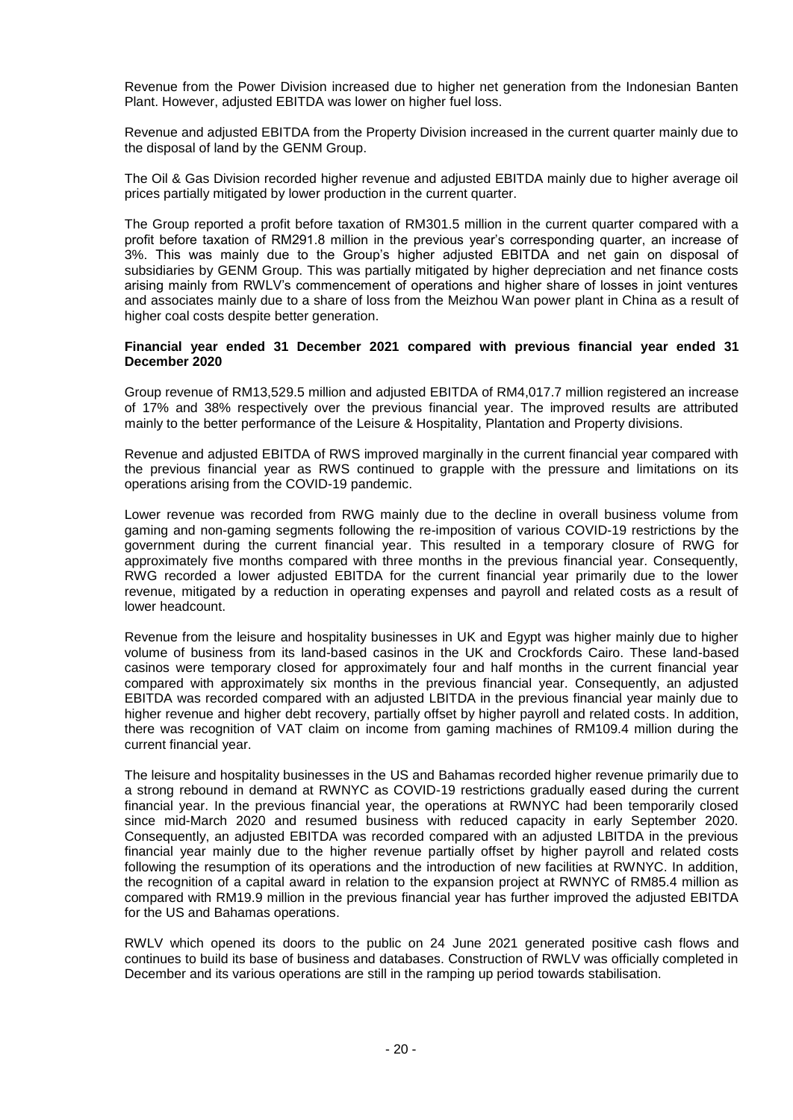Revenue from the Power Division increased due to higher net generation from the Indonesian Banten Plant. However, adjusted EBITDA was lower on higher fuel loss.

Revenue and adjusted EBITDA from the Property Division increased in the current quarter mainly due to the disposal of land by the GENM Group.

The Oil & Gas Division recorded higher revenue and adjusted EBITDA mainly due to higher average oil prices partially mitigated by lower production in the current quarter.

The Group reported a profit before taxation of RM301.5 million in the current quarter compared with a profit before taxation of RM291.8 million in the previous year's corresponding quarter, an increase of 3%. This was mainly due to the Group's higher adjusted EBITDA and net gain on disposal of subsidiaries by GENM Group. This was partially mitigated by higher depreciation and net finance costs arising mainly from RWLV's commencement of operations and higher share of losses in joint ventures and associates mainly due to a share of loss from the Meizhou Wan power plant in China as a result of higher coal costs despite better generation.

#### **Financial year ended 31 December 2021 compared with previous financial year ended 31 December 2020**

Group revenue of RM13,529.5 million and adjusted EBITDA of RM4,017.7 million registered an increase of 17% and 38% respectively over the previous financial year. The improved results are attributed mainly to the better performance of the Leisure & Hospitality, Plantation and Property divisions.

Revenue and adjusted EBITDA of RWS improved marginally in the current financial year compared with the previous financial year as RWS continued to grapple with the pressure and limitations on its operations arising from the COVID-19 pandemic.

Lower revenue was recorded from RWG mainly due to the decline in overall business volume from gaming and non-gaming segments following the re-imposition of various COVID-19 restrictions by the government during the current financial year. This resulted in a temporary closure of RWG for approximately five months compared with three months in the previous financial year. Consequently, RWG recorded a lower adjusted EBITDA for the current financial year primarily due to the lower revenue, mitigated by a reduction in operating expenses and payroll and related costs as a result of lower headcount.

Revenue from the leisure and hospitality businesses in UK and Egypt was higher mainly due to higher volume of business from its land-based casinos in the UK and Crockfords Cairo. These land-based casinos were temporary closed for approximately four and half months in the current financial year compared with approximately six months in the previous financial year. Consequently, an adjusted EBITDA was recorded compared with an adjusted LBITDA in the previous financial year mainly due to higher revenue and higher debt recovery, partially offset by higher payroll and related costs. In addition, there was recognition of VAT claim on income from gaming machines of RM109.4 million during the current financial year.

The leisure and hospitality businesses in the US and Bahamas recorded higher revenue primarily due to a strong rebound in demand at RWNYC as COVID-19 restrictions gradually eased during the current financial year. In the previous financial year, the operations at RWNYC had been temporarily closed since mid-March 2020 and resumed business with reduced capacity in early September 2020. Consequently, an adjusted EBITDA was recorded compared with an adjusted LBITDA in the previous financial year mainly due to the higher revenue partially offset by higher payroll and related costs following the resumption of its operations and the introduction of new facilities at RWNYC. In addition, the recognition of a capital award in relation to the expansion project at RWNYC of RM85.4 million as compared with RM19.9 million in the previous financial year has further improved the adjusted EBITDA for the US and Bahamas operations.

RWLV which opened its doors to the public on 24 June 2021 generated positive cash flows and continues to build its base of business and databases. Construction of RWLV was officially completed in December and its various operations are still in the ramping up period towards stabilisation.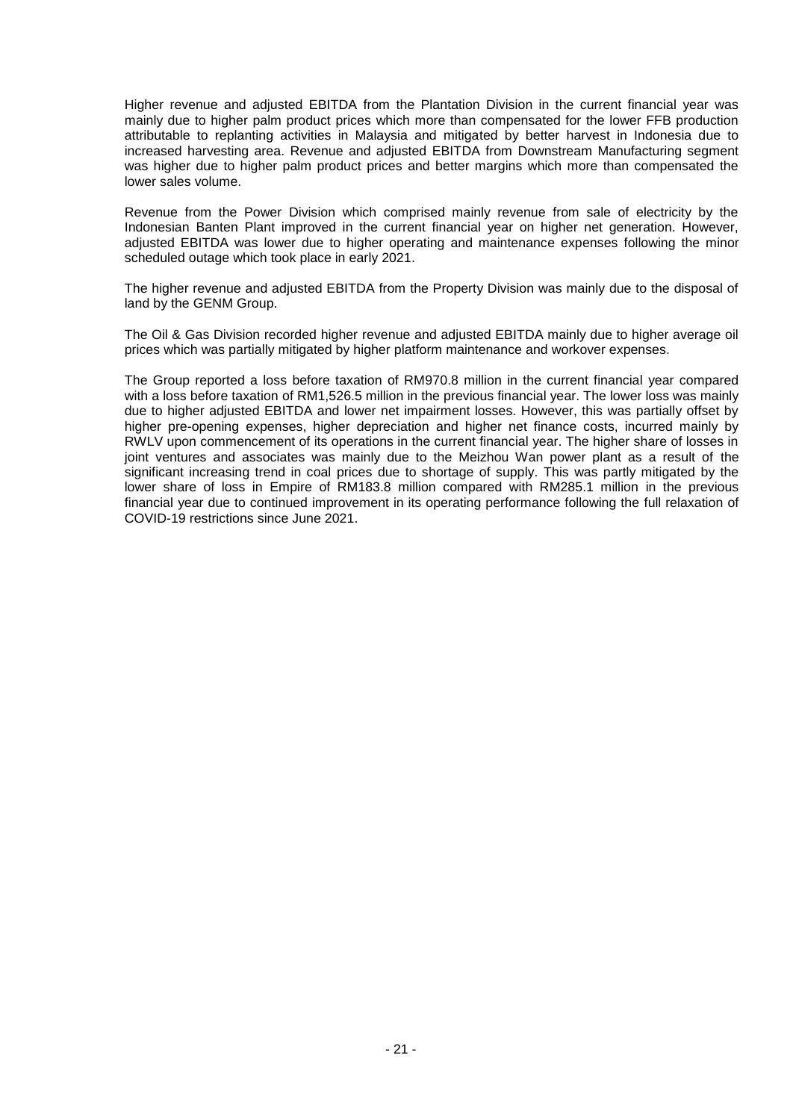Higher revenue and adjusted EBITDA from the Plantation Division in the current financial year was mainly due to higher palm product prices which more than compensated for the lower FFB production attributable to replanting activities in Malaysia and mitigated by better harvest in Indonesia due to increased harvesting area. Revenue and adjusted EBITDA from Downstream Manufacturing segment was higher due to higher palm product prices and better margins which more than compensated the lower sales volume.

Revenue from the Power Division which comprised mainly revenue from sale of electricity by the Indonesian Banten Plant improved in the current financial year on higher net generation. However, adjusted EBITDA was lower due to higher operating and maintenance expenses following the minor scheduled outage which took place in early 2021.

The higher revenue and adjusted EBITDA from the Property Division was mainly due to the disposal of land by the GENM Group.

The Oil & Gas Division recorded higher revenue and adjusted EBITDA mainly due to higher average oil prices which was partially mitigated by higher platform maintenance and workover expenses.

The Group reported a loss before taxation of RM970.8 million in the current financial year compared with a loss before taxation of RM1,526.5 million in the previous financial year. The lower loss was mainly due to higher adjusted EBITDA and lower net impairment losses. However, this was partially offset by higher pre-opening expenses, higher depreciation and higher net finance costs, incurred mainly by RWLV upon commencement of its operations in the current financial year. The higher share of losses in joint ventures and associates was mainly due to the Meizhou Wan power plant as a result of the significant increasing trend in coal prices due to shortage of supply. This was partly mitigated by the lower share of loss in Empire of RM183.8 million compared with RM285.1 million in the previous financial year due to continued improvement in its operating performance following the full relaxation of COVID-19 restrictions since June 2021.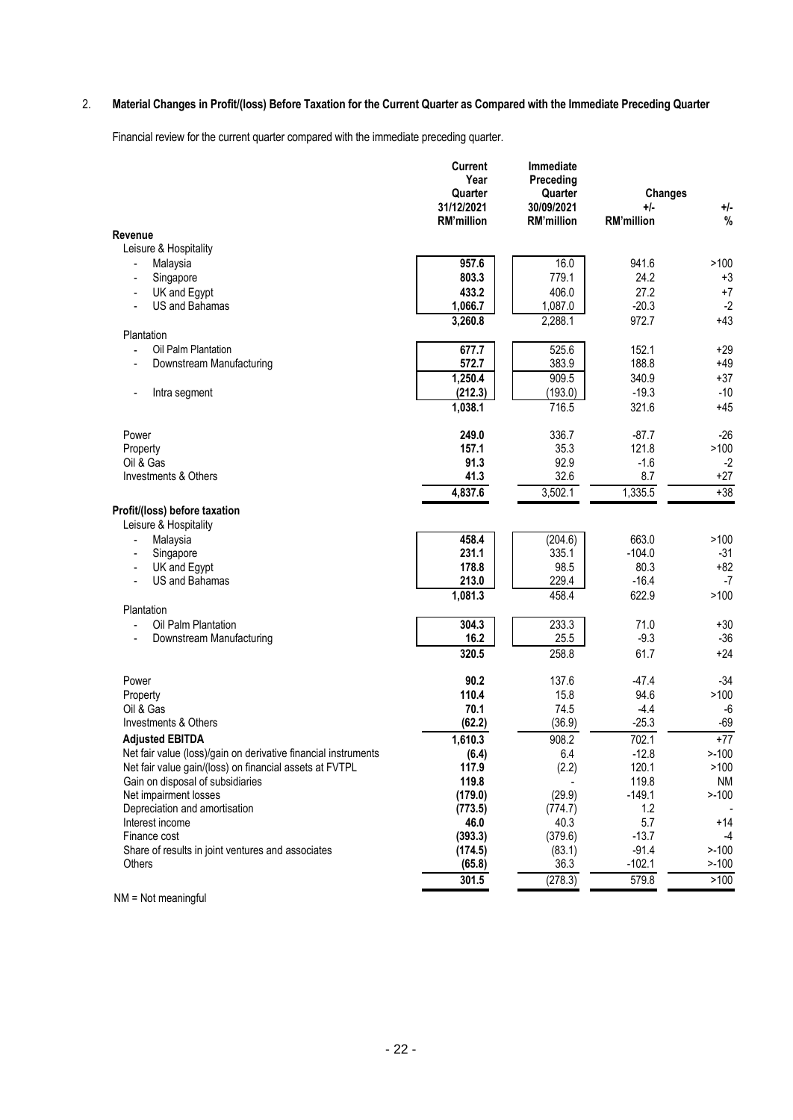# 2. **Material Changes in Profit/(loss) Before Taxation for the Current Quarter as Compared with the Immediate Preceding Quarter**

Financial review for the current quarter compared with the immediate preceding quarter.

|                                                                   | Current<br>Immediate<br>Year<br>Preceding<br>Quarter<br>Quarter |                                 | <b>Changes</b>           |                |
|-------------------------------------------------------------------|-----------------------------------------------------------------|---------------------------------|--------------------------|----------------|
|                                                                   | 31/12/2021<br><b>RM'million</b>                                 | 30/09/2021<br><b>RM'million</b> | +/-<br><b>RM'million</b> | $+/-$<br>$\%$  |
| Revenue                                                           |                                                                 |                                 |                          |                |
| Leisure & Hospitality                                             |                                                                 |                                 |                          |                |
| Malaysia                                                          | 957.6                                                           | 16.0                            | 941.6                    | >100           |
| Singapore                                                         | 803.3                                                           | 779.1                           | 24.2                     | $+3$           |
| UK and Egypt                                                      | 433.2                                                           | 406.0                           | 27.2                     | $+7$           |
| <b>US and Bahamas</b>                                             | 1,066.7                                                         | 1,087.0                         | $-20.3$                  | $-2$           |
|                                                                   | 3,260.8                                                         | 2,288.1                         | 972.7                    | $+43$          |
| Plantation                                                        |                                                                 |                                 |                          |                |
| Oil Palm Plantation                                               | 677.7                                                           | 525.6                           | 152.1                    | $+29$          |
| Downstream Manufacturing                                          | 572.7                                                           | 383.9                           | 188.8                    | $+49$          |
|                                                                   | 1,250.4                                                         | 909.5                           | 340.9                    | $+37$          |
| Intra segment                                                     | (212.3)                                                         | (193.0)                         | $-19.3$                  | $-10$          |
|                                                                   | 1,038.1                                                         | 716.5                           | 321.6                    | $+45$          |
| Power                                                             | 249.0                                                           | 336.7                           | $-87.7$                  | $-26$          |
| Property                                                          | 157.1                                                           | 35.3                            | 121.8                    | >100           |
| Oil & Gas                                                         | 91.3                                                            | 92.9                            | $-1.6$                   | $-2$           |
| Investments & Others                                              | 41.3                                                            | 32.6                            | 8.7                      | $+27$          |
|                                                                   | 4,837.6                                                         | 3,502.1                         | 1,335.5                  | $+38$          |
| Profit/(loss) before taxation<br>Leisure & Hospitality            |                                                                 |                                 |                          |                |
| Malaysia                                                          | 458.4                                                           | (204.6)                         | 663.0                    | >100           |
| Singapore                                                         | 231.1                                                           | 335.1                           | $-104.0$                 | $-31$          |
| UK and Egypt                                                      | 178.8                                                           | 98.5                            | 80.3                     | $+82$          |
| US and Bahamas                                                    | 213.0                                                           | 229.4                           | $-16.4$                  | $-7$           |
|                                                                   | 1,081.3                                                         | 458.4                           | 622.9                    | >100           |
| Plantation                                                        |                                                                 |                                 |                          |                |
| Oil Palm Plantation                                               | 304.3                                                           | 233.3                           | 71.0                     | $+30$          |
| Downstream Manufacturing                                          | 16.2                                                            | 25.5                            | $-9.3$                   | $-36$          |
|                                                                   | 320.5                                                           | 258.8                           | 61.7                     | $+24$          |
| Power                                                             | 90.2                                                            | 137.6                           | $-47.4$                  | $-34$          |
| Property                                                          | 110.4                                                           | 15.8                            | 94.6                     | >100           |
| Oil & Gas                                                         | 70.1                                                            | 74.5                            | $-4.4$                   | $-6$           |
| Investments & Others                                              | (62.2)                                                          | (36.9)                          | $-25.3$                  | $-69$          |
| <b>Adjusted EBITDA</b>                                            | 1,610.3                                                         | 908.2                           | 702.1                    | $+77$          |
| Net fair value (loss)/gain on derivative financial instruments    | (6.4)                                                           | 6.4                             | $-12.8$                  | $> -100$       |
| Net fair value gain/(loss) on financial assets at FVTPL           | 117.9                                                           | (2.2)                           | 120.1                    | >100           |
| Gain on disposal of subsidiaries                                  | 119.8                                                           |                                 | 119.8                    | <b>NM</b>      |
| Net impairment losses                                             | (179.0)                                                         | (29.9)                          | $-149.1$                 | $> -100$       |
| Depreciation and amortisation                                     | (773.5)                                                         | (774.7)                         | 1.2                      |                |
| Interest income                                                   | 46.0<br>(393.3)                                                 | 40.3<br>(379.6)                 | 5.7<br>$-13.7$           | $+14$          |
| Finance cost<br>Share of results in joint ventures and associates | (174.5)                                                         | (83.1)                          | $-91.4$                  | -4<br>$> -100$ |
| Others                                                            | (65.8)                                                          | 36.3                            | $-102.1$                 | $> -100$       |
|                                                                   | 301.5                                                           | (278.3)                         | 579.8                    | >100           |
|                                                                   |                                                                 |                                 |                          |                |

NM = Not meaningful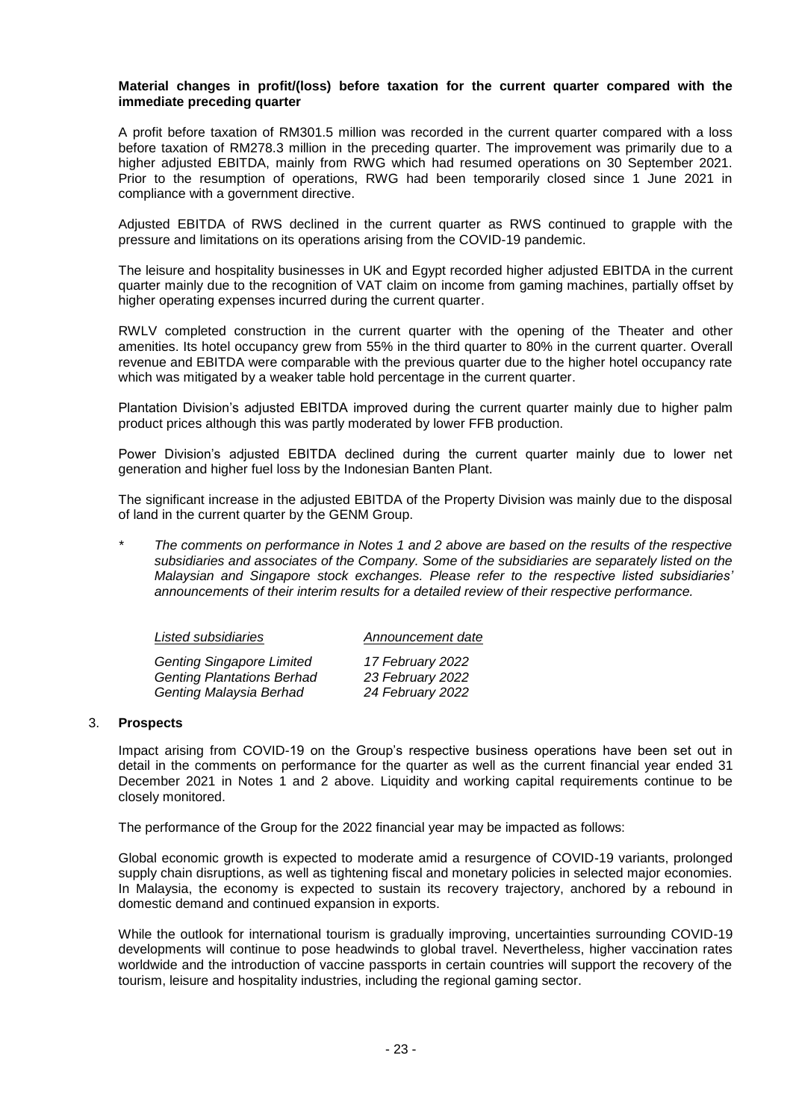#### **Material changes in profit/(loss) before taxation for the current quarter compared with the immediate preceding quarter**

A profit before taxation of RM301.5 million was recorded in the current quarter compared with a loss before taxation of RM278.3 million in the preceding quarter. The improvement was primarily due to a higher adjusted EBITDA, mainly from RWG which had resumed operations on 30 September 2021. Prior to the resumption of operations, RWG had been temporarily closed since 1 June 2021 in compliance with a government directive.

Adjusted EBITDA of RWS declined in the current quarter as RWS continued to grapple with the pressure and limitations on its operations arising from the COVID-19 pandemic.

The leisure and hospitality businesses in UK and Egypt recorded higher adjusted EBITDA in the current quarter mainly due to the recognition of VAT claim on income from gaming machines, partially offset by higher operating expenses incurred during the current quarter.

RWLV completed construction in the current quarter with the opening of the Theater and other amenities. Its hotel occupancy grew from 55% in the third quarter to 80% in the current quarter. Overall revenue and EBITDA were comparable with the previous quarter due to the higher hotel occupancy rate which was mitigated by a weaker table hold percentage in the current quarter.

Plantation Division's adjusted EBITDA improved during the current quarter mainly due to higher palm product prices although this was partly moderated by lower FFB production.

Power Division's adjusted EBITDA declined during the current quarter mainly due to lower net generation and higher fuel loss by the Indonesian Banten Plant.

The significant increase in the adjusted EBITDA of the Property Division was mainly due to the disposal of land in the current quarter by the GENM Group.

*\* The comments on performance in Notes 1 and 2 above are based on the results of the respective subsidiaries and associates of the Company. Some of the subsidiaries are separately listed on the Malaysian and Singapore stock exchanges. Please refer to the respective listed subsidiaries' announcements of their interim results for a detailed review of their respective performance.*

| Listed subsidiaries               | Announcement date |
|-----------------------------------|-------------------|
| <b>Genting Singapore Limited</b>  | 17 February 2022  |
| <b>Genting Plantations Berhad</b> | 23 February 2022  |
| Genting Malaysia Berhad           | 24 February 2022  |

#### 3. **Prospects**

Impact arising from COVID-19 on the Group's respective business operations have been set out in detail in the comments on performance for the quarter as well as the current financial year ended 31 December 2021 in Notes 1 and 2 above. Liquidity and working capital requirements continue to be closely monitored.

The performance of the Group for the 2022 financial year may be impacted as follows:

Global economic growth is expected to moderate amid a resurgence of COVID-19 variants, prolonged supply chain disruptions, as well as tightening fiscal and monetary policies in selected major economies. In Malaysia, the economy is expected to sustain its recovery trajectory, anchored by a rebound in domestic demand and continued expansion in exports.

While the outlook for international tourism is gradually improving, uncertainties surrounding COVID-19 developments will continue to pose headwinds to global travel. Nevertheless, higher vaccination rates worldwide and the introduction of vaccine passports in certain countries will support the recovery of the tourism, leisure and hospitality industries, including the regional gaming sector.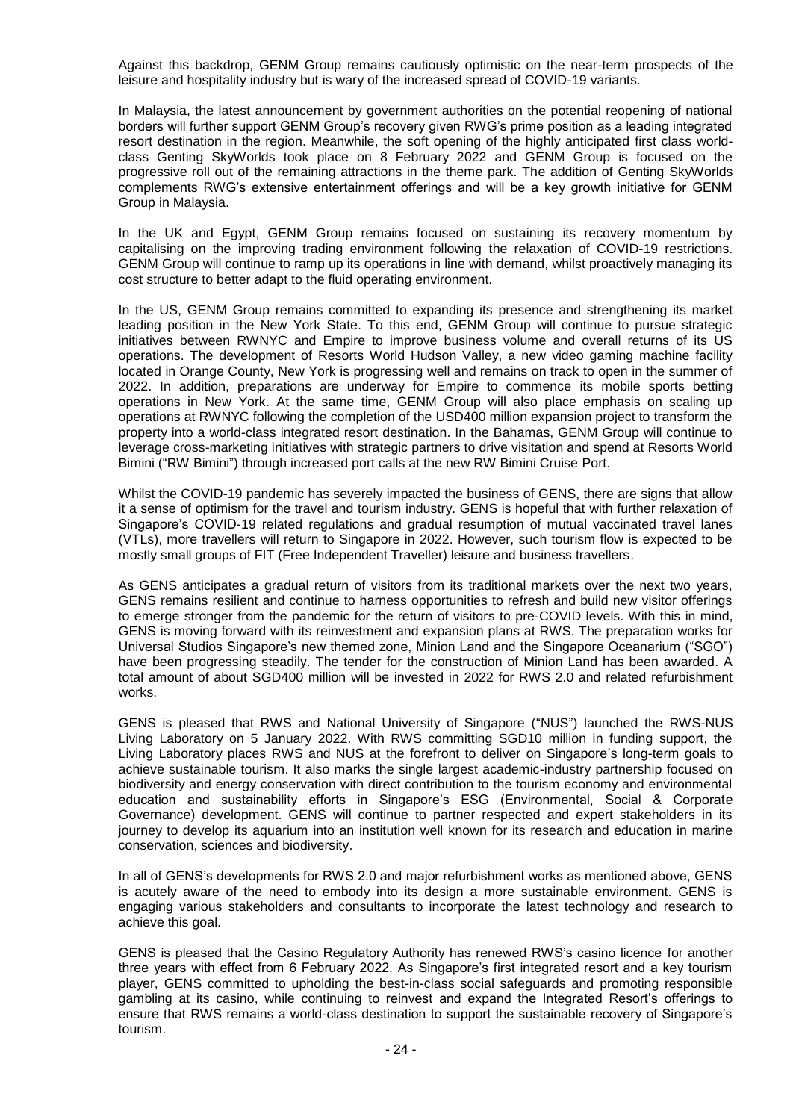Against this backdrop, GENM Group remains cautiously optimistic on the near-term prospects of the leisure and hospitality industry but is wary of the increased spread of COVID-19 variants.

In Malaysia, the latest announcement by government authorities on the potential reopening of national borders will further support GENM Group's recovery given RWG's prime position as a leading integrated resort destination in the region. Meanwhile, the soft opening of the highly anticipated first class worldclass Genting SkyWorlds took place on 8 February 2022 and GENM Group is focused on the progressive roll out of the remaining attractions in the theme park. The addition of Genting SkyWorlds complements RWG's extensive entertainment offerings and will be a key growth initiative for GENM Group in Malaysia.

In the UK and Egypt, GENM Group remains focused on sustaining its recovery momentum by capitalising on the improving trading environment following the relaxation of COVID-19 restrictions. GENM Group will continue to ramp up its operations in line with demand, whilst proactively managing its cost structure to better adapt to the fluid operating environment.

In the US, GENM Group remains committed to expanding its presence and strengthening its market leading position in the New York State. To this end, GENM Group will continue to pursue strategic initiatives between RWNYC and Empire to improve business volume and overall returns of its US operations. The development of Resorts World Hudson Valley, a new video gaming machine facility located in Orange County, New York is progressing well and remains on track to open in the summer of 2022. In addition, preparations are underway for Empire to commence its mobile sports betting operations in New York. At the same time, GENM Group will also place emphasis on scaling up operations at RWNYC following the completion of the USD400 million expansion project to transform the property into a world-class integrated resort destination. In the Bahamas, GENM Group will continue to leverage cross-marketing initiatives with strategic partners to drive visitation and spend at Resorts World Bimini ("RW Bimini") through increased port calls at the new RW Bimini Cruise Port.

Whilst the COVID-19 pandemic has severely impacted the business of GENS, there are signs that allow it a sense of optimism for the travel and tourism industry. GENS is hopeful that with further relaxation of Singapore's COVID-19 related regulations and gradual resumption of mutual vaccinated travel lanes (VTLs), more travellers will return to Singapore in 2022. However, such tourism flow is expected to be mostly small groups of FIT (Free Independent Traveller) leisure and business travellers.

As GENS anticipates a gradual return of visitors from its traditional markets over the next two years, GENS remains resilient and continue to harness opportunities to refresh and build new visitor offerings to emerge stronger from the pandemic for the return of visitors to pre-COVID levels. With this in mind, GENS is moving forward with its reinvestment and expansion plans at RWS. The preparation works for Universal Studios Singapore's new themed zone, Minion Land and the Singapore Oceanarium ("SGO") have been progressing steadily. The tender for the construction of Minion Land has been awarded. A total amount of about SGD400 million will be invested in 2022 for RWS 2.0 and related refurbishment works.

GENS is pleased that RWS and National University of Singapore ("NUS") launched the RWS-NUS Living Laboratory on 5 January 2022. With RWS committing SGD10 million in funding support, the Living Laboratory places RWS and NUS at the forefront to deliver on Singapore's long-term goals to achieve sustainable tourism. It also marks the single largest academic-industry partnership focused on biodiversity and energy conservation with direct contribution to the tourism economy and environmental education and sustainability efforts in Singapore's ESG (Environmental, Social & Corporate Governance) development. GENS will continue to partner respected and expert stakeholders in its journey to develop its aquarium into an institution well known for its research and education in marine conservation, sciences and biodiversity.

In all of GENS's developments for RWS 2.0 and major refurbishment works as mentioned above, GENS is acutely aware of the need to embody into its design a more sustainable environment. GENS is engaging various stakeholders and consultants to incorporate the latest technology and research to achieve this goal.

GENS is pleased that the Casino Regulatory Authority has renewed RWS's casino licence for another three years with effect from 6 February 2022. As Singapore's first integrated resort and a key tourism player, GENS committed to upholding the best-in-class social safeguards and promoting responsible gambling at its casino, while continuing to reinvest and expand the Integrated Resort's offerings to ensure that RWS remains a world-class destination to support the sustainable recovery of Singapore's tourism.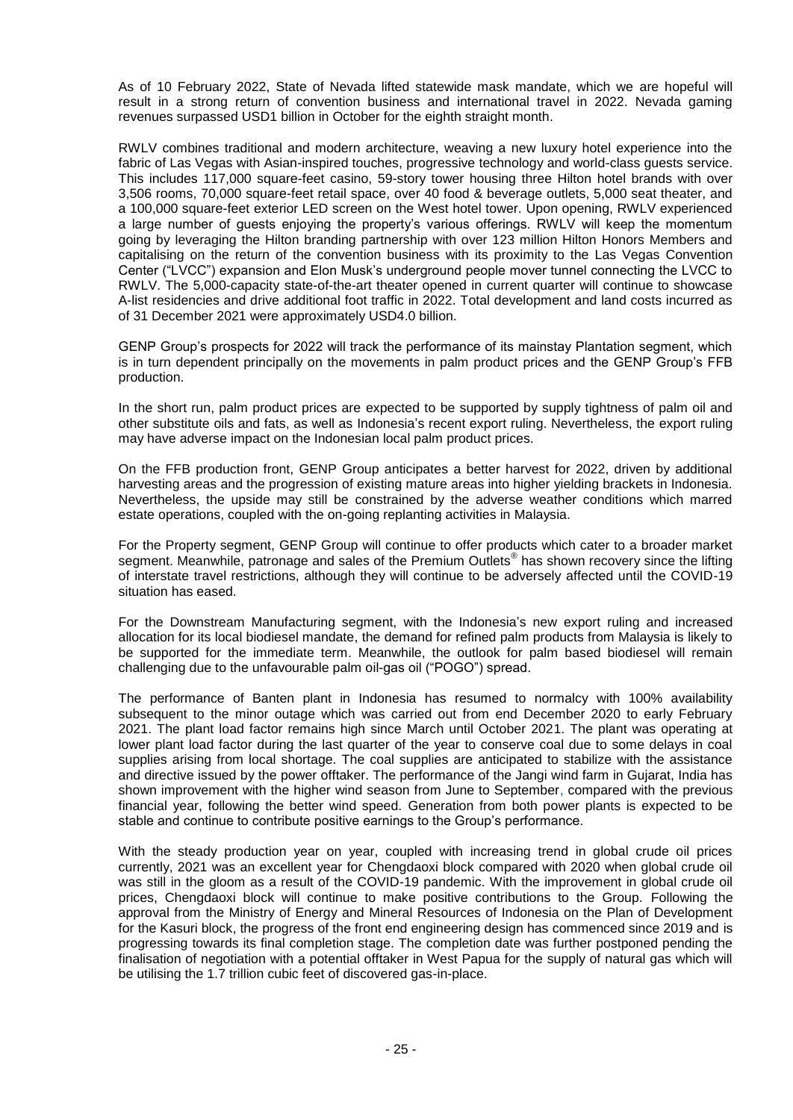As of 10 February 2022, State of Nevada lifted statewide mask mandate, which we are hopeful will result in a strong return of convention business and international travel in 2022. Nevada gaming revenues surpassed USD1 billion in October for the eighth straight month.

RWLV combines traditional and modern architecture, weaving a new luxury hotel experience into the fabric of Las Vegas with Asian-inspired touches, progressive technology and world-class guests service. This includes 117,000 square-feet casino, 59-story tower housing three Hilton hotel brands with over 3,506 rooms, 70,000 square-feet retail space, over 40 food & beverage outlets, 5,000 seat theater, and a 100,000 square-feet exterior LED screen on the West hotel tower. Upon opening, RWLV experienced a large number of guests enjoying the property's various offerings. RWLV will keep the momentum going by leveraging the Hilton branding partnership with over 123 million Hilton Honors Members and capitalising on the return of the convention business with its proximity to the Las Vegas Convention Center ("LVCC") expansion and Elon Musk's underground people mover tunnel connecting the LVCC to RWLV. The 5,000-capacity state-of-the-art theater opened in current quarter will continue to showcase A-list residencies and drive additional foot traffic in 2022. Total development and land costs incurred as of 31 December 2021 were approximately USD4.0 billion.

GENP Group's prospects for 2022 will track the performance of its mainstay Plantation segment, which is in turn dependent principally on the movements in palm product prices and the GENP Group's FFB production.

In the short run, palm product prices are expected to be supported by supply tightness of palm oil and other substitute oils and fats, as well as Indonesia's recent export ruling. Nevertheless, the export ruling may have adverse impact on the Indonesian local palm product prices.

On the FFB production front, GENP Group anticipates a better harvest for 2022, driven by additional harvesting areas and the progression of existing mature areas into higher yielding brackets in Indonesia. Nevertheless, the upside may still be constrained by the adverse weather conditions which marred estate operations, coupled with the on-going replanting activities in Malaysia.

For the Property segment, GENP Group will continue to offer products which cater to a broader market segment. Meanwhile, patronage and sales of the Premium Outlets® has shown recovery since the lifting of interstate travel restrictions, although they will continue to be adversely affected until the COVID-19 situation has eased.

For the Downstream Manufacturing segment, with the Indonesia's new export ruling and increased allocation for its local biodiesel mandate, the demand for refined palm products from Malaysia is likely to be supported for the immediate term. Meanwhile, the outlook for palm based biodiesel will remain challenging due to the unfavourable palm oil-gas oil ("POGO") spread.

The performance of Banten plant in Indonesia has resumed to normalcy with 100% availability subsequent to the minor outage which was carried out from end December 2020 to early February 2021. The plant load factor remains high since March until October 2021. The plant was operating at lower plant load factor during the last quarter of the year to conserve coal due to some delays in coal supplies arising from local shortage. The coal supplies are anticipated to stabilize with the assistance and directive issued by the power offtaker. The performance of the Jangi wind farm in Gujarat, India has shown improvement with the higher wind season from June to September, compared with the previous financial year, following the better wind speed. Generation from both power plants is expected to be stable and continue to contribute positive earnings to the Group's performance.

With the steady production year on year, coupled with increasing trend in global crude oil prices currently, 2021 was an excellent year for Chengdaoxi block compared with 2020 when global crude oil was still in the gloom as a result of the COVID-19 pandemic. With the improvement in global crude oil prices, Chengdaoxi block will continue to make positive contributions to the Group. Following the approval from the Ministry of Energy and Mineral Resources of Indonesia on the Plan of Development for the Kasuri block, the progress of the front end engineering design has commenced since 2019 and is progressing towards its final completion stage. The completion date was further postponed pending the finalisation of negotiation with a potential offtaker in West Papua for the supply of natural gas which will be utilising the 1.7 trillion cubic feet of discovered gas-in-place.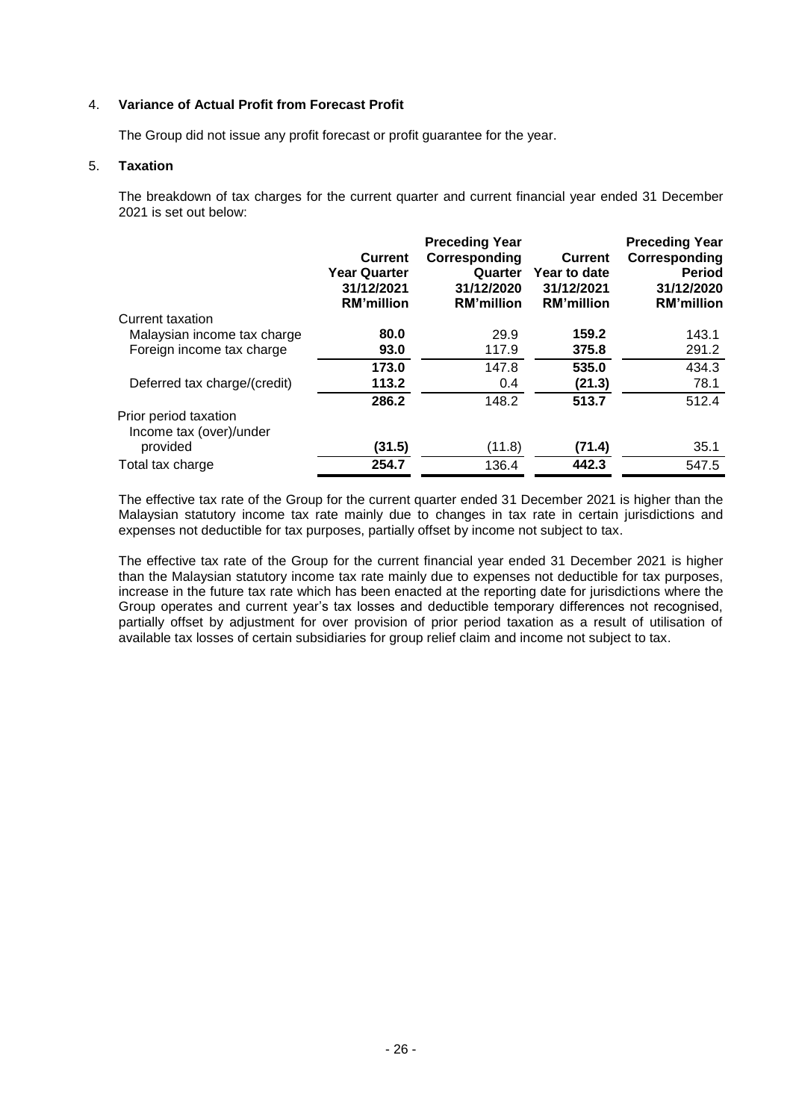#### 4. **Variance of Actual Profit from Forecast Profit**

The Group did not issue any profit forecast or profit guarantee for the year.

#### 5. **Taxation**

The breakdown of tax charges for the current quarter and current financial year ended 31 December 2021 is set out below:

|                                                  | <b>Current</b><br><b>Year Quarter</b><br>31/12/2021<br><b>RM'million</b> | <b>Preceding Year</b><br>Corresponding<br>Quarter<br>31/12/2020<br><b>RM'million</b> | <b>Current</b><br>Year to date<br>31/12/2021<br><b>RM'million</b> | <b>Preceding Year</b><br>Corresponding<br><b>Period</b><br>31/12/2020<br><b>RM'million</b> |
|--------------------------------------------------|--------------------------------------------------------------------------|--------------------------------------------------------------------------------------|-------------------------------------------------------------------|--------------------------------------------------------------------------------------------|
| Current taxation                                 |                                                                          |                                                                                      |                                                                   |                                                                                            |
| Malaysian income tax charge                      | 80.0                                                                     | 29.9                                                                                 | 159.2                                                             | 143.1                                                                                      |
| Foreign income tax charge                        | 93.0                                                                     | 117.9                                                                                | 375.8                                                             | 291.2                                                                                      |
|                                                  | 173.0                                                                    | 147.8                                                                                | 535.0                                                             | 434.3                                                                                      |
| Deferred tax charge/(credit)                     | 113.2                                                                    | 0.4                                                                                  | (21.3)                                                            | 78.1                                                                                       |
|                                                  | 286.2                                                                    | 148.2                                                                                | 513.7                                                             | 512.4                                                                                      |
| Prior period taxation<br>Income tax (over)/under |                                                                          |                                                                                      |                                                                   |                                                                                            |
| provided                                         | (31.5)                                                                   | (11.8)                                                                               | (71.4)                                                            | 35.1                                                                                       |
| Total tax charge                                 | 254.7                                                                    | 136.4                                                                                | 442.3                                                             | 547.5                                                                                      |

The effective tax rate of the Group for the current quarter ended 31 December 2021 is higher than the Malaysian statutory income tax rate mainly due to changes in tax rate in certain jurisdictions and expenses not deductible for tax purposes, partially offset by income not subject to tax.

The effective tax rate of the Group for the current financial year ended 31 December 2021 is higher than the Malaysian statutory income tax rate mainly due to expenses not deductible for tax purposes, increase in the future tax rate which has been enacted at the reporting date for jurisdictions where the Group operates and current year's tax losses and deductible temporary differences not recognised, partially offset by adjustment for over provision of prior period taxation as a result of utilisation of available tax losses of certain subsidiaries for group relief claim and income not subject to tax.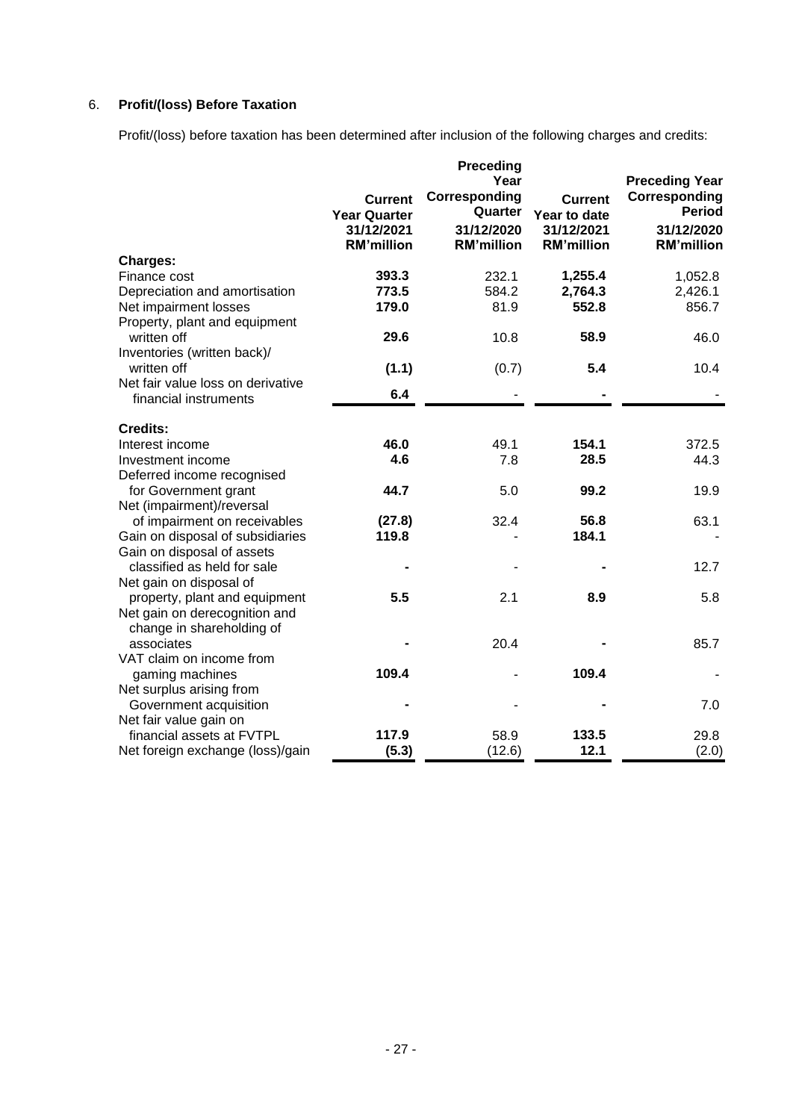# 6. **Profit/(loss) Before Taxation**

Profit/(loss) before taxation has been determined after inclusion of the following charges and credits:

|                                   | <b>Current</b><br><b>Year Quarter</b><br>31/12/2021<br><b>RM'million</b> | Preceding<br>Year<br>Corresponding<br>Quarter<br>31/12/2020<br><b>RM'million</b> | <b>Current</b><br>Year to date<br>31/12/2021<br><b>RM'million</b> | <b>Preceding Year</b><br>Corresponding<br><b>Period</b><br>31/12/2020<br><b>RM'million</b> |
|-----------------------------------|--------------------------------------------------------------------------|----------------------------------------------------------------------------------|-------------------------------------------------------------------|--------------------------------------------------------------------------------------------|
| <b>Charges:</b>                   |                                                                          |                                                                                  |                                                                   |                                                                                            |
| Finance cost                      | 393.3                                                                    | 232.1                                                                            | 1,255.4                                                           | 1,052.8                                                                                    |
| Depreciation and amortisation     | 773.5                                                                    | 584.2                                                                            | 2,764.3                                                           | 2,426.1                                                                                    |
| Net impairment losses             | 179.0                                                                    | 81.9                                                                             | 552.8                                                             | 856.7                                                                                      |
| Property, plant and equipment     |                                                                          |                                                                                  |                                                                   |                                                                                            |
| written off                       | 29.6                                                                     | 10.8                                                                             | 58.9                                                              | 46.0                                                                                       |
| Inventories (written back)/       |                                                                          |                                                                                  |                                                                   |                                                                                            |
| written off                       | (1.1)                                                                    | (0.7)                                                                            | 5.4                                                               | 10.4                                                                                       |
| Net fair value loss on derivative | 6.4                                                                      |                                                                                  |                                                                   |                                                                                            |
| financial instruments             |                                                                          |                                                                                  |                                                                   |                                                                                            |
| <b>Credits:</b>                   |                                                                          |                                                                                  |                                                                   |                                                                                            |
| Interest income                   | 46.0                                                                     | 49.1                                                                             | 154.1                                                             | 372.5                                                                                      |
| Investment income                 | 4.6                                                                      | 7.8                                                                              | 28.5                                                              | 44.3                                                                                       |
| Deferred income recognised        |                                                                          |                                                                                  |                                                                   |                                                                                            |
| for Government grant              | 44.7                                                                     | 5.0                                                                              | 99.2                                                              | 19.9                                                                                       |
| Net (impairment)/reversal         |                                                                          |                                                                                  |                                                                   |                                                                                            |
| of impairment on receivables      | (27.8)                                                                   | 32.4                                                                             | 56.8                                                              | 63.1                                                                                       |
| Gain on disposal of subsidiaries  | 119.8                                                                    |                                                                                  | 184.1                                                             |                                                                                            |
| Gain on disposal of assets        |                                                                          |                                                                                  |                                                                   |                                                                                            |
| classified as held for sale       |                                                                          |                                                                                  |                                                                   | 12.7                                                                                       |
| Net gain on disposal of           |                                                                          |                                                                                  |                                                                   |                                                                                            |
| property, plant and equipment     | 5.5                                                                      | 2.1                                                                              | 8.9                                                               | 5.8                                                                                        |
| Net gain on derecognition and     |                                                                          |                                                                                  |                                                                   |                                                                                            |
| change in shareholding of         |                                                                          |                                                                                  |                                                                   |                                                                                            |
| associates                        |                                                                          | 20.4                                                                             |                                                                   | 85.7                                                                                       |
| VAT claim on income from          |                                                                          |                                                                                  |                                                                   |                                                                                            |
| gaming machines                   | 109.4                                                                    |                                                                                  | 109.4                                                             |                                                                                            |
| Net surplus arising from          |                                                                          |                                                                                  |                                                                   |                                                                                            |
| Government acquisition            |                                                                          |                                                                                  |                                                                   | 7.0                                                                                        |
| Net fair value gain on            |                                                                          |                                                                                  |                                                                   |                                                                                            |
| financial assets at FVTPL         | 117.9                                                                    | 58.9                                                                             | 133.5                                                             | 29.8                                                                                       |
| Net foreign exchange (loss)/gain  | (5.3)                                                                    | (12.6)                                                                           | 12.1                                                              | (2.0)                                                                                      |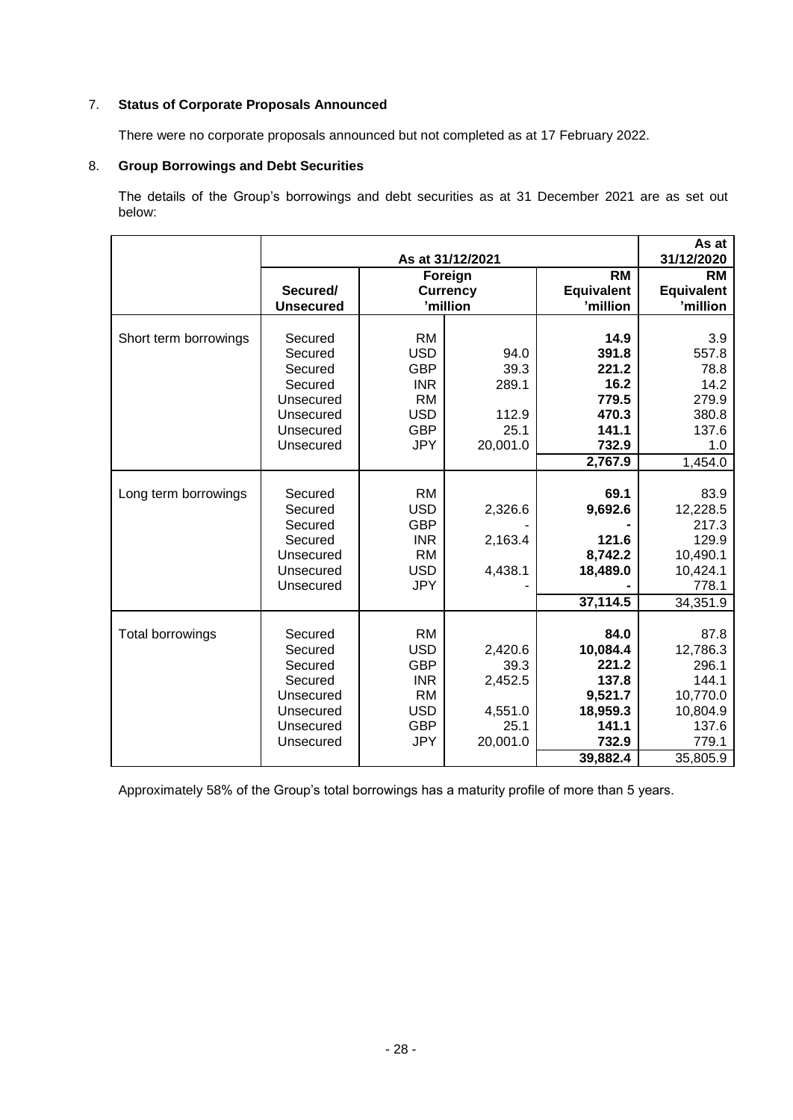# 7. **Status of Corporate Proposals Announced**

There were no corporate proposals announced but not completed as at 17 February 2022.

# 8. **Group Borrowings and Debt Securities**

The details of the Group's borrowings and debt securities as at 31 December 2021 are as set out below:

|                       | As at 31/12/2021             |                         |                             |                               | As at<br>31/12/2020           |
|-----------------------|------------------------------|-------------------------|-----------------------------|-------------------------------|-------------------------------|
|                       |                              |                         | Foreign                     | <b>RM</b>                     | <b>RM</b>                     |
|                       | Secured/<br><b>Unsecured</b> |                         | <b>Currency</b><br>'million | <b>Equivalent</b><br>'million | <b>Equivalent</b><br>'million |
|                       |                              |                         |                             |                               |                               |
| Short term borrowings | Secured                      | <b>RM</b>               |                             | 14.9                          | 3.9                           |
|                       | Secured                      | <b>USD</b>              | 94.0                        | 391.8                         | 557.8                         |
|                       | Secured                      | <b>GBP</b>              | 39.3                        | 221.2                         | 78.8                          |
|                       | Secured                      | <b>INR</b>              | 289.1                       | 16.2                          | 14.2                          |
|                       | Unsecured<br>Unsecured       | <b>RM</b><br><b>USD</b> | 112.9                       | 779.5<br>470.3                | 279.9<br>380.8                |
|                       | Unsecured                    | <b>GBP</b>              | 25.1                        | 141.1                         | 137.6                         |
|                       | Unsecured                    | <b>JPY</b>              | 20,001.0                    | 732.9                         | 1.0                           |
|                       |                              |                         |                             | 2,767.9                       | 1,454.0                       |
|                       |                              |                         |                             |                               |                               |
| Long term borrowings  | Secured                      | <b>RM</b>               |                             | 69.1                          | 83.9                          |
|                       | Secured                      | <b>USD</b>              | 2,326.6                     | 9,692.6                       | 12,228.5                      |
|                       | Secured                      | <b>GBP</b>              |                             |                               | 217.3                         |
|                       | Secured                      | <b>INR</b>              | 2,163.4                     | 121.6                         | 129.9                         |
|                       | Unsecured                    | <b>RM</b>               |                             | 8,742.2                       | 10,490.1                      |
|                       | Unsecured                    | <b>USD</b>              | 4,438.1                     | 18,489.0                      | 10,424.1                      |
|                       | Unsecured                    | <b>JPY</b>              |                             |                               | 778.1                         |
|                       |                              |                         |                             | 37,114.5                      | 34,351.9                      |
|                       |                              |                         |                             |                               |                               |
| Total borrowings      | Secured                      | <b>RM</b>               |                             | 84.0                          | 87.8                          |
|                       | Secured                      | <b>USD</b>              | 2,420.6                     | 10,084.4                      | 12,786.3                      |
|                       | Secured                      | <b>GBP</b>              | 39.3                        | 221.2                         | 296.1                         |
|                       | Secured                      | <b>INR</b>              | 2,452.5                     | 137.8                         | 144.1                         |
|                       | Unsecured<br>Unsecured       | <b>RM</b><br><b>USD</b> |                             | 9,521.7                       | 10,770.0                      |
|                       | Unsecured                    | <b>GBP</b>              | 4,551.0<br>25.1             | 18,959.3<br>141.1             | 10,804.9<br>137.6             |
|                       | Unsecured                    | <b>JPY</b>              | 20,001.0                    | 732.9                         | 779.1                         |
|                       |                              |                         |                             | 39,882.4                      | 35,805.9                      |

Approximately 58% of the Group's total borrowings has a maturity profile of more than 5 years.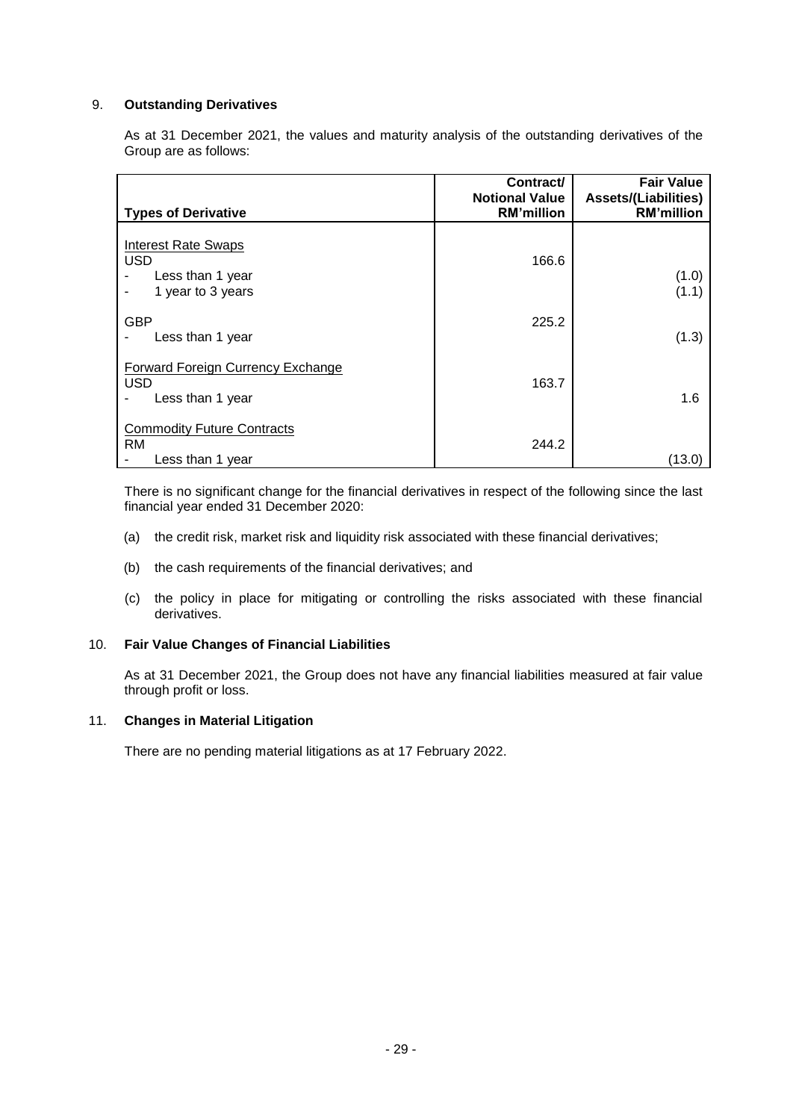### 9. **Outstanding Derivatives**

As at 31 December 2021, the values and maturity analysis of the outstanding derivatives of the Group are as follows:

| <b>Types of Derivative</b>                                                        | Contract/<br><b>Notional Value</b><br><b>RM'million</b> | <b>Fair Value</b><br><b>Assets/(Liabilities)</b><br><b>RM'million</b> |
|-----------------------------------------------------------------------------------|---------------------------------------------------------|-----------------------------------------------------------------------|
| <b>Interest Rate Swaps</b><br><b>USD</b><br>Less than 1 year<br>1 year to 3 years | 166.6                                                   | (1.0)<br>(1.1)                                                        |
| <b>GBP</b><br>Less than 1 year                                                    | 225.2                                                   | (1.3)                                                                 |
| Forward Foreign Currency Exchange<br><b>USD</b><br>Less than 1 year               | 163.7                                                   | 1.6                                                                   |
| <b>Commodity Future Contracts</b><br><b>RM</b><br>Less than 1 year                | 244.2                                                   | (13.0)                                                                |

There is no significant change for the financial derivatives in respect of the following since the last financial year ended 31 December 2020:

- (a) the credit risk, market risk and liquidity risk associated with these financial derivatives;
- (b) the cash requirements of the financial derivatives; and
- (c) the policy in place for mitigating or controlling the risks associated with these financial derivatives.

#### 10. **Fair Value Changes of Financial Liabilities**

As at 31 December 2021, the Group does not have any financial liabilities measured at fair value through profit or loss.

# 11. **Changes in Material Litigation**

There are no pending material litigations as at 17 February 2022.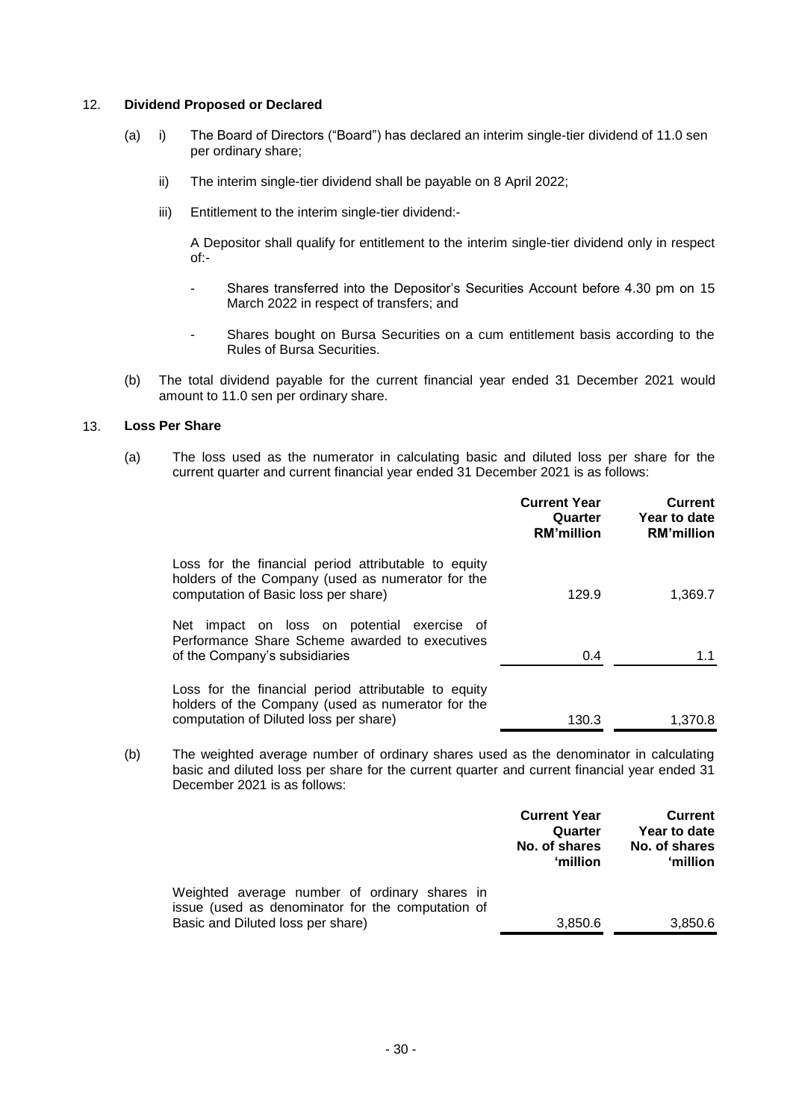#### 12. **Dividend Proposed or Declared**

- (a) i) The Board of Directors ("Board") has declared an interim single-tier dividend of 11.0 sen per ordinary share;
	- ii) The interim single-tier dividend shall be payable on 8 April 2022;
	- iii) Entitlement to the interim single-tier dividend:-

A Depositor shall qualify for entitlement to the interim single-tier dividend only in respect of:-

- Shares transferred into the Depositor's Securities Account before 4.30 pm on 15 March 2022 in respect of transfers; and
- Shares bought on Bursa Securities on a cum entitlement basis according to the Rules of Bursa Securities.
- (b) The total dividend payable for the current financial year ended 31 December 2021 would amount to 11.0 sen per ordinary share.

#### 13. **Loss Per Share**

(a) The loss used as the numerator in calculating basic and diluted loss per share for the current quarter and current financial year ended 31 December 2021 is as follows:

|                                                                                                                                                     | <b>Current Year</b><br>Quarter<br><b>RM'million</b> | <b>Current</b><br>Year to date<br><b>RM'million</b> |
|-----------------------------------------------------------------------------------------------------------------------------------------------------|-----------------------------------------------------|-----------------------------------------------------|
| Loss for the financial period attributable to equity<br>holders of the Company (used as numerator for the<br>computation of Basic loss per share)   | 129.9                                               | 1,369.7                                             |
| Net impact on loss on potential exercise of<br>Performance Share Scheme awarded to executives<br>of the Company's subsidiaries                      | 0.4                                                 | 1.1                                                 |
| Loss for the financial period attributable to equity<br>holders of the Company (used as numerator for the<br>computation of Diluted loss per share) | 130.3                                               | 1.370.8                                             |

(b) The weighted average number of ordinary shares used as the denominator in calculating basic and diluted loss per share for the current quarter and current financial year ended 31 December 2021 is as follows:

|                                                                                                                                         | <b>Current Year</b><br>Quarter<br>No. of shares<br>'million | <b>Current</b><br>Year to date<br>No. of shares<br>'million |
|-----------------------------------------------------------------------------------------------------------------------------------------|-------------------------------------------------------------|-------------------------------------------------------------|
| Weighted average number of ordinary shares in<br>issue (used as denominator for the computation of<br>Basic and Diluted loss per share) | 3,850.6                                                     | 3,850.6                                                     |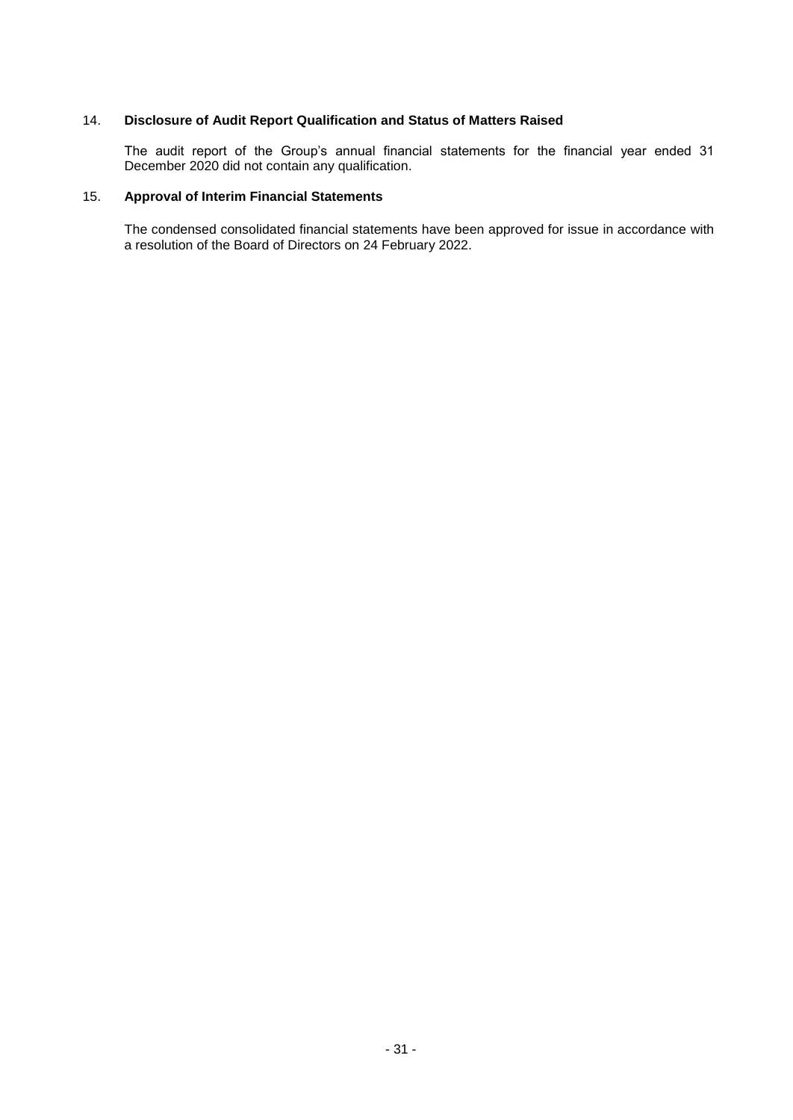# 14. **Disclosure of Audit Report Qualification and Status of Matters Raised**

The audit report of the Group's annual financial statements for the financial year ended 31 December 2020 did not contain any qualification.

## 15. **Approval of Interim Financial Statements**

The condensed consolidated financial statements have been approved for issue in accordance with a resolution of the Board of Directors on 24 February 2022.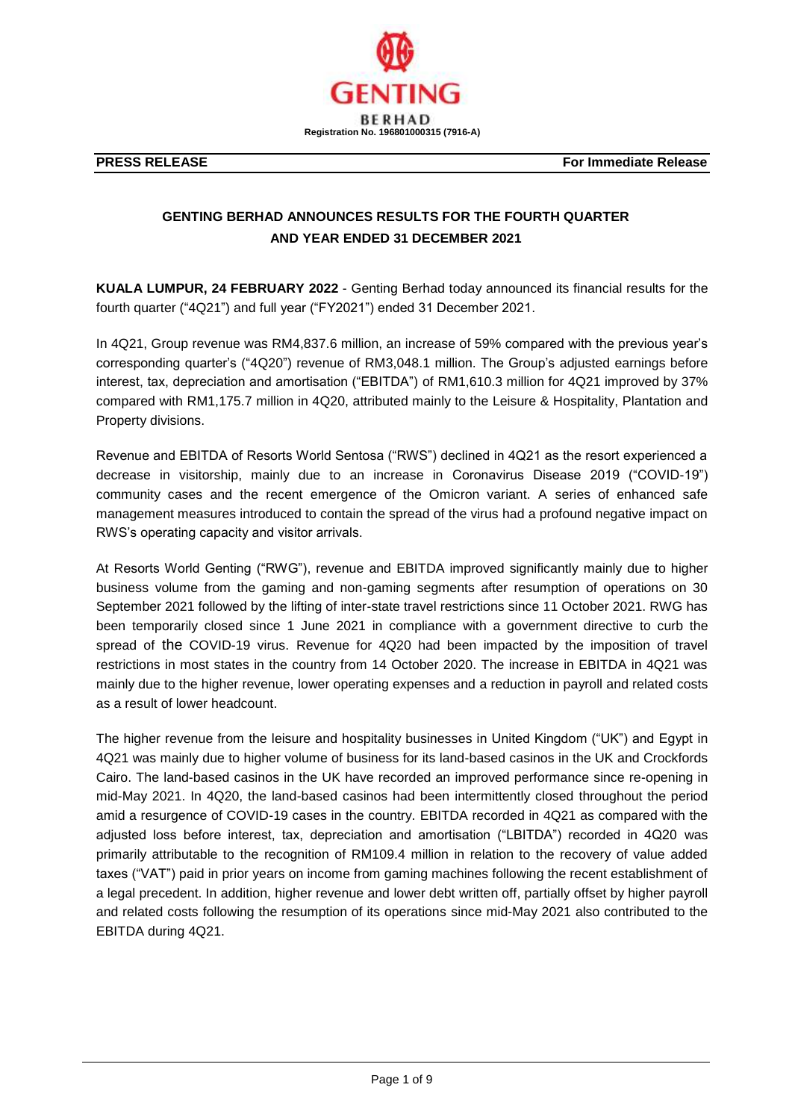

# **GENTING BERHAD ANNOUNCES RESULTS FOR THE FOURTH QUARTER AND YEAR ENDED 31 DECEMBER 2021**

**KUALA LUMPUR, 24 FEBRUARY 2022** - Genting Berhad today announced its financial results for the fourth quarter ("4Q21") and full year ("FY2021") ended 31 December 2021.

In 4Q21, Group revenue was RM4,837.6 million, an increase of 59% compared with the previous year's corresponding quarter's ("4Q20") revenue of RM3,048.1 million. The Group's adjusted earnings before interest, tax, depreciation and amortisation ("EBITDA") of RM1,610.3 million for 4Q21 improved by 37% compared with RM1,175.7 million in 4Q20, attributed mainly to the Leisure & Hospitality, Plantation and Property divisions.

Revenue and EBITDA of Resorts World Sentosa ("RWS") declined in 4Q21 as the resort experienced a decrease in visitorship, mainly due to an increase in Coronavirus Disease 2019 ("COVID-19") community cases and the recent emergence of the Omicron variant. A series of enhanced safe management measures introduced to contain the spread of the virus had a profound negative impact on RWS's operating capacity and visitor arrivals.

At Resorts World Genting ("RWG"), revenue and EBITDA improved significantly mainly due to higher business volume from the gaming and non-gaming segments after resumption of operations on 30 September 2021 followed by the lifting of inter-state travel restrictions since 11 October 2021. RWG has been temporarily closed since 1 June 2021 in compliance with a government directive to curb the spread of the COVID-19 virus. Revenue for 4Q20 had been impacted by the imposition of travel restrictions in most states in the country from 14 October 2020. The increase in EBITDA in 4Q21 was mainly due to the higher revenue, lower operating expenses and a reduction in payroll and related costs as a result of lower headcount.

The higher revenue from the leisure and hospitality businesses in United Kingdom ("UK") and Egypt in 4Q21 was mainly due to higher volume of business for its land-based casinos in the UK and Crockfords Cairo. The land-based casinos in the UK have recorded an improved performance since re-opening in mid-May 2021. In 4Q20, the land-based casinos had been intermittently closed throughout the period amid a resurgence of COVID-19 cases in the country. EBITDA recorded in 4Q21 as compared with the adjusted loss before interest, tax, depreciation and amortisation ("LBITDA") recorded in 4Q20 was primarily attributable to the recognition of RM109.4 million in relation to the recovery of value added taxes ("VAT") paid in prior years on income from gaming machines following the recent establishment of a legal precedent. In addition, higher revenue and lower debt written off, partially offset by higher payroll and related costs following the resumption of its operations since mid-May 2021 also contributed to the EBITDA during 4Q21.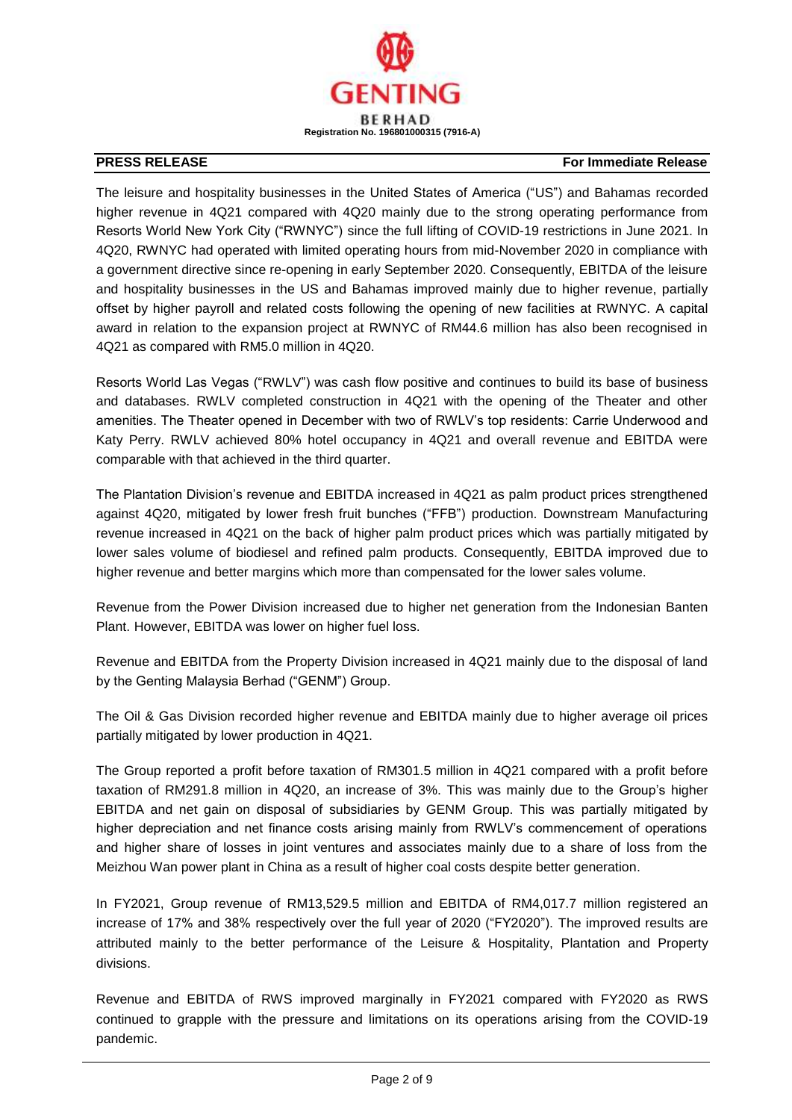

The leisure and hospitality businesses in the United States of America ("US") and Bahamas recorded higher revenue in 4Q21 compared with 4Q20 mainly due to the strong operating performance from Resorts World New York City ("RWNYC") since the full lifting of COVID-19 restrictions in June 2021. In 4Q20, RWNYC had operated with limited operating hours from mid-November 2020 in compliance with a government directive since re-opening in early September 2020. Consequently, EBITDA of the leisure and hospitality businesses in the US and Bahamas improved mainly due to higher revenue, partially offset by higher payroll and related costs following the opening of new facilities at RWNYC. A capital award in relation to the expansion project at RWNYC of RM44.6 million has also been recognised in 4Q21 as compared with RM5.0 million in 4Q20.

Resorts World Las Vegas ("RWLV") was cash flow positive and continues to build its base of business and databases. RWLV completed construction in 4Q21 with the opening of the Theater and other amenities. The Theater opened in December with two of RWLV's top residents: Carrie Underwood and Katy Perry. RWLV achieved 80% hotel occupancy in 4Q21 and overall revenue and EBITDA were comparable with that achieved in the third quarter.

The Plantation Division's revenue and EBITDA increased in 4Q21 as palm product prices strengthened against 4Q20, mitigated by lower fresh fruit bunches ("FFB") production. Downstream Manufacturing revenue increased in 4Q21 on the back of higher palm product prices which was partially mitigated by lower sales volume of biodiesel and refined palm products. Consequently, EBITDA improved due to higher revenue and better margins which more than compensated for the lower sales volume.

Revenue from the Power Division increased due to higher net generation from the Indonesian Banten Plant. However, EBITDA was lower on higher fuel loss.

Revenue and EBITDA from the Property Division increased in 4Q21 mainly due to the disposal of land by the Genting Malaysia Berhad ("GENM") Group.

The Oil & Gas Division recorded higher revenue and EBITDA mainly due to higher average oil prices partially mitigated by lower production in 4Q21.

The Group reported a profit before taxation of RM301.5 million in 4Q21 compared with a profit before taxation of RM291.8 million in 4Q20, an increase of 3%. This was mainly due to the Group's higher EBITDA and net gain on disposal of subsidiaries by GENM Group. This was partially mitigated by higher depreciation and net finance costs arising mainly from RWLV's commencement of operations and higher share of losses in joint ventures and associates mainly due to a share of loss from the Meizhou Wan power plant in China as a result of higher coal costs despite better generation.

In FY2021, Group revenue of RM13,529.5 million and EBITDA of RM4,017.7 million registered an increase of 17% and 38% respectively over the full year of 2020 ("FY2020"). The improved results are attributed mainly to the better performance of the Leisure & Hospitality, Plantation and Property divisions.

Revenue and EBITDA of RWS improved marginally in FY2021 compared with FY2020 as RWS continued to grapple with the pressure and limitations on its operations arising from the COVID-19 pandemic.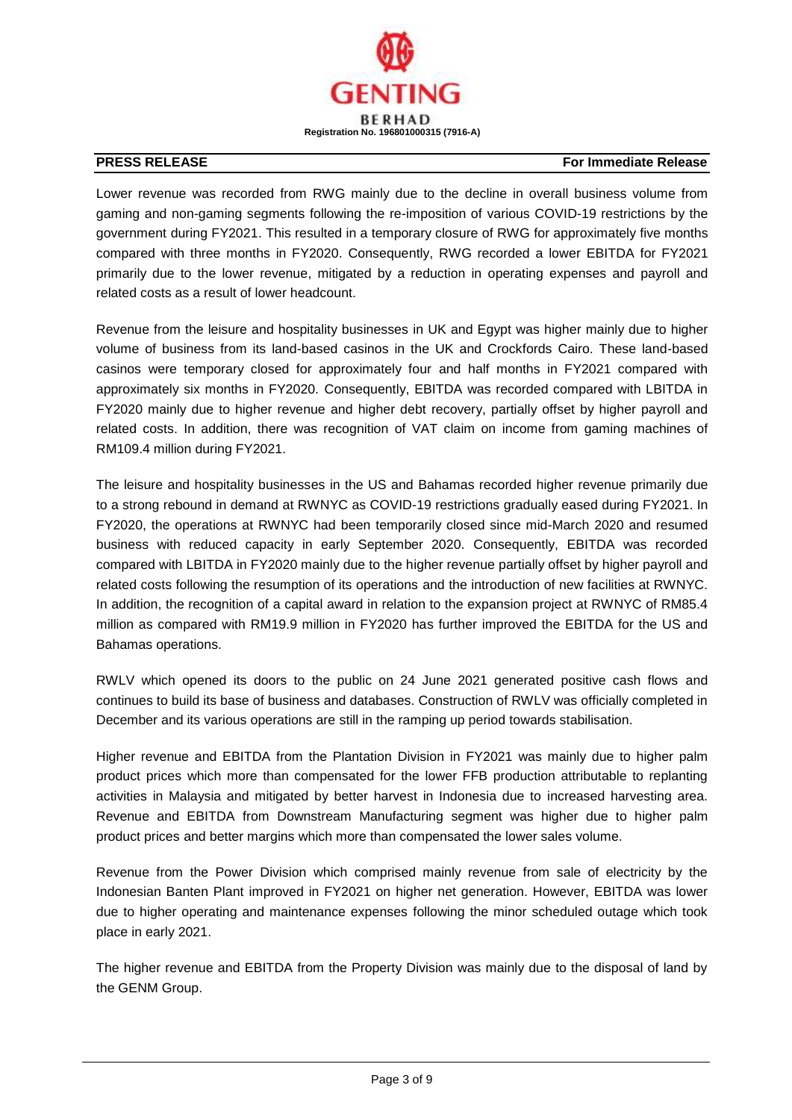

Lower revenue was recorded from RWG mainly due to the decline in overall business volume from gaming and non-gaming segments following the re-imposition of various COVID-19 restrictions by the government during FY2021. This resulted in a temporary closure of RWG for approximately five months compared with three months in FY2020. Consequently, RWG recorded a lower EBITDA for FY2021 primarily due to the lower revenue, mitigated by a reduction in operating expenses and payroll and related costs as a result of lower headcount.

Revenue from the leisure and hospitality businesses in UK and Egypt was higher mainly due to higher volume of business from its land-based casinos in the UK and Crockfords Cairo. These land-based casinos were temporary closed for approximately four and half months in FY2021 compared with approximately six months in FY2020. Consequently, EBITDA was recorded compared with LBITDA in FY2020 mainly due to higher revenue and higher debt recovery, partially offset by higher payroll and related costs. In addition, there was recognition of VAT claim on income from gaming machines of RM109.4 million during FY2021.

The leisure and hospitality businesses in the US and Bahamas recorded higher revenue primarily due to a strong rebound in demand at RWNYC as COVID-19 restrictions gradually eased during FY2021. In FY2020, the operations at RWNYC had been temporarily closed since mid-March 2020 and resumed business with reduced capacity in early September 2020. Consequently, EBITDA was recorded compared with LBITDA in FY2020 mainly due to the higher revenue partially offset by higher payroll and related costs following the resumption of its operations and the introduction of new facilities at RWNYC. In addition, the recognition of a capital award in relation to the expansion project at RWNYC of RM85.4 million as compared with RM19.9 million in FY2020 has further improved the EBITDA for the US and Bahamas operations.

RWLV which opened its doors to the public on 24 June 2021 generated positive cash flows and continues to build its base of business and databases. Construction of RWLV was officially completed in December and its various operations are still in the ramping up period towards stabilisation.

Higher revenue and EBITDA from the Plantation Division in FY2021 was mainly due to higher palm product prices which more than compensated for the lower FFB production attributable to replanting activities in Malaysia and mitigated by better harvest in Indonesia due to increased harvesting area. Revenue and EBITDA from Downstream Manufacturing segment was higher due to higher palm product prices and better margins which more than compensated the lower sales volume.

Revenue from the Power Division which comprised mainly revenue from sale of electricity by the Indonesian Banten Plant improved in FY2021 on higher net generation. However, EBITDA was lower due to higher operating and maintenance expenses following the minor scheduled outage which took place in early 2021.

The higher revenue and EBITDA from the Property Division was mainly due to the disposal of land by the GENM Group.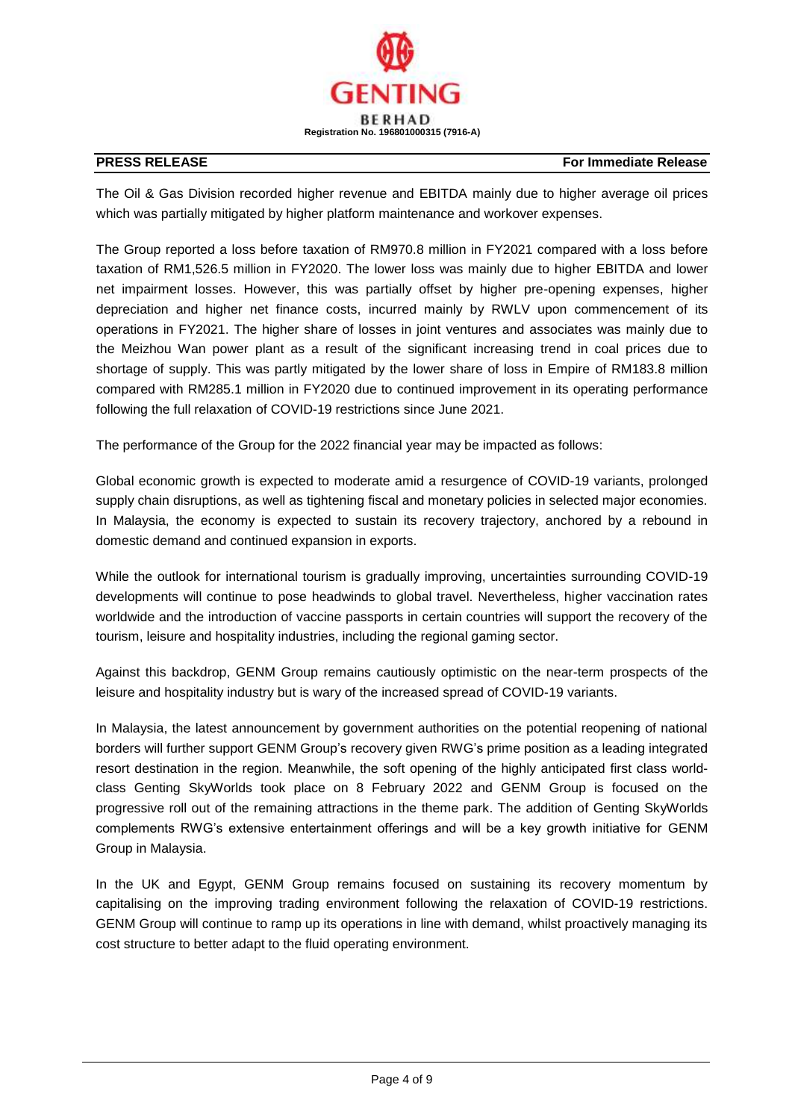

The Oil & Gas Division recorded higher revenue and EBITDA mainly due to higher average oil prices which was partially mitigated by higher platform maintenance and workover expenses.

The Group reported a loss before taxation of RM970.8 million in FY2021 compared with a loss before taxation of RM1,526.5 million in FY2020. The lower loss was mainly due to higher EBITDA and lower net impairment losses. However, this was partially offset by higher pre-opening expenses, higher depreciation and higher net finance costs, incurred mainly by RWLV upon commencement of its operations in FY2021. The higher share of losses in joint ventures and associates was mainly due to the Meizhou Wan power plant as a result of the significant increasing trend in coal prices due to shortage of supply. This was partly mitigated by the lower share of loss in Empire of RM183.8 million compared with RM285.1 million in FY2020 due to continued improvement in its operating performance following the full relaxation of COVID-19 restrictions since June 2021.

The performance of the Group for the 2022 financial year may be impacted as follows:

Global economic growth is expected to moderate amid a resurgence of COVID-19 variants, prolonged supply chain disruptions, as well as tightening fiscal and monetary policies in selected major economies. In Malaysia, the economy is expected to sustain its recovery trajectory, anchored by a rebound in domestic demand and continued expansion in exports.

While the outlook for international tourism is gradually improving, uncertainties surrounding COVID-19 developments will continue to pose headwinds to global travel. Nevertheless, higher vaccination rates worldwide and the introduction of vaccine passports in certain countries will support the recovery of the tourism, leisure and hospitality industries, including the regional gaming sector.

Against this backdrop, GENM Group remains cautiously optimistic on the near-term prospects of the leisure and hospitality industry but is wary of the increased spread of COVID-19 variants.

In Malaysia, the latest announcement by government authorities on the potential reopening of national borders will further support GENM Group's recovery given RWG's prime position as a leading integrated resort destination in the region. Meanwhile, the soft opening of the highly anticipated first class worldclass Genting SkyWorlds took place on 8 February 2022 and GENM Group is focused on the progressive roll out of the remaining attractions in the theme park. The addition of Genting SkyWorlds complements RWG's extensive entertainment offerings and will be a key growth initiative for GENM Group in Malaysia.

In the UK and Egypt, GENM Group remains focused on sustaining its recovery momentum by capitalising on the improving trading environment following the relaxation of COVID-19 restrictions. GENM Group will continue to ramp up its operations in line with demand, whilst proactively managing its cost structure to better adapt to the fluid operating environment.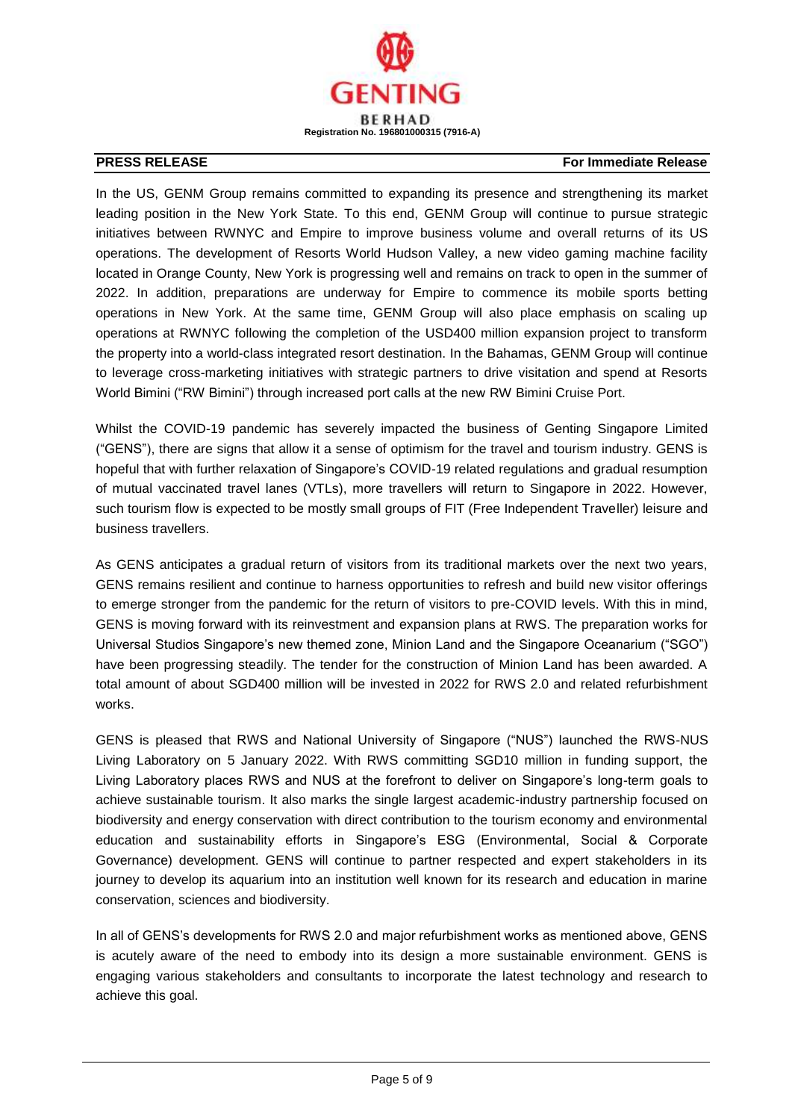

In the US, GENM Group remains committed to expanding its presence and strengthening its market leading position in the New York State. To this end, GENM Group will continue to pursue strategic initiatives between RWNYC and Empire to improve business volume and overall returns of its US operations. The development of Resorts World Hudson Valley, a new video gaming machine facility located in Orange County, New York is progressing well and remains on track to open in the summer of 2022. In addition, preparations are underway for Empire to commence its mobile sports betting operations in New York. At the same time, GENM Group will also place emphasis on scaling up operations at RWNYC following the completion of the USD400 million expansion project to transform the property into a world-class integrated resort destination. In the Bahamas, GENM Group will continue to leverage cross-marketing initiatives with strategic partners to drive visitation and spend at Resorts World Bimini ("RW Bimini") through increased port calls at the new RW Bimini Cruise Port.

Whilst the COVID-19 pandemic has severely impacted the business of Genting Singapore Limited ("GENS"), there are signs that allow it a sense of optimism for the travel and tourism industry. GENS is hopeful that with further relaxation of Singapore's COVID-19 related regulations and gradual resumption of mutual vaccinated travel lanes (VTLs), more travellers will return to Singapore in 2022. However, such tourism flow is expected to be mostly small groups of FIT (Free Independent Traveller) leisure and business travellers.

As GENS anticipates a gradual return of visitors from its traditional markets over the next two years, GENS remains resilient and continue to harness opportunities to refresh and build new visitor offerings to emerge stronger from the pandemic for the return of visitors to pre-COVID levels. With this in mind, GENS is moving forward with its reinvestment and expansion plans at RWS. The preparation works for Universal Studios Singapore's new themed zone, Minion Land and the Singapore Oceanarium ("SGO") have been progressing steadily. The tender for the construction of Minion Land has been awarded. A total amount of about SGD400 million will be invested in 2022 for RWS 2.0 and related refurbishment works.

GENS is pleased that RWS and National University of Singapore ("NUS") launched the RWS-NUS Living Laboratory on 5 January 2022. With RWS committing SGD10 million in funding support, the Living Laboratory places RWS and NUS at the forefront to deliver on Singapore's long-term goals to achieve sustainable tourism. It also marks the single largest academic-industry partnership focused on biodiversity and energy conservation with direct contribution to the tourism economy and environmental education and sustainability efforts in Singapore's ESG (Environmental, Social & Corporate Governance) development. GENS will continue to partner respected and expert stakeholders in its journey to develop its aquarium into an institution well known for its research and education in marine conservation, sciences and biodiversity.

In all of GENS's developments for RWS 2.0 and major refurbishment works as mentioned above, GENS is acutely aware of the need to embody into its design a more sustainable environment. GENS is engaging various stakeholders and consultants to incorporate the latest technology and research to achieve this goal.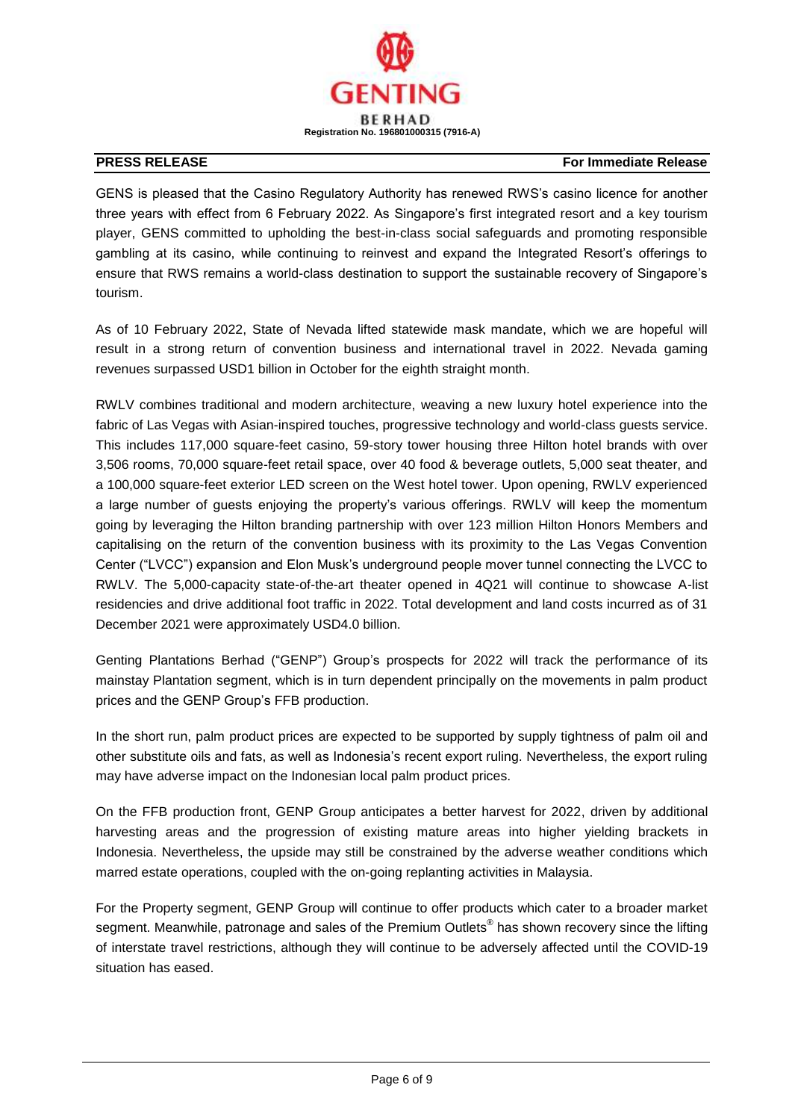

GENS is pleased that the Casino Regulatory Authority has renewed RWS's casino licence for another three years with effect from 6 February 2022. As Singapore's first integrated resort and a key tourism player, GENS committed to upholding the best-in-class social safeguards and promoting responsible gambling at its casino, while continuing to reinvest and expand the Integrated Resort's offerings to ensure that RWS remains a world-class destination to support the sustainable recovery of Singapore's tourism.

As of 10 February 2022, State of Nevada lifted statewide mask mandate, which we are hopeful will result in a strong return of convention business and international travel in 2022. Nevada gaming revenues surpassed USD1 billion in October for the eighth straight month.

RWLV combines traditional and modern architecture, weaving a new luxury hotel experience into the fabric of Las Vegas with Asian-inspired touches, progressive technology and world-class guests service. This includes 117,000 square-feet casino, 59-story tower housing three Hilton hotel brands with over 3,506 rooms, 70,000 square-feet retail space, over 40 food & beverage outlets, 5,000 seat theater, and a 100,000 square-feet exterior LED screen on the West hotel tower. Upon opening, RWLV experienced a large number of guests enjoying the property's various offerings. RWLV will keep the momentum going by leveraging the Hilton branding partnership with over 123 million Hilton Honors Members and capitalising on the return of the convention business with its proximity to the Las Vegas Convention Center ("LVCC") expansion and Elon Musk's underground people mover tunnel connecting the LVCC to RWLV. The 5,000-capacity state-of-the-art theater opened in 4Q21 will continue to showcase A-list residencies and drive additional foot traffic in 2022. Total development and land costs incurred as of 31 December 2021 were approximately USD4.0 billion.

Genting Plantations Berhad ("GENP") Group's prospects for 2022 will track the performance of its mainstay Plantation segment, which is in turn dependent principally on the movements in palm product prices and the GENP Group's FFB production.

In the short run, palm product prices are expected to be supported by supply tightness of palm oil and other substitute oils and fats, as well as Indonesia's recent export ruling. Nevertheless, the export ruling may have adverse impact on the Indonesian local palm product prices.

On the FFB production front, GENP Group anticipates a better harvest for 2022, driven by additional harvesting areas and the progression of existing mature areas into higher yielding brackets in Indonesia. Nevertheless, the upside may still be constrained by the adverse weather conditions which marred estate operations, coupled with the on-going replanting activities in Malaysia.

For the Property segment, GENP Group will continue to offer products which cater to a broader market segment. Meanwhile, patronage and sales of the Premium Outlets® has shown recovery since the lifting of interstate travel restrictions, although they will continue to be adversely affected until the COVID-19 situation has eased.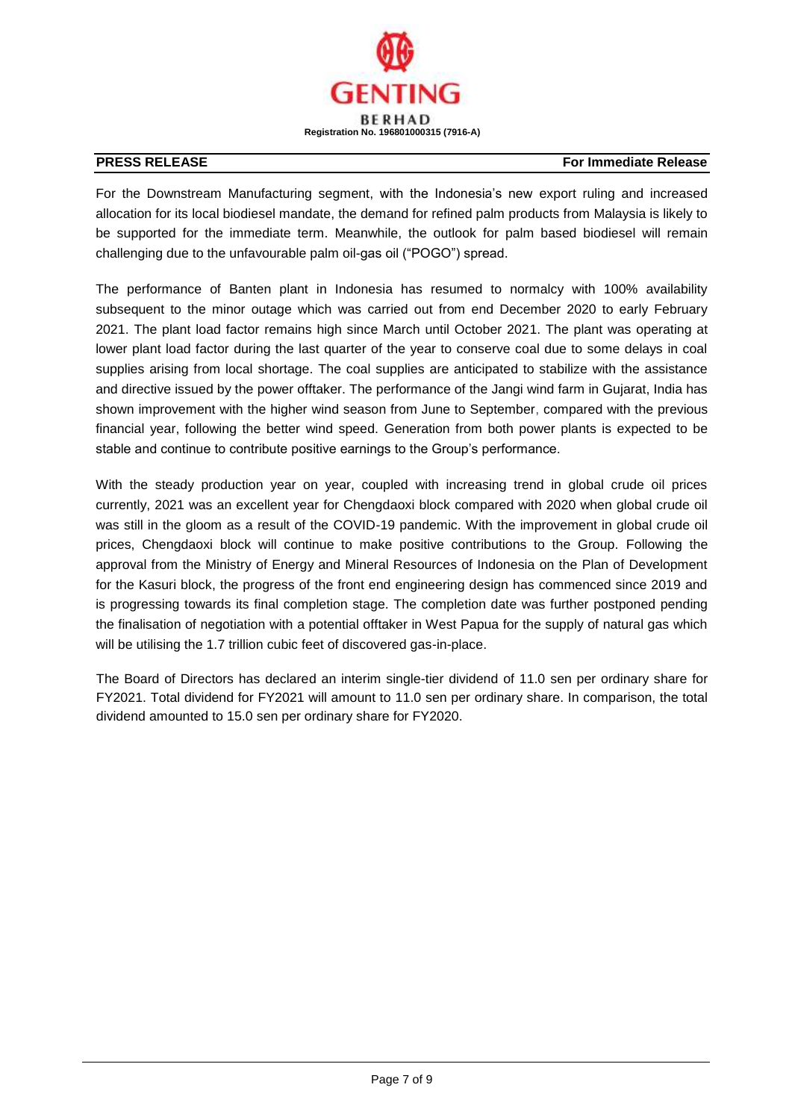

For the Downstream Manufacturing segment, with the Indonesia's new export ruling and increased allocation for its local biodiesel mandate, the demand for refined palm products from Malaysia is likely to be supported for the immediate term. Meanwhile, the outlook for palm based biodiesel will remain challenging due to the unfavourable palm oil-gas oil ("POGO") spread.

The performance of Banten plant in Indonesia has resumed to normalcy with 100% availability subsequent to the minor outage which was carried out from end December 2020 to early February 2021. The plant load factor remains high since March until October 2021. The plant was operating at lower plant load factor during the last quarter of the year to conserve coal due to some delays in coal supplies arising from local shortage. The coal supplies are anticipated to stabilize with the assistance and directive issued by the power offtaker. The performance of the Jangi wind farm in Gujarat, India has shown improvement with the higher wind season from June to September, compared with the previous financial year, following the better wind speed. Generation from both power plants is expected to be stable and continue to contribute positive earnings to the Group's performance.

With the steady production year on year, coupled with increasing trend in global crude oil prices currently, 2021 was an excellent year for Chengdaoxi block compared with 2020 when global crude oil was still in the gloom as a result of the COVID-19 pandemic. With the improvement in global crude oil prices, Chengdaoxi block will continue to make positive contributions to the Group. Following the approval from the Ministry of Energy and Mineral Resources of Indonesia on the Plan of Development for the Kasuri block, the progress of the front end engineering design has commenced since 2019 and is progressing towards its final completion stage. The completion date was further postponed pending the finalisation of negotiation with a potential offtaker in West Papua for the supply of natural gas which will be utilising the 1.7 trillion cubic feet of discovered gas-in-place.

The Board of Directors has declared an interim single-tier dividend of 11.0 sen per ordinary share for FY2021. Total dividend for FY2021 will amount to 11.0 sen per ordinary share. In comparison, the total dividend amounted to 15.0 sen per ordinary share for FY2020.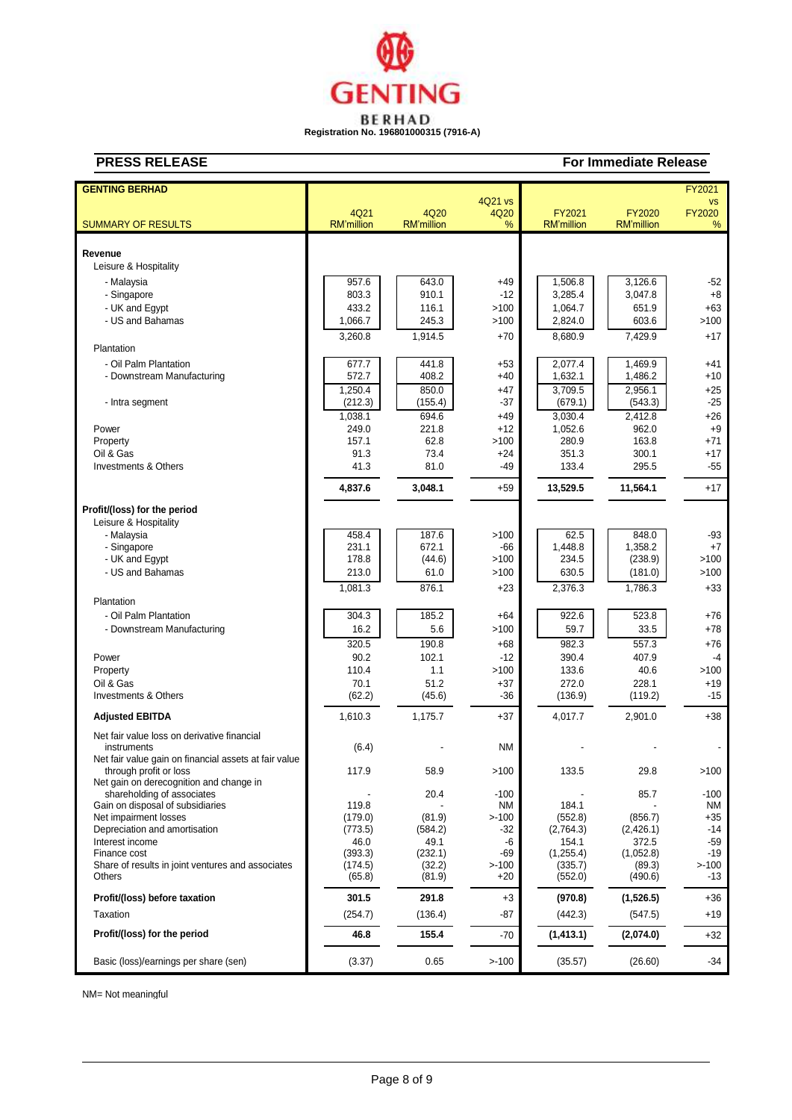

| <b>GENTING BERHAD</b>                                     |                   |                   |                 |                   |                   | FY2021              |
|-----------------------------------------------------------|-------------------|-------------------|-----------------|-------------------|-------------------|---------------------|
|                                                           | 4Q21              | 4Q20              | 4Q21 vs<br>4Q20 | FY2021            | FY2020            | VS<br><b>FY2020</b> |
| <b>SUMMARY OF RESULTS</b>                                 | <b>RM'million</b> | <b>RM'million</b> | %               | <b>RM'million</b> | <b>RM'million</b> | %                   |
|                                                           |                   |                   |                 |                   |                   |                     |
|                                                           |                   |                   |                 |                   |                   |                     |
| Revenue                                                   |                   |                   |                 |                   |                   |                     |
| Leisure & Hospitality                                     |                   |                   |                 |                   |                   |                     |
| - Malaysia                                                | 957.6             | 643.0             | $+49$           | 1,506.8           | 3,126.6           | $-52$               |
| - Singapore                                               | 803.3             | 910.1             | $-12$           | 3,285.4           | 3,047.8           | $+8$                |
| - UK and Egypt                                            | 433.2             | 116.1             | >100            | 1.064.7           | 651.9             | $+63$               |
| - US and Bahamas                                          | 1,066.7           | 245.3             | >100            | 2,824.0           | 603.6             | >100                |
|                                                           | 3,260.8           | 1,914.5           | $+70$           | 8,680.9           | 7,429.9           | $+17$               |
| Plantation                                                |                   |                   |                 |                   |                   |                     |
| - Oil Palm Plantation                                     | 677.7             | 441.8             | $+53$           | 2,077.4           | 1,469.9           | $+41$               |
| - Downstream Manufacturing                                | 572.7             | 408.2             | $+40$           | 1,632.1           | 1,486.2           | +10                 |
|                                                           |                   |                   |                 |                   |                   |                     |
|                                                           | 1,250.4           | 850.0             | $+47$           | 3,709.5           | 2,956.1           | $+25$               |
| - Intra segment                                           | (212.3)           | (155.4)           | $-37$           | (679.1)           | (543.3)           | $-25$               |
|                                                           | 1,038.1           | 694.6             | $+49$           | 3,030.4           | 2,412.8           | $+26$               |
| Power                                                     | 249.0             | 221.8             | $+12$           | 1,052.6           | 962.0             | $+9$                |
| Property                                                  | 157.1             | 62.8              | >100            | 280.9             | 163.8             | +71                 |
| Oil & Gas                                                 | 91.3              | 73.4              | $+24$           | 351.3             | 300.1             | $+17$               |
| Investments & Others                                      | 41.3              | 81.0              | $-49$           | 133.4             | 295.5             | $-55$               |
|                                                           | 4,837.6           | 3,048.1           | $+59$           | 13,529.5          | 11,564.1          | $+17$               |
|                                                           |                   |                   |                 |                   |                   |                     |
| Profit/(loss) for the period                              |                   |                   |                 |                   |                   |                     |
| Leisure & Hospitality                                     |                   |                   |                 |                   |                   |                     |
| - Malaysia                                                | 458.4             | 187.6             | >100            | 62.5              | 848.0             | $-93$               |
| - Singapore                                               | 231.1             | 672.1             | -66             | 1,448.8           | 1,358.2           | $+7$                |
| - UK and Egypt                                            | 178.8             | (44.6)            | >100            | 234.5             | (238.9)           | >100                |
| - US and Bahamas                                          | 213.0             | 61.0              | >100            | 630.5             | (181.0)           | >100                |
|                                                           | 1,081.3           | 876.1             | $+23$           | 2,376.3           | 1,786.3           | $+33$               |
| Plantation                                                |                   |                   |                 |                   |                   |                     |
| - Oil Palm Plantation                                     | 304.3             | 185.2             | $+64$           | 922.6             | 523.8             | $+76$               |
| - Downstream Manufacturing                                | 16.2              | 5.6               | >100            | 59.7              | 33.5              | $+78$               |
|                                                           | 320.5             | 190.8             | $+68$           | 982.3             | 557.3             | $+76$               |
| Power                                                     | 90.2              | 102.1             | $-12$           | 390.4             | 407.9             | $-4$                |
| Property                                                  | 110.4             | 1.1               | >100            | 133.6             | 40.6              | >100                |
| Oil & Gas                                                 | 70.1              | 51.2              | $+37$           | 272.0             | 228.1             | $+19$               |
| Investments & Others                                      | (62.2)            | (45.6)            | $-36$           | (136.9)           | (119.2)           | $-15$               |
|                                                           |                   |                   |                 |                   |                   |                     |
| <b>Adjusted EBITDA</b>                                    | 1,610.3           | 1,175.7           | $+37$           | 4.017.7           | 2,901.0           | $+38$               |
| Net fair value loss on derivative financial               |                   |                   |                 |                   |                   |                     |
| instruments                                               | (6.4)             |                   | <b>NM</b>       |                   |                   |                     |
| Net fair value gain on financial assets at fair value     |                   |                   |                 |                   |                   |                     |
| through profit or loss                                    | 117.9             | 58.9              | >100            | 133.5             | 29.8              | >100                |
| Net gain on derecognition and change in                   |                   |                   |                 |                   |                   |                     |
| shareholding of associates                                |                   | 20.4              | $-100$          |                   | 85.7              | $-100$              |
| Gain on disposal of subsidiaries<br>Net impairment losses | 119.8<br>(179.0)  | (81.9)            | ΝM<br>$> -100$  | 184.1<br>(552.8)  | (856.7)           | ΝM<br>+35           |
| Depreciation and amortisation                             | (773.5)           | (584.2)           | -32             | (2,764.3)         | (2,426.1)         | -14                 |
| Interest income                                           | 46.0              | 49.1              | -6              | 154.1             | 372.5             | $-59$               |
| Finance cost                                              | (393.3)           | (232.1)           | $-69$           | (1,255.4)         | (1,052.8)         | -19                 |
| Share of results in joint ventures and associates         | (174.5)           | (32.2)            | $> -100$        | (335.7)           | (89.3)            | $> -100$            |
| Others                                                    | (65.8)            | (81.9)            | $+20$           | (552.0)           | (490.6)           | -13                 |
| Profit/(loss) before taxation                             | 301.5             | 291.8             | $+3$            | (970.8)           | (1,526.5)         | +36                 |
| Taxation                                                  | (254.7)           | (136.4)           | -87             | (442.3)           | (547.5)           | +19                 |
| Profit/(loss) for the period                              | 46.8              | 155.4             | $-70$           | (1, 413.1)        | (2,074.0)         | $+32$               |
|                                                           |                   |                   |                 |                   |                   |                     |
| Basic (loss)/earnings per share (sen)                     | (3.37)            | 0.65              | $> -100$        | (35.57)           | (26.60)           | $-34$               |

NM= Not meaningful